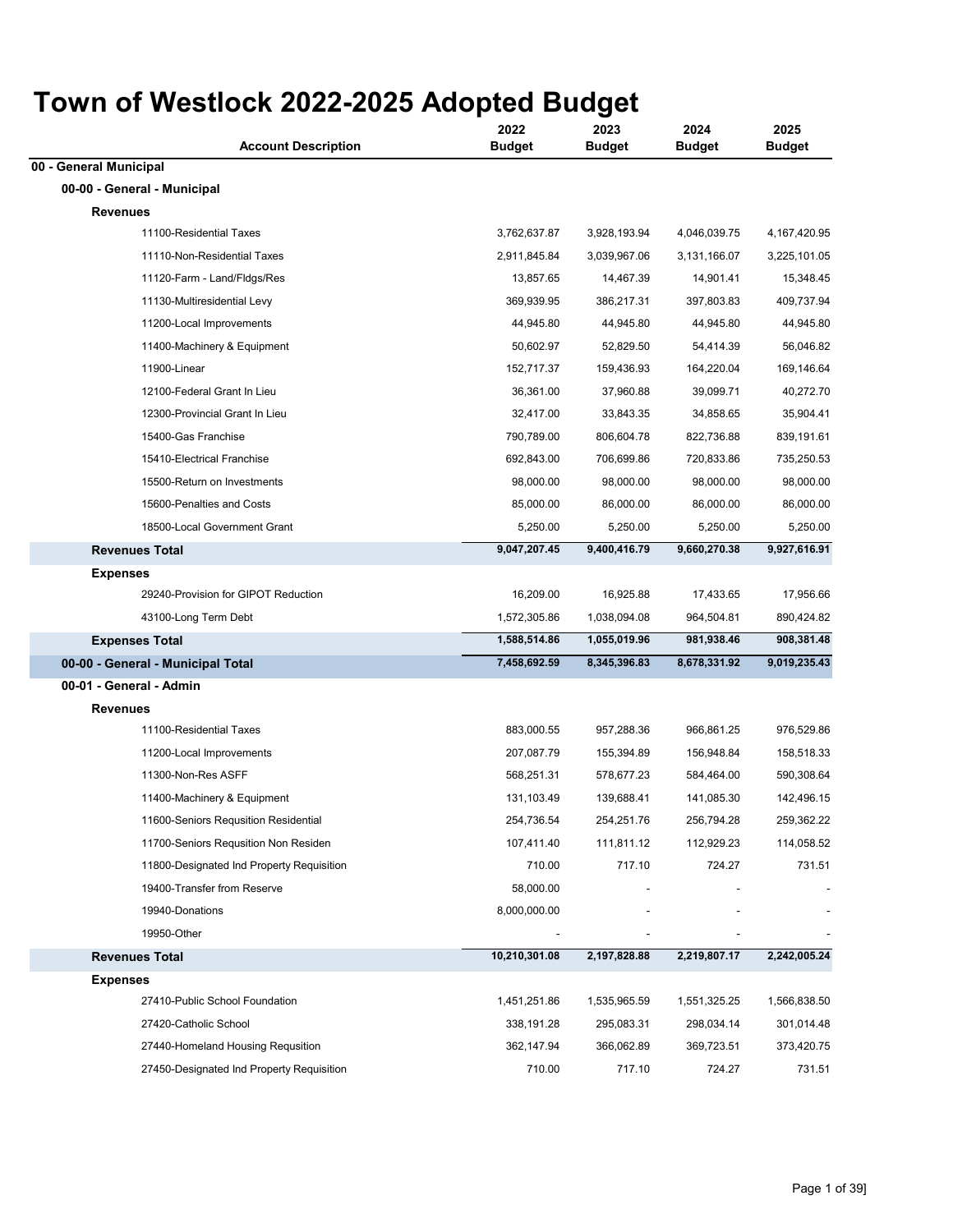| <b>Account Description</b>                | 2022<br><b>Budget</b> | 2023<br><b>Budget</b> | 2024<br><b>Budget</b> | 2025<br><b>Budget</b> |
|-------------------------------------------|-----------------------|-----------------------|-----------------------|-----------------------|
| 00 - General Municipal                    |                       |                       |                       |                       |
| 00-00 - General - Municipal               |                       |                       |                       |                       |
| <b>Revenues</b>                           |                       |                       |                       |                       |
| 11100-Residential Taxes                   | 3,762,637.87          | 3,928,193.94          | 4,046,039.75          | 4,167,420.95          |
| 11110-Non-Residential Taxes               | 2,911,845.84          | 3,039,967.06          | 3,131,166.07          | 3,225,101.05          |
| 11120-Farm - Land/Fldgs/Res               | 13,857.65             | 14,467.39             | 14,901.41             | 15,348.45             |
| 11130-Multiresidential Levy               | 369,939.95            | 386,217.31            | 397,803.83            | 409,737.94            |
| 11200-Local Improvements                  | 44,945.80             | 44,945.80             | 44,945.80             | 44,945.80             |
| 11400-Machinery & Equipment               | 50,602.97             | 52,829.50             | 54,414.39             | 56,046.82             |
| 11900-Linear                              | 152,717.37            | 159,436.93            | 164,220.04            | 169,146.64            |
| 12100-Federal Grant In Lieu               | 36,361.00             | 37,960.88             | 39,099.71             | 40,272.70             |
| 12300-Provincial Grant In Lieu            | 32,417.00             | 33,843.35             | 34,858.65             | 35,904.41             |
| 15400-Gas Franchise                       | 790,789.00            | 806,604.78            | 822,736.88            | 839,191.61            |
| 15410-Electrical Franchise                | 692,843.00            | 706,699.86            | 720,833.86            | 735,250.53            |
| 15500-Return on Investments               | 98,000.00             | 98,000.00             | 98,000.00             | 98,000.00             |
| 15600-Penalties and Costs                 | 85,000.00             | 86,000.00             | 86,000.00             | 86,000.00             |
| 18500-Local Government Grant              | 5,250.00              | 5,250.00              | 5,250.00              | 5,250.00              |
| <b>Revenues Total</b>                     | 9,047,207.45          | 9,400,416.79          | 9,660,270.38          | 9,927,616.91          |
| <b>Expenses</b>                           |                       |                       |                       |                       |
| 29240-Provision for GIPOT Reduction       | 16,209.00             | 16,925.88             | 17,433.65             | 17,956.66             |
| 43100-Long Term Debt                      | 1,572,305.86          | 1,038,094.08          | 964,504.81            | 890,424.82            |
| <b>Expenses Total</b>                     | 1,588,514.86          | 1,055,019.96          | 981,938.46            | 908,381.48            |
| 00-00 - General - Municipal Total         | 7,458,692.59          | 8,345,396.83          | 8,678,331.92          | 9,019,235.43          |
| 00-01 - General - Admin                   |                       |                       |                       |                       |
| <b>Revenues</b>                           |                       |                       |                       |                       |
| 11100-Residential Taxes                   | 883,000.55            | 957,288.36            | 966,861.25            | 976,529.86            |
| 11200-Local Improvements                  | 207,087.79            | 155,394.89            | 156,948.84            | 158,518.33            |
| 11300-Non-Res ASFF                        | 568,251.31            | 578,677.23            | 584,464.00            | 590,308.64            |
| 11400-Machinery & Equipment               | 131,103.49            | 139,688.41            | 141,085.30            | 142,496.15            |
| 11600-Seniors Requsition Residential      | 254,736.54            | 254,251.76            | 256,794.28            | 259,362.22            |
| 11700-Seniors Requsition Non Residen      | 107,411.40            | 111,811.12            | 112,929.23            | 114,058.52            |
| 11800-Designated Ind Property Requisition | 710.00                | 717.10                | 724.27                | 731.51                |
| 19400-Transfer from Reserve               | 58,000.00             |                       |                       |                       |
| 19940-Donations                           | 8,000,000.00          |                       |                       |                       |
| 19950-Other                               |                       |                       |                       |                       |
| <b>Revenues Total</b>                     | 10,210,301.08         | 2,197,828.88          | 2,219,807.17          | 2,242,005.24          |
| <b>Expenses</b>                           |                       |                       |                       |                       |
| 27410-Public School Foundation            | 1,451,251.86          | 1,535,965.59          | 1,551,325.25          | 1,566,838.50          |
| 27420-Catholic School                     | 338,191.28            | 295,083.31            | 298,034.14            | 301,014.48            |
| 27440-Homeland Housing Requsition         | 362,147.94            | 366,062.89            | 369,723.51            | 373,420.75            |
| 27450-Designated Ind Property Requisition | 710.00                | 717.10                | 724.27                | 731.51                |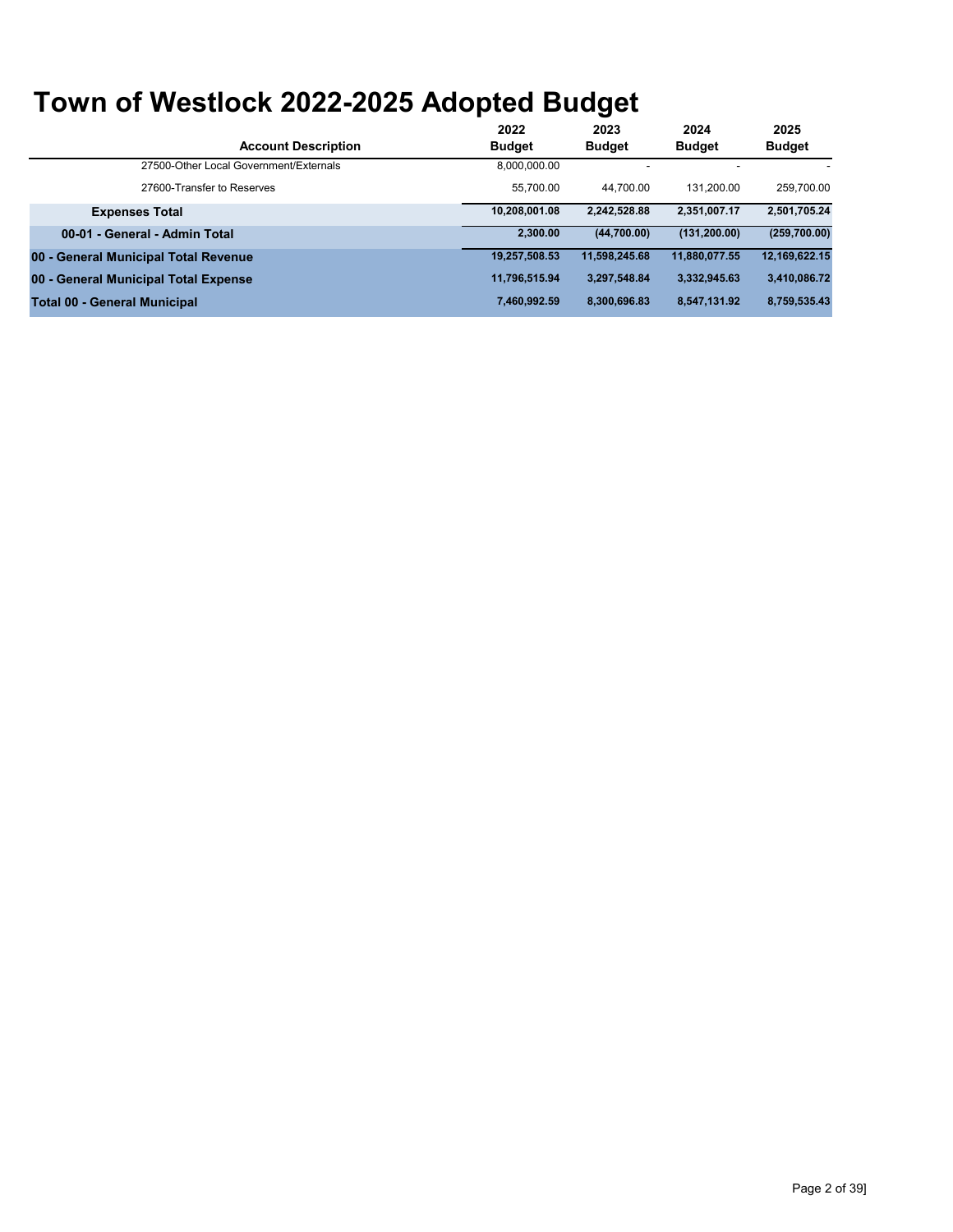|                                        | 2022          | 2023          | 2024          | 2025          |
|----------------------------------------|---------------|---------------|---------------|---------------|
| <b>Account Description</b>             | <b>Budget</b> | <b>Budget</b> | <b>Budget</b> | <b>Budget</b> |
| 27500-Other Local Government/Externals | 8.000.000.00  |               |               |               |
| 27600-Transfer to Reserves             | 55.700.00     | 44.700.00     | 131.200.00    | 259.700.00    |
| <b>Expenses Total</b>                  | 10,208,001.08 | 2.242.528.88  | 2,351,007.17  | 2,501,705.24  |
| 00-01 - General - Admin Total          | 2.300.00      | (44,700.00)   | (131, 200.00) | (259, 700.00) |
| 00 - General Municipal Total Revenue   | 19.257.508.53 | 11.598.245.68 | 11.880.077.55 | 12,169,622.15 |
| 00 - General Municipal Total Expense   | 11,796,515.94 | 3.297.548.84  | 3.332.945.63  | 3,410,086.72  |
| <b>Total 00 - General Municipal</b>    | 7.460.992.59  | 8.300.696.83  | 8,547,131.92  | 8,759,535.43  |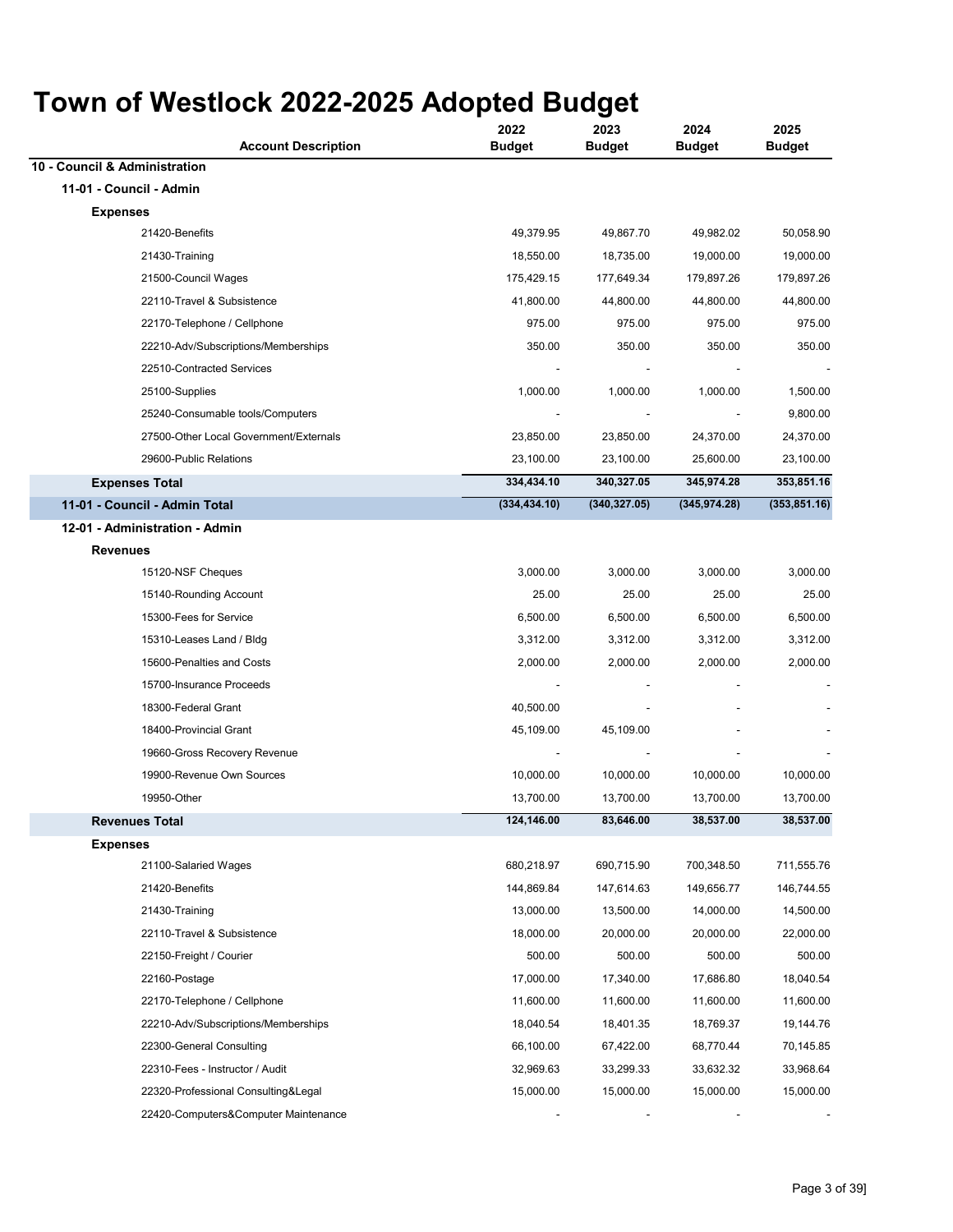| OWII OI WESHOCK ZUZZ-ZUZU AUOPIEU DUUYEI<br><b>Account Description</b> | 2022<br><b>Budget</b> | 2023<br><b>Budget</b> | 2024<br><b>Budget</b> | 2025<br><b>Budget</b> |
|------------------------------------------------------------------------|-----------------------|-----------------------|-----------------------|-----------------------|
| 10 - Council & Administration                                          |                       |                       |                       |                       |
| 11-01 - Council - Admin                                                |                       |                       |                       |                       |
| <b>Expenses</b>                                                        |                       |                       |                       |                       |
| 21420-Benefits                                                         | 49,379.95             | 49,867.70             | 49,982.02             | 50,058.90             |
| 21430-Training                                                         | 18,550.00             | 18,735.00             | 19,000.00             | 19,000.00             |
| 21500-Council Wages                                                    | 175,429.15            | 177,649.34            | 179,897.26            | 179,897.26            |
| 22110-Travel & Subsistence                                             | 41,800.00             | 44,800.00             | 44,800.00             | 44,800.00             |
| 22170-Telephone / Cellphone                                            | 975.00                | 975.00                | 975.00                | 975.00                |
| 22210-Adv/Subscriptions/Memberships                                    | 350.00                | 350.00                | 350.00                | 350.00                |
| 22510-Contracted Services                                              |                       |                       |                       |                       |
| 25100-Supplies                                                         | 1,000.00              | 1,000.00              | 1,000.00              | 1,500.00              |
| 25240-Consumable tools/Computers                                       |                       |                       |                       | 9,800.00              |
| 27500-Other Local Government/Externals                                 | 23,850.00             | 23,850.00             | 24,370.00             | 24,370.00             |
| 29600-Public Relations                                                 | 23,100.00             | 23,100.00             | 25,600.00             | 23,100.00             |
| <b>Expenses Total</b>                                                  | 334,434.10            | 340,327.05            | 345,974.28            | 353,851.16            |
| 11-01 - Council - Admin Total                                          | (334, 434.10)         | (340, 327.05)         | (345, 974.28)         | (353, 851.16)         |
| 12-01 - Administration - Admin                                         |                       |                       |                       |                       |
| <b>Revenues</b>                                                        |                       |                       |                       |                       |
| 15120-NSF Cheques                                                      | 3,000.00              | 3,000.00              | 3,000.00              | 3,000.00              |
| 15140-Rounding Account                                                 | 25.00                 | 25.00                 | 25.00                 | 25.00                 |
| 15300-Fees for Service                                                 | 6,500.00              | 6,500.00              | 6,500.00              | 6,500.00              |
| 15310-Leases Land / Bldg                                               | 3,312.00              | 3,312.00              | 3,312.00              | 3,312.00              |
| 15600-Penalties and Costs                                              | 2,000.00              | 2,000.00              | 2,000.00              | 2,000.00              |
| 15700-Insurance Proceeds                                               |                       |                       |                       |                       |
| 18300-Federal Grant                                                    | 40,500.00             |                       |                       |                       |
| 18400-Provincial Grant                                                 | 45,109.00             | 45,109.00             |                       |                       |
| 19660-Gross Recovery Revenue                                           |                       |                       |                       |                       |
| 19900-Revenue Own Sources                                              | 10,000.00             | 10,000.00             | 10,000.00             | 10,000.00             |
| 19950-Other                                                            | 13,700.00             | 13,700.00             | 13,700.00             | 13,700.00             |
| <b>Revenues Total</b>                                                  | 124,146.00            | 83,646.00             | 38,537.00             | 38,537.00             |
| <b>Expenses</b>                                                        |                       |                       |                       |                       |
| 21100-Salaried Wages                                                   | 680,218.97            | 690,715.90            | 700,348.50            | 711,555.76            |
| 21420-Benefits                                                         | 144,869.84            | 147,614.63            | 149,656.77            | 146,744.55            |
| 21430-Training                                                         | 13,000.00             | 13,500.00             | 14,000.00             | 14,500.00             |
| 22110-Travel & Subsistence                                             | 18,000.00             | 20,000.00             | 20,000.00             | 22,000.00             |
| 22150-Freight / Courier                                                | 500.00                | 500.00                | 500.00                | 500.00                |
| 22160-Postage                                                          | 17,000.00             | 17,340.00             | 17,686.80             | 18,040.54             |
| 22170-Telephone / Cellphone                                            | 11,600.00             | 11,600.00             | 11,600.00             | 11,600.00             |
| 22210-Adv/Subscriptions/Memberships                                    | 18,040.54             | 18,401.35             | 18,769.37             | 19,144.76             |
| 22300-General Consulting                                               | 66,100.00             | 67,422.00             | 68,770.44             | 70,145.85             |
| 22310-Fees - Instructor / Audit                                        | 32,969.63             | 33,299.33             | 33,632.32             | 33,968.64             |
| 22320-Professional Consulting&Legal                                    | 15,000.00             | 15,000.00             | 15,000.00             | 15,000.00             |
| 22420-Computers&Computer Maintenance                                   |                       |                       |                       |                       |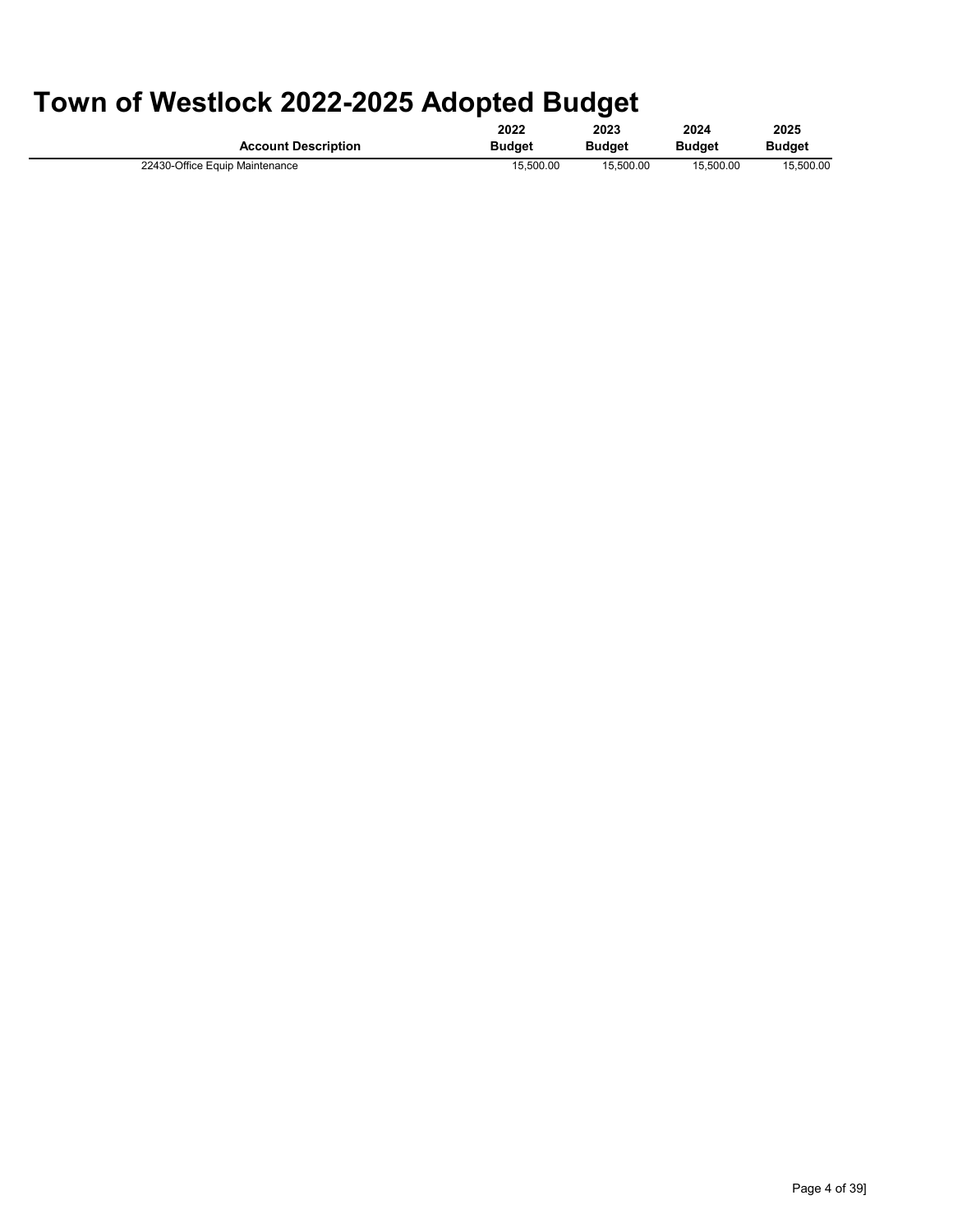|                                | 2022          | 2023          | 2024          | 2025      |
|--------------------------------|---------------|---------------|---------------|-----------|
| <b>Account Description</b>     | <b>Budget</b> | <b>Budget</b> | <b>Budget</b> | Budaet    |
| 22430-Office Equip Maintenance | 15.500.00     | 15.500.00     | 15.500.00     | 15.500.00 |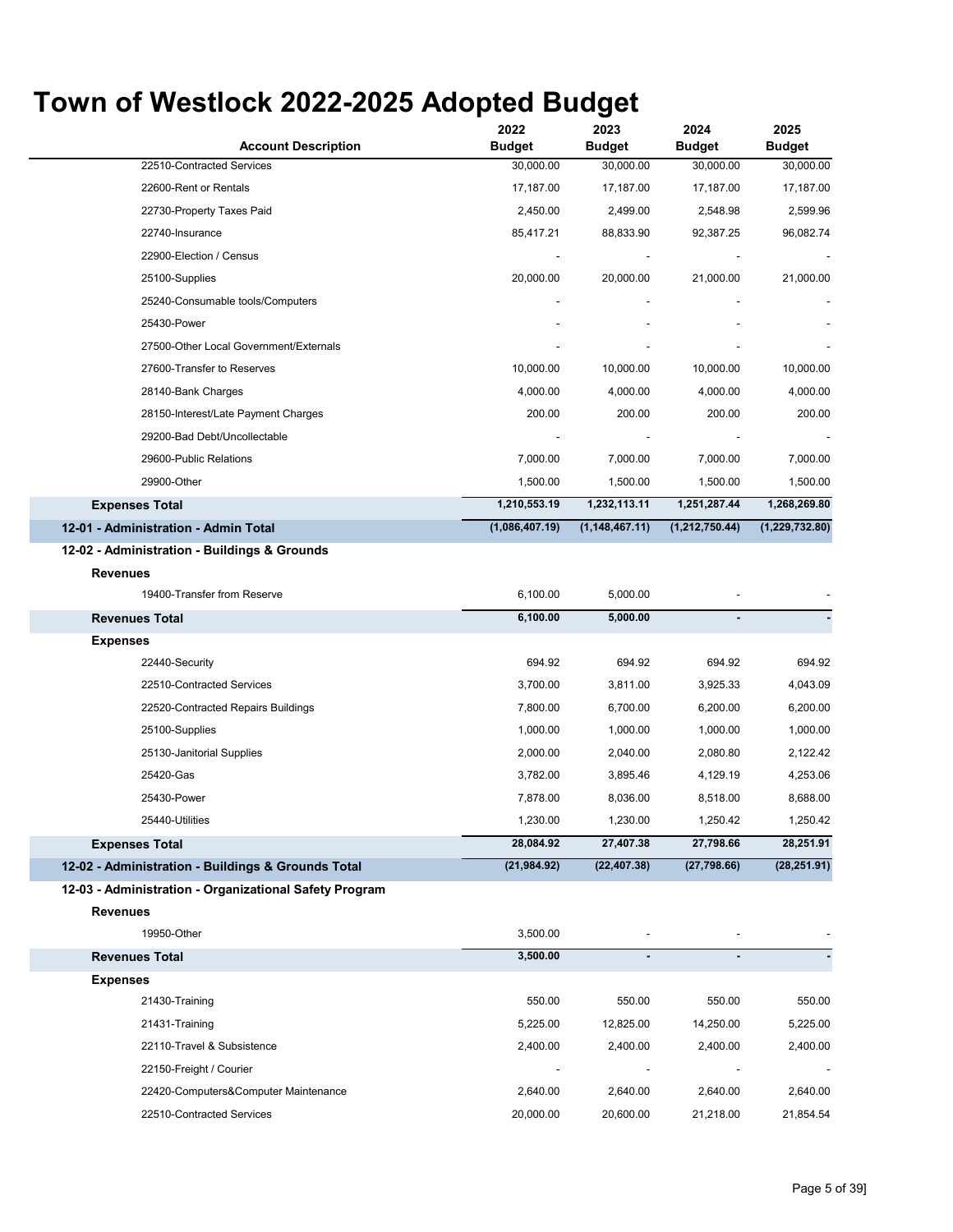| <b>Account Description</b>                                      | 2022<br><b>Budget</b>    | 2023<br><b>Budget</b>    | 2024<br><b>Budget</b> | 2025<br><b>Budget</b> |
|-----------------------------------------------------------------|--------------------------|--------------------------|-----------------------|-----------------------|
| 22510-Contracted Services                                       | 30,000.00                | 30,000.00                | 30,000.00             | 30,000.00             |
| 22600-Rent or Rentals                                           | 17,187.00                | 17,187.00                | 17,187.00             | 17,187.00             |
| 22730-Property Taxes Paid                                       | 2,450.00                 | 2,499.00                 | 2,548.98              | 2,599.96              |
| 22740-Insurance                                                 | 85,417.21                | 88,833.90                | 92,387.25             | 96,082.74             |
| 22900-Election / Census                                         |                          |                          |                       |                       |
| 25100-Supplies                                                  | 20,000.00                | 20,000.00                | 21,000.00             | 21,000.00             |
| 25240-Consumable tools/Computers                                |                          |                          |                       |                       |
| 25430-Power                                                     |                          |                          |                       |                       |
| 27500-Other Local Government/Externals                          |                          |                          |                       |                       |
| 27600-Transfer to Reserves                                      | 10,000.00                | 10,000.00                | 10,000.00             | 10,000.00             |
| 28140-Bank Charges                                              | 4,000.00                 | 4,000.00                 | 4,000.00              | 4,000.00              |
| 28150-Interest/Late Payment Charges                             | 200.00                   | 200.00                   | 200.00                | 200.00                |
| 29200-Bad Debt/Uncollectable                                    |                          |                          |                       |                       |
| 29600-Public Relations                                          | 7,000.00                 | 7,000.00                 | 7,000.00              | 7,000.00              |
| 29900-Other                                                     | 1,500.00                 | 1,500.00                 | 1,500.00              | 1,500.00              |
| <b>Expenses Total</b>                                           | 1,210,553.19             | 1,232,113.11             | 1,251,287.44          | 1,268,269.80          |
| 12-01 - Administration - Admin Total                            | (1,086,407.19)           | (1, 148, 467.11)         | (1,212,750.44)        | (1, 229, 732.80)      |
| 12-02 - Administration - Buildings & Grounds<br><b>Revenues</b> |                          |                          |                       |                       |
| 19400-Transfer from Reserve                                     | 6,100.00                 | 5,000.00                 |                       |                       |
| <b>Revenues Total</b>                                           | 6,100.00                 | 5,000.00                 |                       |                       |
| <b>Expenses</b>                                                 |                          |                          |                       |                       |
| 22440-Security                                                  | 694.92                   | 694.92                   | 694.92                | 694.92                |
| 22510-Contracted Services                                       | 3,700.00                 | 3,811.00                 | 3,925.33              | 4,043.09              |
| 22520-Contracted Repairs Buildings                              | 7,800.00                 | 6,700.00                 | 6,200.00              | 6,200.00              |
| 25100-Supplies                                                  | 1,000.00                 | 1,000.00                 | 1,000.00              | 1,000.00              |
| 25130-Janitorial Supplies                                       | 2,000.00                 | 2,040.00                 | 2,080.80              | 2,122.42              |
| 25420-Gas                                                       | 3,782.00                 | 3,895.46                 | 4,129.19              | 4,253.06              |
| 25430-Power                                                     | 7,878.00                 | 8,036.00                 | 8,518.00              | 8,688.00              |
| 25440-Utilities                                                 | 1,230.00                 | 1,230.00                 | 1,250.42              | 1,250.42              |
| <b>Expenses Total</b>                                           | 28,084.92                | 27,407.38                | 27,798.66             | 28,251.91             |
| 12-02 - Administration - Buildings & Grounds Total              | (21, 984.92)             | (22, 407.38)             | (27,798.66)           | (28, 251.91)          |
| 12-03 - Administration - Organizational Safety Program          |                          |                          |                       |                       |
| <b>Revenues</b>                                                 |                          |                          |                       |                       |
| 19950-Other                                                     | 3,500.00                 |                          |                       |                       |
| <b>Revenues Total</b>                                           | 3,500.00                 | $\blacksquare$           |                       |                       |
| <b>Expenses</b>                                                 |                          |                          |                       |                       |
| 21430-Training                                                  | 550.00                   | 550.00                   | 550.00                | 550.00                |
| 21431-Training                                                  | 5,225.00                 | 12,825.00                | 14,250.00             | 5,225.00              |
| 22110-Travel & Subsistence                                      | 2,400.00                 | 2,400.00                 | 2,400.00              | 2,400.00              |
| 22150-Freight / Courier                                         | $\overline{\phantom{a}}$ | $\overline{\phantom{a}}$ |                       |                       |
| 22420-Computers&Computer Maintenance                            | 2,640.00                 | 2,640.00                 | 2,640.00              | 2,640.00              |
| 22510-Contracted Services                                       | 20,000.00                | 20,600.00                | 21,218.00             | 21,854.54             |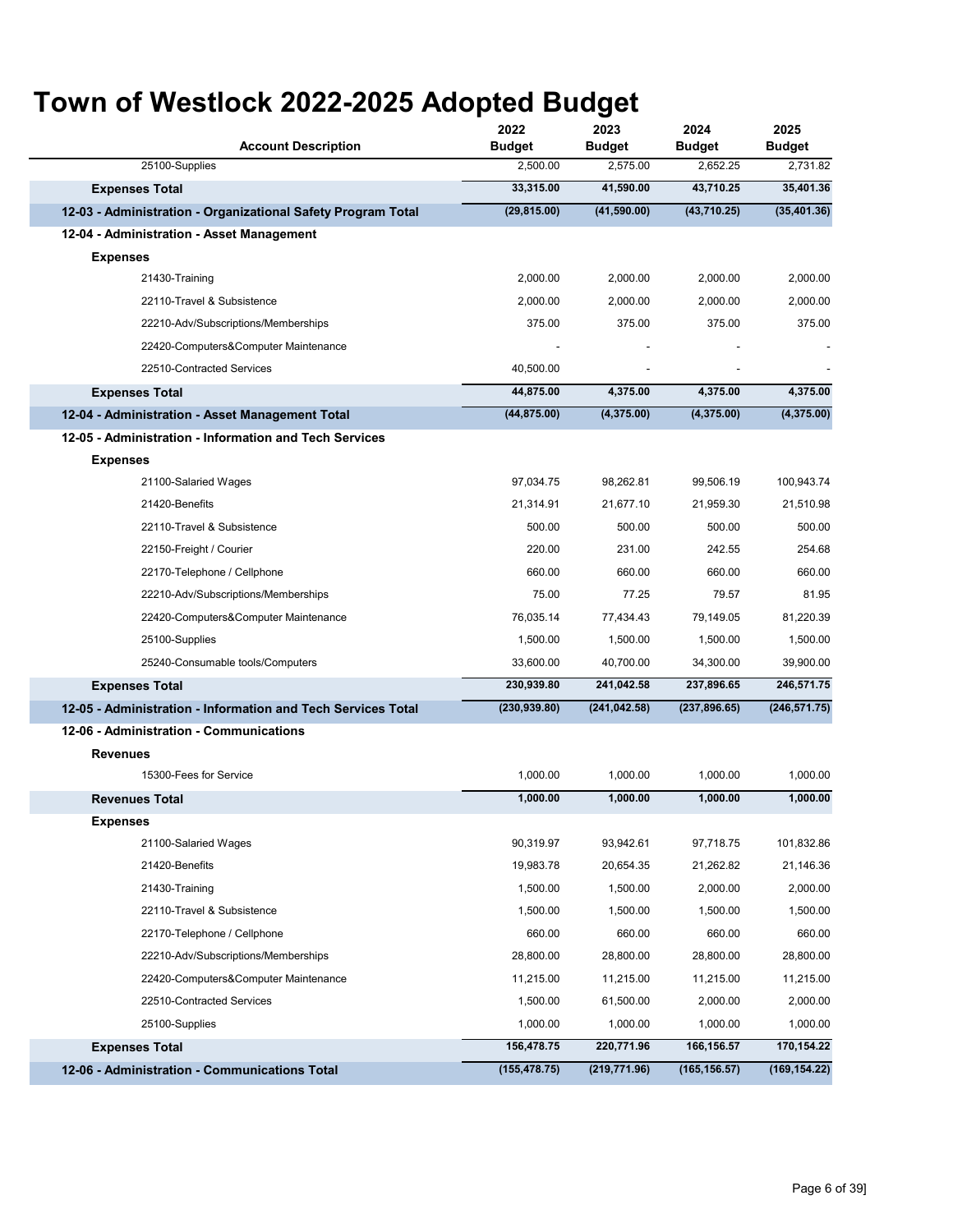| <b>Account Description</b>                                   | 2022<br><b>Budget</b> | 2023<br><b>Budget</b> | 2024<br><b>Budget</b> | 2025<br><b>Budget</b> |
|--------------------------------------------------------------|-----------------------|-----------------------|-----------------------|-----------------------|
| 25100-Supplies                                               | 2,500.00              | 2,575.00              | 2,652.25              | 2,731.82              |
| <b>Expenses Total</b>                                        | 33,315.00             | 41,590.00             | 43,710.25             | 35,401.36             |
| 12-03 - Administration - Organizational Safety Program Total | (29, 815.00)          | (41,590.00)           | (43,710.25)           | (35, 401.36)          |
| 12-04 - Administration - Asset Management                    |                       |                       |                       |                       |
| <b>Expenses</b>                                              |                       |                       |                       |                       |
| 21430-Training                                               | 2,000.00              | 2,000.00              | 2,000.00              | 2,000.00              |
| 22110-Travel & Subsistence                                   | 2,000.00              | 2,000.00              | 2,000.00              | 2,000.00              |
| 22210-Adv/Subscriptions/Memberships                          | 375.00                | 375.00                | 375.00                | 375.00                |
| 22420-Computers&Computer Maintenance                         |                       |                       |                       |                       |
| 22510-Contracted Services                                    | 40,500.00             |                       |                       |                       |
| <b>Expenses Total</b>                                        | 44,875.00             | 4,375.00              | 4,375.00              | 4,375.00              |
| 12-04 - Administration - Asset Management Total              | (44, 875.00)          | (4,375.00)            | (4,375.00)            | (4,375.00)            |
| 12-05 - Administration - Information and Tech Services       |                       |                       |                       |                       |
| <b>Expenses</b>                                              |                       |                       |                       |                       |
| 21100-Salaried Wages                                         | 97,034.75             | 98,262.81             | 99,506.19             | 100,943.74            |
| 21420-Benefits                                               | 21,314.91             | 21.677.10             | 21,959.30             | 21,510.98             |
| 22110-Travel & Subsistence                                   | 500.00                | 500.00                | 500.00                | 500.00                |
| 22150-Freight / Courier                                      | 220.00                | 231.00                | 242.55                | 254.68                |
| 22170-Telephone / Cellphone                                  | 660.00                | 660.00                | 660.00                | 660.00                |
| 22210-Adv/Subscriptions/Memberships                          | 75.00                 | 77.25                 | 79.57                 | 81.95                 |
| 22420-Computers&Computer Maintenance                         | 76,035.14             | 77,434.43             | 79,149.05             | 81,220.39             |
| 25100-Supplies                                               | 1,500.00              | 1,500.00              | 1,500.00              | 1,500.00              |
| 25240-Consumable tools/Computers                             | 33,600.00             | 40,700.00             | 34,300.00             | 39,900.00             |
| <b>Expenses Total</b>                                        | 230,939.80            | 241,042.58            | 237,896.65            | 246,571.75            |
| 12-05 - Administration - Information and Tech Services Total | (230, 939.80)         | (241, 042.58)         | (237, 896.65)         | (246, 571.75)         |
| 12-06 - Administration - Communications                      |                       |                       |                       |                       |
| <b>Revenues</b>                                              |                       |                       |                       |                       |
| 15300-Fees for Service                                       | 1,000.00              | 1,000.00              | 1,000.00              | 1,000.00              |
| <b>Revenues Total</b>                                        | 1,000.00              | 1,000.00              | 1,000.00              | 1,000.00              |
| <b>Expenses</b>                                              |                       |                       |                       |                       |
| 21100-Salaried Wages                                         | 90,319.97             | 93,942.61             | 97,718.75             | 101,832.86            |
| 21420-Benefits                                               | 19,983.78             | 20,654.35             | 21,262.82             | 21,146.36             |
| 21430-Training                                               | 1,500.00              | 1,500.00              | 2,000.00              | 2,000.00              |
| 22110-Travel & Subsistence                                   | 1,500.00              | 1,500.00              | 1,500.00              | 1,500.00              |
| 22170-Telephone / Cellphone                                  | 660.00                | 660.00                | 660.00                | 660.00                |
| 22210-Adv/Subscriptions/Memberships                          | 28,800.00             | 28,800.00             | 28,800.00             | 28,800.00             |
| 22420-Computers&Computer Maintenance                         | 11,215.00             | 11,215.00             | 11,215.00             | 11,215.00             |
| 22510-Contracted Services                                    | 1,500.00              | 61,500.00             | 2,000.00              | 2,000.00              |
| 25100-Supplies                                               | 1,000.00              | 1,000.00              | 1,000.00              | 1,000.00              |
| <b>Expenses Total</b>                                        | 156,478.75            | 220,771.96            | 166, 156.57           | 170,154.22            |
| 12-06 - Administration - Communications Total                | (155, 478.75)         | (219, 771.96)         | (165, 156.57)         | (169, 154.22)         |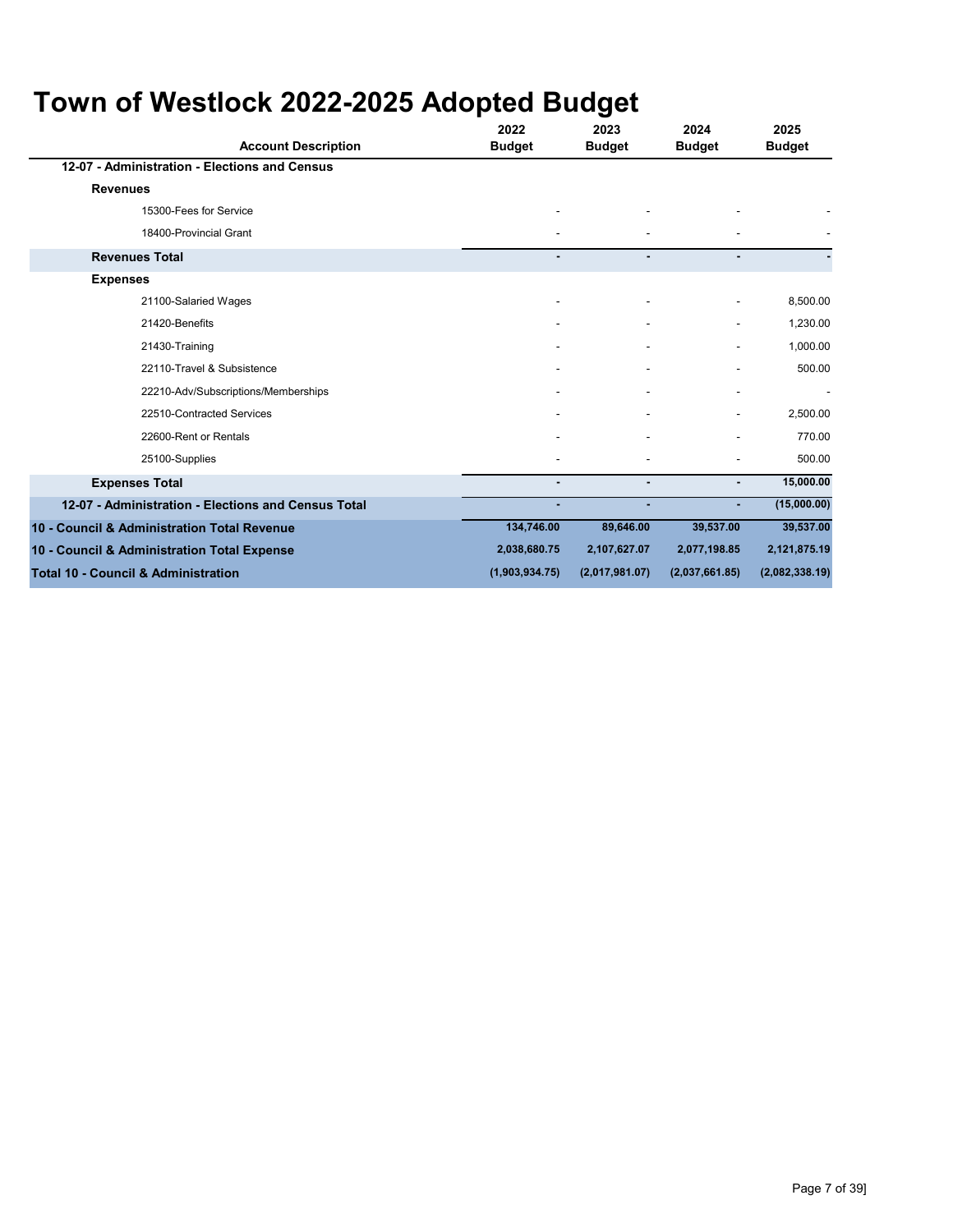| <b>Account Description</b>                          | 2022<br><b>Budget</b>    | 2023<br><b>Budget</b> | 2024<br><b>Budget</b> | 2025<br><b>Budget</b> |
|-----------------------------------------------------|--------------------------|-----------------------|-----------------------|-----------------------|
| 12-07 - Administration - Elections and Census       |                          |                       |                       |                       |
| <b>Revenues</b>                                     |                          |                       |                       |                       |
| 15300-Fees for Service                              |                          | ٠                     |                       |                       |
| 18400-Provincial Grant                              |                          |                       |                       |                       |
| <b>Revenues Total</b>                               | $\blacksquare$           | $\blacksquare$        | ۰                     |                       |
| <b>Expenses</b>                                     |                          |                       |                       |                       |
| 21100-Salaried Wages                                |                          |                       |                       | 8,500.00              |
| 21420-Benefits                                      |                          | ٠                     |                       | 1,230.00              |
| 21430-Training                                      |                          | $\blacksquare$        |                       | 1,000.00              |
| 22110-Travel & Subsistence                          |                          |                       |                       | 500.00                |
| 22210-Adv/Subscriptions/Memberships                 |                          |                       |                       |                       |
| 22510-Contracted Services                           |                          |                       |                       | 2,500.00              |
| 22600-Rent or Rentals                               |                          |                       |                       | 770.00                |
| 25100-Supplies                                      |                          | ٠                     |                       | 500.00                |
| <b>Expenses Total</b>                               | $\overline{\phantom{a}}$ | ٠                     |                       | 15,000.00             |
| 12-07 - Administration - Elections and Census Total |                          |                       |                       | (15,000.00)           |
| 10 - Council & Administration Total Revenue         | 134,746.00               | 89,646.00             | 39,537.00             | 39,537.00             |
| 10 - Council & Administration Total Expense         | 2,038,680.75             | 2,107,627.07          | 2,077,198.85          | 2,121,875.19          |
| <b>Total 10 - Council &amp; Administration</b>      | (1,903,934.75)           | (2,017,981.07)        | (2,037,661.85)        | (2,082,338.19)        |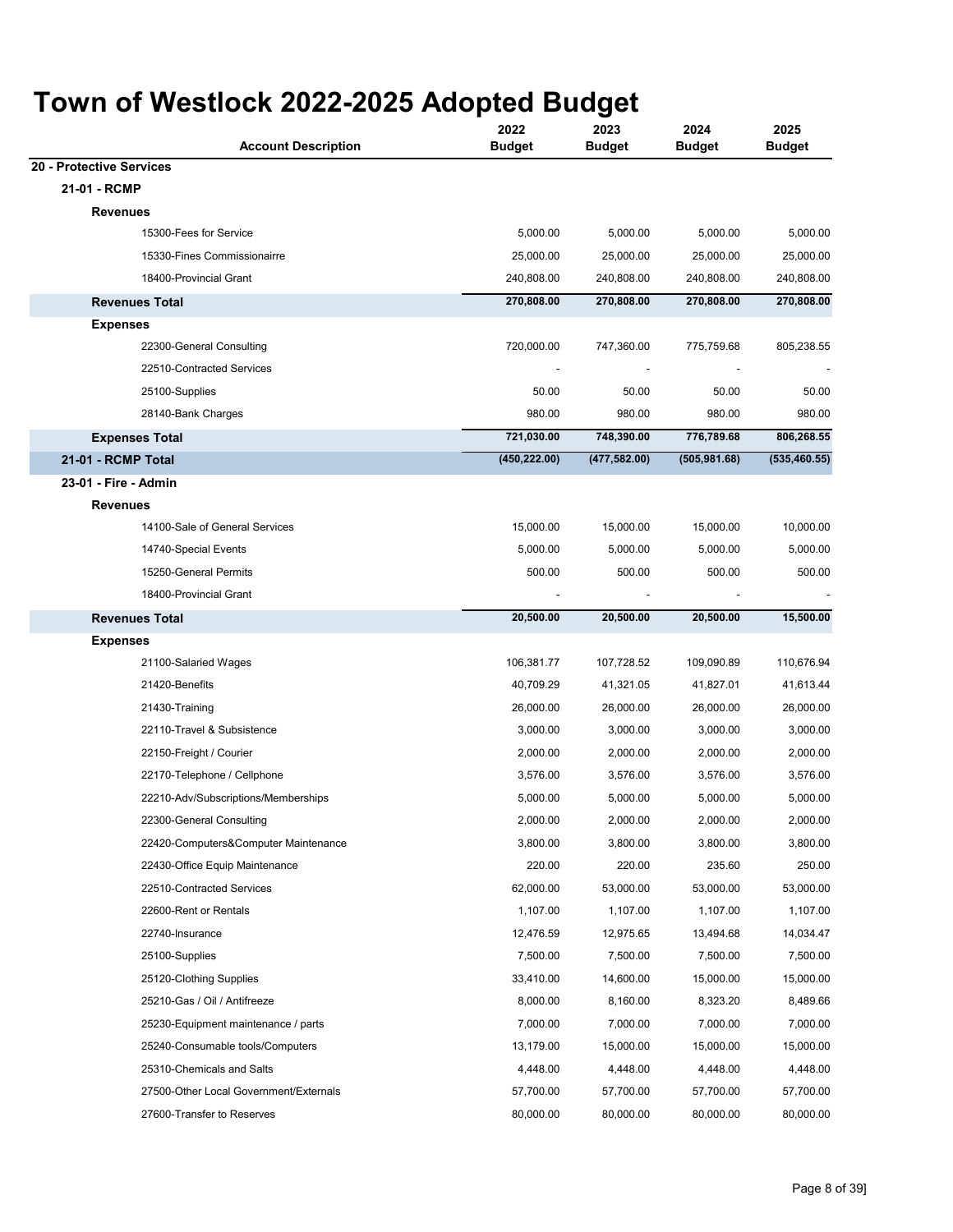| <b>Account Description</b>             | 2022<br><b>Budget</b> | 2023<br><b>Budget</b> | 2024<br><b>Budget</b> | 2025<br><b>Budget</b> |
|----------------------------------------|-----------------------|-----------------------|-----------------------|-----------------------|
| 20 - Protective Services               |                       |                       |                       |                       |
| 21-01 - RCMP                           |                       |                       |                       |                       |
| <b>Revenues</b>                        |                       |                       |                       |                       |
| 15300-Fees for Service                 | 5,000.00              | 5,000.00              | 5,000.00              | 5,000.00              |
| 15330-Fines Commissionairre            | 25,000.00             | 25,000.00             | 25,000.00             | 25,000.00             |
| 18400-Provincial Grant                 | 240,808.00            | 240,808.00            | 240,808.00            | 240,808.00            |
| <b>Revenues Total</b>                  | 270,808.00            | 270,808.00            | 270,808.00            | 270,808.00            |
| <b>Expenses</b>                        |                       |                       |                       |                       |
| 22300-General Consulting               | 720,000.00            | 747,360.00            | 775,759.68            | 805,238.55            |
| 22510-Contracted Services              |                       |                       |                       |                       |
| 25100-Supplies                         | 50.00                 | 50.00                 | 50.00                 | 50.00                 |
| 28140-Bank Charges                     | 980.00                | 980.00                | 980.00                | 980.00                |
| <b>Expenses Total</b>                  | 721,030.00            | 748,390.00            | 776,789.68            | 806,268.55            |
| <b>21-01 - RCMP Total</b>              | (450, 222.00)         | (477, 582.00)         | (505, 981.68)         | (535, 460.55)         |
| 23-01 - Fire - Admin                   |                       |                       |                       |                       |
| <b>Revenues</b>                        |                       |                       |                       |                       |
| 14100-Sale of General Services         | 15,000.00             | 15,000.00             | 15,000.00             | 10,000.00             |
| 14740-Special Events                   | 5,000.00              | 5,000.00              | 5,000.00              | 5,000.00              |
| 15250-General Permits                  | 500.00                | 500.00                | 500.00                | 500.00                |
| 18400-Provincial Grant                 |                       |                       |                       |                       |
| <b>Revenues Total</b>                  | 20,500.00             | 20,500.00             | 20,500.00             | 15,500.00             |
| <b>Expenses</b>                        |                       |                       |                       |                       |
| 21100-Salaried Wages                   | 106,381.77            | 107,728.52            | 109,090.89            | 110,676.94            |
| 21420-Benefits                         | 40,709.29             | 41,321.05             | 41,827.01             | 41,613.44             |
| 21430-Training                         | 26,000.00             | 26,000.00             | 26,000.00             | 26,000.00             |
| 22110-Travel & Subsistence             | 3,000.00              | 3,000.00              | 3,000.00              | 3,000.00              |
| 22150-Freight / Courier                | 2,000.00              | 2,000.00              | 2,000.00              | 2,000.00              |
| 22170-Telephone / Cellphone            | 3,576.00              | 3,576.00              | 3,576.00              | 3,576.00              |
| 22210-Adv/Subscriptions/Memberships    | 5,000.00              | 5,000.00              | 5,000.00              | 5,000.00              |
| 22300-General Consulting               | 2,000.00              | 2,000.00              | 2,000.00              | 2,000.00              |
| 22420-Computers&Computer Maintenance   | 3,800.00              | 3,800.00              | 3,800.00              | 3,800.00              |
| 22430-Office Equip Maintenance         | 220.00                | 220.00                | 235.60                | 250.00                |
| 22510-Contracted Services              | 62,000.00             | 53,000.00             | 53,000.00             | 53,000.00             |
| 22600-Rent or Rentals                  | 1,107.00              | 1,107.00              | 1,107.00              | 1,107.00              |
| 22740-Insurance                        | 12,476.59             | 12,975.65             | 13,494.68             | 14,034.47             |
| 25100-Supplies                         | 7,500.00              | 7,500.00              | 7,500.00              | 7,500.00              |
| 25120-Clothing Supplies                | 33,410.00             | 14,600.00             | 15,000.00             | 15,000.00             |
| 25210-Gas / Oil / Antifreeze           | 8,000.00              | 8,160.00              | 8,323.20              | 8,489.66              |
| 25230-Equipment maintenance / parts    | 7,000.00              | 7,000.00              | 7,000.00              | 7,000.00              |
| 25240-Consumable tools/Computers       | 13,179.00             | 15,000.00             | 15,000.00             | 15,000.00             |
| 25310-Chemicals and Salts              | 4,448.00              | 4,448.00              | 4,448.00              | 4,448.00              |
| 27500-Other Local Government/Externals | 57,700.00             | 57,700.00             | 57,700.00             | 57,700.00             |
| 27600-Transfer to Reserves             | 80,000.00             | 80,000.00             | 80,000.00             | 80,000.00             |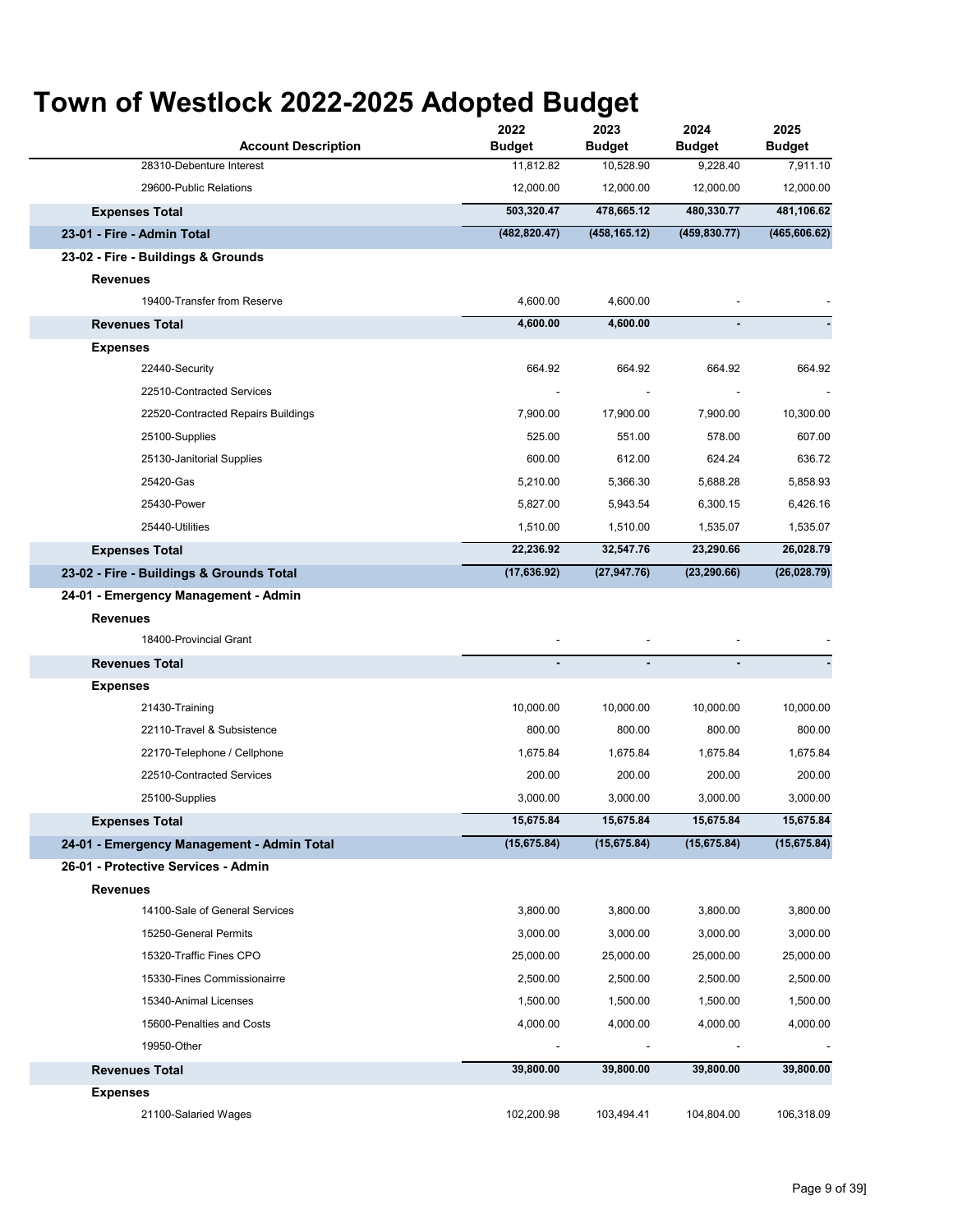| <b>Account Description</b>                 | 2022<br><b>Budget</b> | 2023<br><b>Budget</b> | 2024<br><b>Budget</b> | 2025<br><b>Budget</b> |
|--------------------------------------------|-----------------------|-----------------------|-----------------------|-----------------------|
| 28310-Debenture Interest                   | 11,812.82             | 10,528.90             | 9,228.40              | 7,911.10              |
| 29600-Public Relations                     | 12,000.00             | 12,000.00             | 12,000.00             | 12,000.00             |
| <b>Expenses Total</b>                      | 503,320.47            | 478,665.12            | 480,330.77            | 481,106.62            |
| 23-01 - Fire - Admin Total                 | (482, 820.47)         | (458, 165.12)         | (459, 830.77)         | (465, 606.62)         |
| 23-02 - Fire - Buildings & Grounds         |                       |                       |                       |                       |
| Revenues                                   |                       |                       |                       |                       |
| 19400-Transfer from Reserve                | 4,600.00              | 4,600.00              |                       |                       |
| <b>Revenues Total</b>                      | 4,600.00              | 4,600.00              |                       |                       |
| <b>Expenses</b>                            |                       |                       |                       |                       |
| 22440-Security                             | 664.92                | 664.92                | 664.92                | 664.92                |
| 22510-Contracted Services                  |                       |                       |                       |                       |
| 22520-Contracted Repairs Buildings         | 7,900.00              | 17,900.00             | 7,900.00              | 10,300.00             |
| 25100-Supplies                             | 525.00                | 551.00                | 578.00                | 607.00                |
| 25130-Janitorial Supplies                  | 600.00                | 612.00                | 624.24                | 636.72                |
| 25420-Gas                                  | 5,210.00              | 5,366.30              | 5,688.28              | 5,858.93              |
| 25430-Power                                | 5,827.00              | 5,943.54              | 6,300.15              | 6,426.16              |
| 25440-Utilities                            | 1,510.00              | 1,510.00              | 1,535.07              | 1,535.07              |
| <b>Expenses Total</b>                      | 22,236.92             | 32,547.76             | 23,290.66             | 26,028.79             |
| 23-02 - Fire - Buildings & Grounds Total   | (17,636.92)           | (27, 947.76)          | (23, 290.66)          | (26, 028.79)          |
| 24-01 - Emergency Management - Admin       |                       |                       |                       |                       |
| Revenues                                   |                       |                       |                       |                       |
| 18400-Provincial Grant                     |                       |                       |                       |                       |
| <b>Revenues Total</b>                      |                       | ٠                     |                       |                       |
| <b>Expenses</b>                            |                       |                       |                       |                       |
| 21430-Training                             | 10,000.00             | 10,000.00             | 10,000.00             | 10,000.00             |
| 22110-Travel & Subsistence                 | 800.00                | 800.00                | 800.00                | 800.00                |
| 22170-Telephone / Cellphone                | 1,675.84              | 1,675.84              | 1,675.84              | 1,675.84              |
| 22510-Contracted Services                  | 200.00                | 200.00                | 200.00                | 200.00                |
| 25100-Supplies                             | 3,000.00              | 3,000.00              | 3,000.00              | 3,000.00              |
| <b>Expenses Total</b>                      | 15,675.84             | 15,675.84             | 15,675.84             | 15,675.84             |
| 24-01 - Emergency Management - Admin Total | (15, 675.84)          | (15, 675.84)          | (15,675.84)           | (15, 675.84)          |
| 26-01 - Protective Services - Admin        |                       |                       |                       |                       |
| <b>Revenues</b>                            |                       |                       |                       |                       |
| 14100-Sale of General Services             | 3,800.00              | 3,800.00              | 3,800.00              | 3,800.00              |
| 15250-General Permits                      | 3,000.00              | 3,000.00              | 3,000.00              | 3,000.00              |
| 15320-Traffic Fines CPO                    | 25,000.00             | 25,000.00             | 25,000.00             | 25,000.00             |
| 15330-Fines Commissionairre                | 2,500.00              | 2,500.00              | 2,500.00              | 2,500.00              |
| 15340-Animal Licenses                      | 1,500.00              | 1,500.00              | 1,500.00              | 1,500.00              |
| 15600-Penalties and Costs                  | 4,000.00              | 4,000.00              | 4,000.00              | 4,000.00              |
| 19950-Other                                |                       |                       |                       |                       |
| <b>Revenues Total</b>                      | 39,800.00             | 39,800.00             | 39,800.00             | 39,800.00             |
| <b>Expenses</b>                            |                       |                       |                       |                       |
| 21100-Salaried Wages                       | 102,200.98            | 103,494.41            | 104,804.00            | 106,318.09            |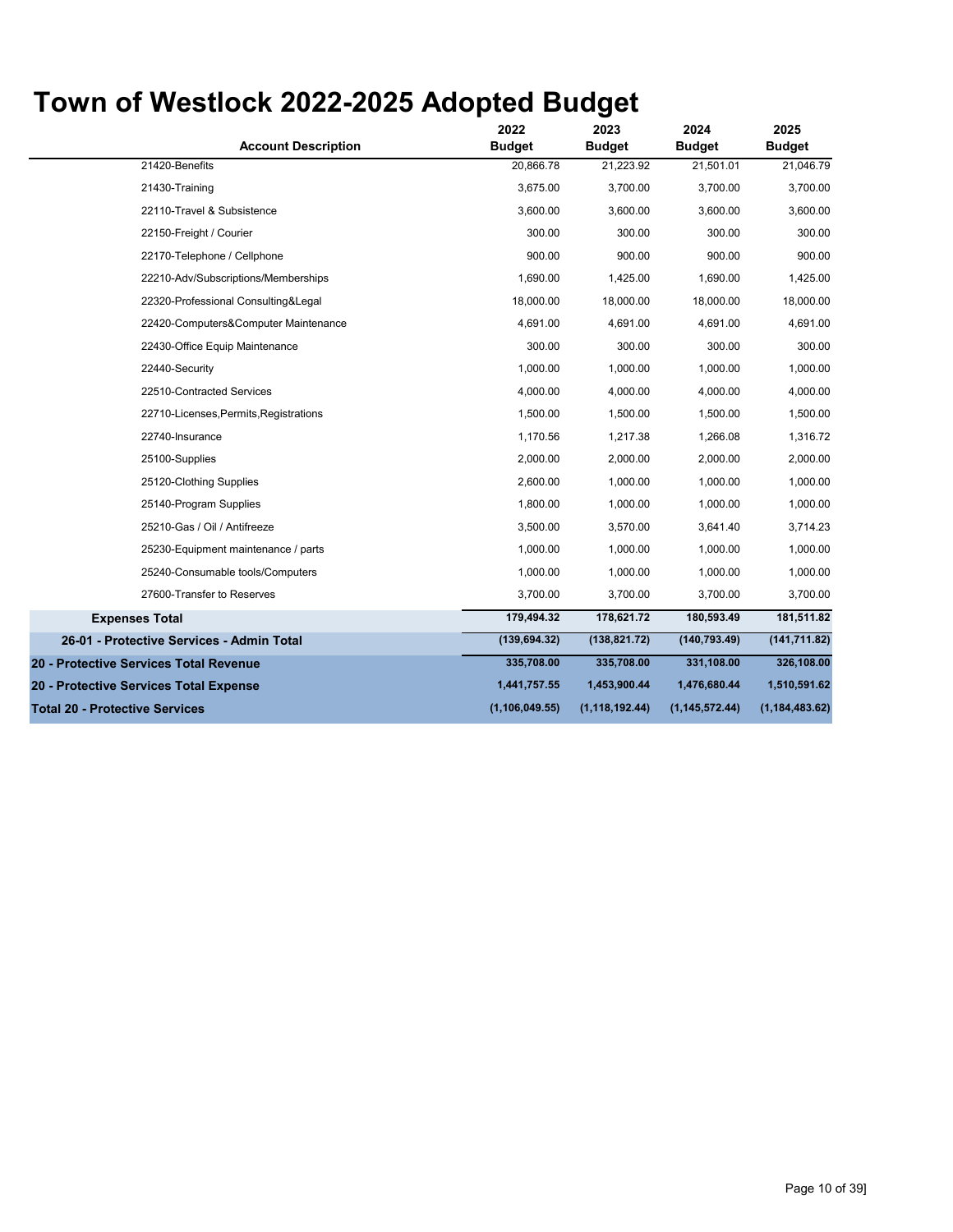| <b>Account Description</b>                | 2022<br><b>Budget</b> | 2023<br><b>Budget</b> | 2024<br><b>Budget</b> | 2025<br><b>Budget</b> |
|-------------------------------------------|-----------------------|-----------------------|-----------------------|-----------------------|
| 21420-Benefits                            | 20,866.78             | 21,223.92             | 21,501.01             | 21,046.79             |
| 21430-Training                            | 3,675.00              | 3,700.00              | 3,700.00              | 3,700.00              |
| 22110-Travel & Subsistence                | 3,600.00              | 3,600.00              | 3,600.00              | 3,600.00              |
| 22150-Freight / Courier                   | 300.00                | 300.00                | 300.00                | 300.00                |
| 22170-Telephone / Cellphone               | 900.00                | 900.00                | 900.00                | 900.00                |
| 22210-Adv/Subscriptions/Memberships       | 1,690.00              | 1,425.00              | 1,690.00              | 1,425.00              |
| 22320-Professional Consulting&Legal       | 18,000.00             | 18,000.00             | 18,000.00             | 18,000.00             |
| 22420-Computers&Computer Maintenance      | 4,691.00              | 4,691.00              | 4,691.00              | 4,691.00              |
| 22430-Office Equip Maintenance            | 300.00                | 300.00                | 300.00                | 300.00                |
| 22440-Security                            | 1.000.00              | 1.000.00              | 1.000.00              | 1,000.00              |
| 22510-Contracted Services                 | 4,000.00              | 4,000.00              | 4,000.00              | 4,000.00              |
| 22710-Licenses, Permits, Registrations    | 1,500.00              | 1,500.00              | 1,500.00              | 1,500.00              |
| 22740-Insurance                           | 1,170.56              | 1,217.38              | 1,266.08              | 1,316.72              |
| 25100-Supplies                            | 2,000.00              | 2,000.00              | 2,000.00              | 2,000.00              |
| 25120-Clothing Supplies                   | 2,600.00              | 1,000.00              | 1,000.00              | 1,000.00              |
| 25140-Program Supplies                    | 1.800.00              | 1,000.00              | 1.000.00              | 1,000.00              |
| 25210-Gas / Oil / Antifreeze              | 3,500.00              | 3,570.00              | 3,641.40              | 3,714.23              |
| 25230-Equipment maintenance / parts       | 1,000.00              | 1,000.00              | 1,000.00              | 1,000.00              |
| 25240-Consumable tools/Computers          | 1,000.00              | 1,000.00              | 1,000.00              | 1,000.00              |
| 27600-Transfer to Reserves                | 3,700.00              | 3,700.00              | 3,700.00              | 3,700.00              |
| <b>Expenses Total</b>                     | 179,494.32            | 178,621.72            | 180,593.49            | 181,511.82            |
| 26-01 - Protective Services - Admin Total | (139, 694.32)         | (138, 821.72)         | (140, 793.49)         | (141, 711.82)         |
| 20 - Protective Services Total Revenue    | 335,708.00            | 335,708.00            | 331,108.00            | 326,108.00            |
| 20 - Protective Services Total Expense    | 1,441,757.55          | 1,453,900.44          | 1,476,680.44          | 1,510,591.62          |
| <b>Total 20 - Protective Services</b>     | (1, 106, 049.55)      | (1, 118, 192.44)      | (1, 145, 572.44)      | (1, 184, 483.62)      |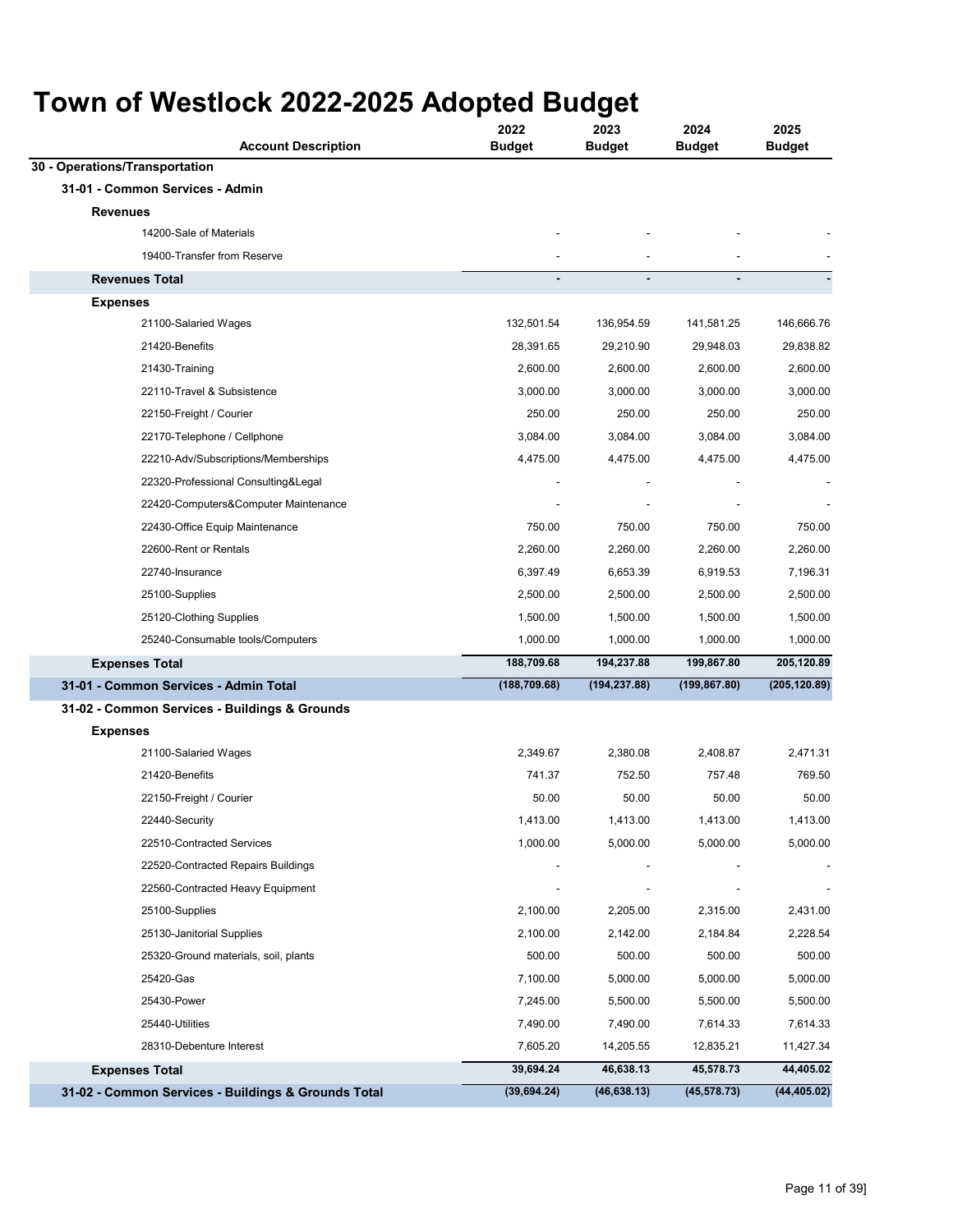| <b>Account Description</b>                          | 2022<br><b>Budget</b> | 2023<br><b>Budget</b> | 2024<br><b>Budget</b> | 2025<br><b>Budget</b> |
|-----------------------------------------------------|-----------------------|-----------------------|-----------------------|-----------------------|
| 30 - Operations/Transportation                      |                       |                       |                       |                       |
| 31-01 - Common Services - Admin                     |                       |                       |                       |                       |
| <b>Revenues</b>                                     |                       |                       |                       |                       |
| 14200-Sale of Materials                             |                       |                       |                       |                       |
| 19400-Transfer from Reserve                         |                       |                       |                       |                       |
| <b>Revenues Total</b>                               |                       | ä,                    |                       |                       |
| <b>Expenses</b>                                     |                       |                       |                       |                       |
| 21100-Salaried Wages                                | 132,501.54            | 136,954.59            | 141,581.25            | 146,666.76            |
| 21420-Benefits                                      | 28,391.65             | 29,210.90             | 29,948.03             | 29,838.82             |
| 21430-Training                                      | 2,600.00              | 2,600.00              | 2,600.00              | 2,600.00              |
| 22110-Travel & Subsistence                          | 3,000.00              | 3,000.00              | 3,000.00              | 3,000.00              |
| 22150-Freight / Courier                             | 250.00                | 250.00                | 250.00                | 250.00                |
| 22170-Telephone / Cellphone                         | 3,084.00              | 3,084.00              | 3,084.00              | 3,084.00              |
| 22210-Adv/Subscriptions/Memberships                 | 4,475.00              | 4,475.00              | 4,475.00              | 4,475.00              |
| 22320-Professional Consulting&Legal                 |                       |                       |                       |                       |
| 22420-Computers&Computer Maintenance                |                       |                       |                       |                       |
| 22430-Office Equip Maintenance                      | 750.00                | 750.00                | 750.00                | 750.00                |
| 22600-Rent or Rentals                               | 2,260.00              | 2,260.00              | 2,260.00              | 2,260.00              |
| 22740-Insurance                                     | 6,397.49              | 6,653.39              | 6,919.53              | 7,196.31              |
| 25100-Supplies                                      | 2,500.00              | 2,500.00              | 2,500.00              | 2,500.00              |
| 25120-Clothing Supplies                             | 1,500.00              | 1,500.00              | 1,500.00              | 1,500.00              |
| 25240-Consumable tools/Computers                    | 1,000.00              | 1,000.00              | 1,000.00              | 1,000.00              |
| <b>Expenses Total</b>                               | 188,709.68            | 194,237.88            | 199,867.80            | 205,120.89            |
| 31-01 - Common Services - Admin Total               | (188, 709.68)         | (194, 237.88)         | (199, 867.80)         | (205, 120.89)         |
| 31-02 - Common Services - Buildings & Grounds       |                       |                       |                       |                       |
| <b>Expenses</b>                                     |                       |                       |                       |                       |
| 21100-Salaried Wages                                | 2,349.67              | 2,380.08              | 2,408.87              | 2,471.31              |
| 21420-Benefits                                      | 741.37                | 752.50                | 757.48                | 769.50                |
| 22150-Freight / Courier                             | 50.00                 | 50.00                 | 50.00                 | 50.00                 |
| 22440-Security                                      | 1,413.00              | 1,413.00              | 1,413.00              | 1,413.00              |
| 22510-Contracted Services                           | 1,000.00              | 5,000.00              | 5,000.00              | 5,000.00              |
| 22520-Contracted Repairs Buildings                  |                       |                       |                       |                       |
| 22560-Contracted Heavy Equipment                    |                       |                       |                       |                       |
| 25100-Supplies                                      | 2,100.00              | 2,205.00              | 2,315.00              | 2,431.00              |
| 25130-Janitorial Supplies                           | 2,100.00              | 2,142.00              | 2,184.84              | 2,228.54              |
| 25320-Ground materials, soil, plants                | 500.00                | 500.00                | 500.00                | 500.00                |
| 25420-Gas                                           | 7,100.00              | 5,000.00              | 5,000.00              | 5,000.00              |
| 25430-Power                                         | 7,245.00              | 5,500.00              | 5,500.00              | 5,500.00              |
| 25440-Utilities                                     | 7,490.00              | 7,490.00              | 7,614.33              | 7,614.33              |
| 28310-Debenture Interest                            | 7,605.20              | 14,205.55             | 12,835.21             | 11,427.34             |
| <b>Expenses Total</b>                               | 39,694.24             | 46,638.13             | 45,578.73             | 44,405.02             |
| 31-02 - Common Services - Buildings & Grounds Total | (39, 694.24)          | (46, 638.13)          | (45, 578.73)          | (44, 405.02)          |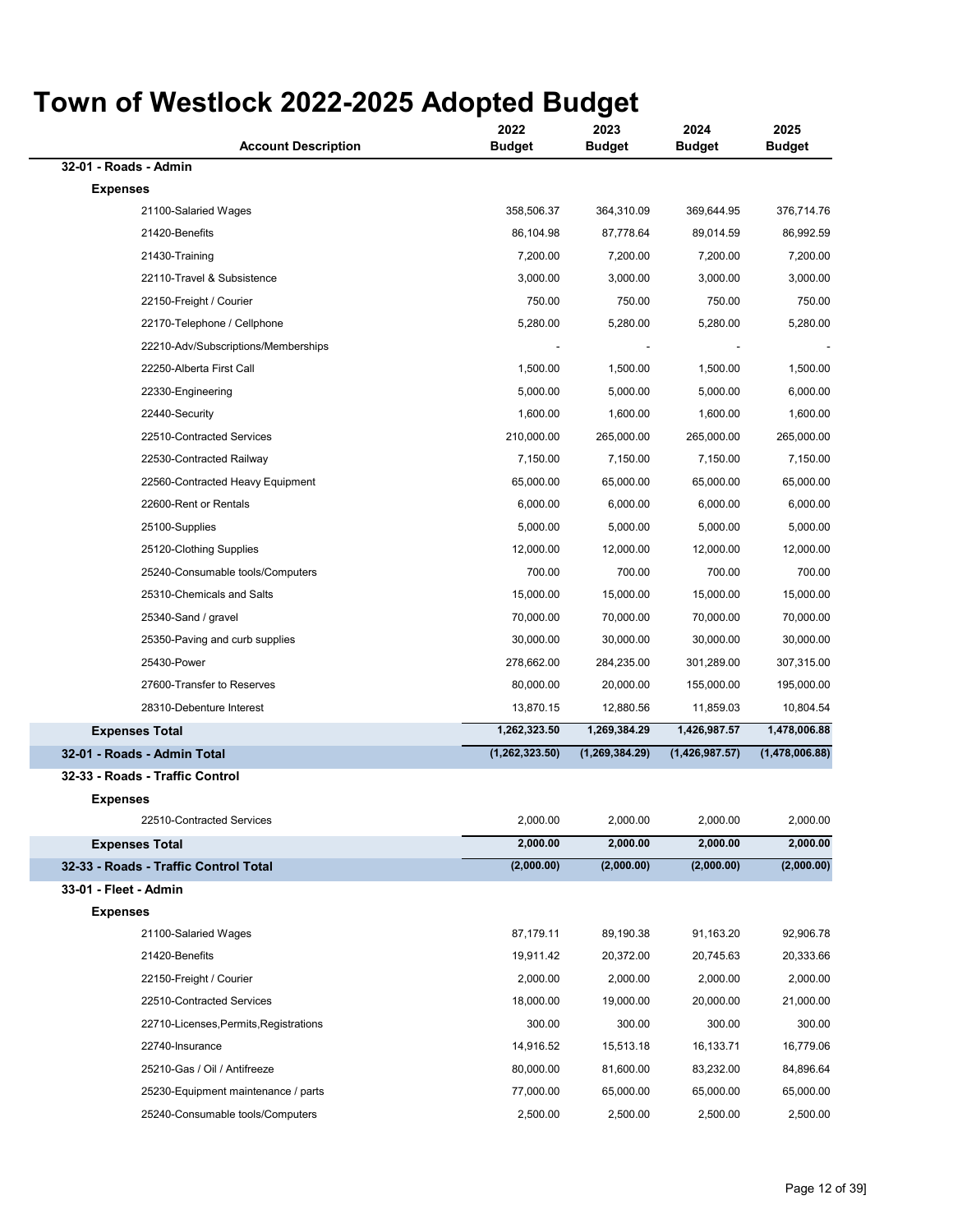| <b>Account Description</b>             | 2022<br><b>Budget</b> | 2023<br><b>Budget</b> | 2024<br>Budget | 2025<br><b>Budget</b> |
|----------------------------------------|-----------------------|-----------------------|----------------|-----------------------|
| 32-01 - Roads - Admin                  |                       |                       |                |                       |
| <b>Expenses</b>                        |                       |                       |                |                       |
| 21100-Salaried Wages                   | 358,506.37            | 364,310.09            | 369,644.95     | 376,714.76            |
| 21420-Benefits                         | 86,104.98             | 87,778.64             | 89,014.59      | 86,992.59             |
| 21430-Training                         | 7,200.00              | 7,200.00              | 7,200.00       | 7,200.00              |
| 22110-Travel & Subsistence             | 3,000.00              | 3,000.00              | 3,000.00       | 3,000.00              |
| 22150-Freight / Courier                | 750.00                | 750.00                | 750.00         | 750.00                |
| 22170-Telephone / Cellphone            | 5,280.00              | 5,280.00              | 5,280.00       | 5,280.00              |
| 22210-Adv/Subscriptions/Memberships    |                       |                       |                |                       |
| 22250-Alberta First Call               | 1,500.00              | 1,500.00              | 1,500.00       | 1,500.00              |
| 22330-Engineering                      | 5,000.00              | 5,000.00              | 5,000.00       | 6,000.00              |
| 22440-Security                         | 1,600.00              | 1,600.00              | 1,600.00       | 1,600.00              |
| 22510-Contracted Services              | 210,000.00            | 265,000.00            | 265,000.00     | 265,000.00            |
| 22530-Contracted Railway               | 7,150.00              | 7,150.00              | 7,150.00       | 7,150.00              |
| 22560-Contracted Heavy Equipment       | 65,000.00             | 65,000.00             | 65,000.00      | 65,000.00             |
| 22600-Rent or Rentals                  | 6,000.00              | 6,000.00              | 6,000.00       | 6,000.00              |
| 25100-Supplies                         | 5,000.00              | 5,000.00              | 5,000.00       | 5,000.00              |
| 25120-Clothing Supplies                | 12,000.00             | 12,000.00             | 12,000.00      | 12,000.00             |
| 25240-Consumable tools/Computers       | 700.00                | 700.00                | 700.00         | 700.00                |
| 25310-Chemicals and Salts              | 15,000.00             | 15,000.00             | 15,000.00      | 15,000.00             |
| 25340-Sand / gravel                    | 70,000.00             | 70,000.00             | 70,000.00      | 70,000.00             |
| 25350-Paving and curb supplies         | 30,000.00             | 30,000.00             | 30,000.00      | 30,000.00             |
| 25430-Power                            | 278,662.00            | 284,235.00            | 301,289.00     | 307,315.00            |
| 27600-Transfer to Reserves             | 80,000.00             | 20,000.00             | 155,000.00     | 195,000.00            |
| 28310-Debenture Interest               | 13,870.15             | 12,880.56             | 11,859.03      | 10,804.54             |
| <b>Expenses Total</b>                  | 1,262,323.50          | 1,269,384.29          | 1,426,987.57   | 1,478,006.88          |
| 32-01 - Roads - Admin Total            | (1,262,323.50)        | (1,269,384.29)        | (1,426,987.57) | (1,478,006.88)        |
| 32-33 - Roads - Traffic Control        |                       |                       |                |                       |
| <b>Expenses</b>                        |                       |                       |                |                       |
| 22510-Contracted Services              | 2,000.00              | 2,000.00              | 2,000.00       | 2,000.00              |
| <b>Expenses Total</b>                  | 2,000.00              | 2,000.00              | 2,000.00       | 2,000.00              |
| 32-33 - Roads - Traffic Control Total  | (2,000.00)            | (2,000.00)            | (2,000.00)     | (2,000.00)            |
| 33-01 - Fleet - Admin                  |                       |                       |                |                       |
| <b>Expenses</b>                        |                       |                       |                |                       |
| 21100-Salaried Wages                   | 87,179.11             | 89,190.38             | 91,163.20      | 92,906.78             |
| 21420-Benefits                         | 19,911.42             | 20,372.00             | 20,745.63      | 20,333.66             |
| 22150-Freight / Courier                | 2,000.00              | 2,000.00              | 2,000.00       | 2,000.00              |
| 22510-Contracted Services              | 18,000.00             | 19,000.00             | 20,000.00      | 21,000.00             |
| 22710-Licenses, Permits, Registrations | 300.00                | 300.00                | 300.00         | 300.00                |
| 22740-Insurance                        | 14,916.52             | 15,513.18             | 16,133.71      | 16,779.06             |
| 25210-Gas / Oil / Antifreeze           | 80,000.00             | 81,600.00             | 83,232.00      | 84,896.64             |
| 25230-Equipment maintenance / parts    | 77,000.00             | 65,000.00             | 65,000.00      | 65,000.00             |
| 25240-Consumable tools/Computers       | 2,500.00              | 2,500.00              | 2,500.00       | 2,500.00              |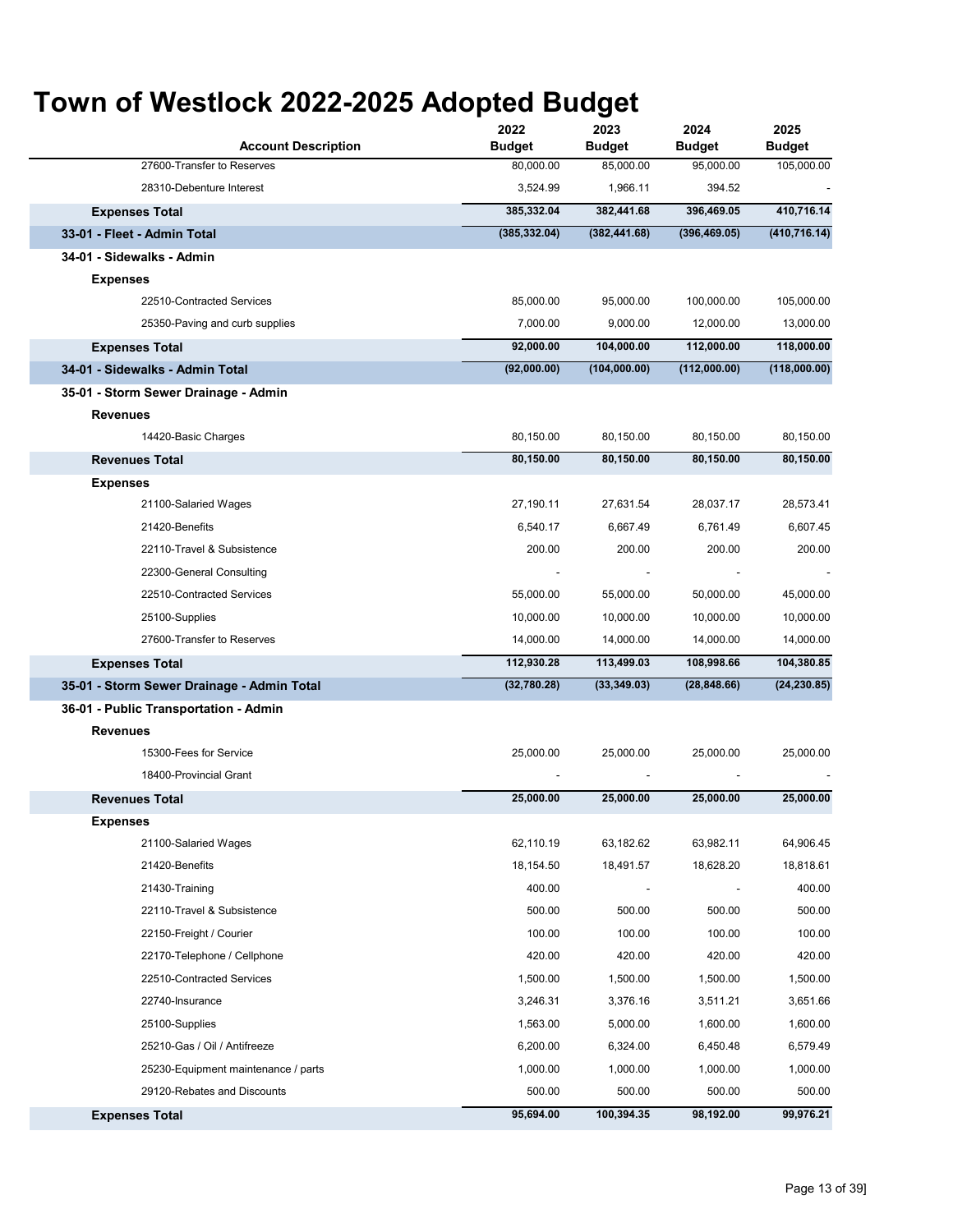| <b>Account Description</b>                 | 2022<br><b>Budget</b> | 2023<br><b>Budget</b> | 2024<br><b>Budget</b> | 2025<br><b>Budget</b> |
|--------------------------------------------|-----------------------|-----------------------|-----------------------|-----------------------|
| 27600-Transfer to Reserves                 | 80,000.00             | 85,000.00             | 95,000.00             | 105,000.00            |
| 28310-Debenture Interest                   | 3,524.99              | 1,966.11              | 394.52                |                       |
| <b>Expenses Total</b>                      | 385,332.04            | 382,441.68            | 396,469.05            | 410,716.14            |
| 33-01 - Fleet - Admin Total                | (385, 332.04)         | (382, 441.68)         | (396, 469.05)         | (410, 716.14)         |
| 34-01 - Sidewalks - Admin                  |                       |                       |                       |                       |
| <b>Expenses</b>                            |                       |                       |                       |                       |
| 22510-Contracted Services                  | 85,000.00             | 95,000.00             | 100,000.00            | 105,000.00            |
| 25350-Paving and curb supplies             | 7,000.00              | 9,000.00              | 12,000.00             | 13,000.00             |
| <b>Expenses Total</b>                      | 92,000.00             | 104,000.00            | 112,000.00            | 118,000.00            |
| 34-01 - Sidewalks - Admin Total            | (92,000.00)           | (104,000.00)          | (112,000.00)          | (118,000.00)          |
| 35-01 - Storm Sewer Drainage - Admin       |                       |                       |                       |                       |
| <b>Revenues</b>                            |                       |                       |                       |                       |
| 14420-Basic Charges                        | 80,150.00             | 80,150.00             | 80,150.00             | 80,150.00             |
| <b>Revenues Total</b>                      | 80,150.00             | 80,150.00             | 80,150.00             | 80,150.00             |
| <b>Expenses</b>                            |                       |                       |                       |                       |
| 21100-Salaried Wages                       | 27,190.11             | 27,631.54             | 28,037.17             | 28,573.41             |
| 21420-Benefits                             | 6,540.17              | 6,667.49              | 6,761.49              | 6,607.45              |
| 22110-Travel & Subsistence                 | 200.00                | 200.00                | 200.00                | 200.00                |
| 22300-General Consulting                   |                       |                       |                       |                       |
| 22510-Contracted Services                  | 55,000.00             | 55,000.00             | 50,000.00             | 45,000.00             |
| 25100-Supplies                             | 10,000.00             | 10,000.00             | 10,000.00             | 10,000.00             |
| 27600-Transfer to Reserves                 | 14,000.00             | 14,000.00             | 14,000.00             | 14,000.00             |
| <b>Expenses Total</b>                      | 112,930.28            | 113,499.03            | 108,998.66            | 104,380.85            |
| 35-01 - Storm Sewer Drainage - Admin Total | (32,780.28)           | (33, 349.03)          | (28, 848.66)          | (24, 230.85)          |
| 36-01 - Public Transportation - Admin      |                       |                       |                       |                       |
| <b>Revenues</b>                            |                       |                       |                       |                       |
| 15300-Fees for Service                     | 25,000.00             | 25,000.00             | 25,000.00             | 25,000.00             |
| 18400-Provincial Grant                     |                       |                       |                       |                       |
| <b>Revenues Total</b>                      | 25,000.00             | 25,000.00             | 25,000.00             | 25,000.00             |
| <b>Expenses</b>                            |                       |                       |                       |                       |
| 21100-Salaried Wages                       | 62,110.19             | 63,182.62             | 63,982.11             | 64,906.45             |
| 21420-Benefits                             | 18,154.50             | 18,491.57             | 18,628.20             | 18,818.61             |
| 21430-Training                             | 400.00                |                       |                       | 400.00                |
| 22110-Travel & Subsistence                 | 500.00                | 500.00                | 500.00                | 500.00                |
| 22150-Freight / Courier                    | 100.00                | 100.00                | 100.00                | 100.00                |
| 22170-Telephone / Cellphone                | 420.00                | 420.00                | 420.00                | 420.00                |
| 22510-Contracted Services                  | 1,500.00              | 1,500.00              | 1,500.00              | 1,500.00              |
| 22740-Insurance                            | 3,246.31              | 3,376.16              | 3,511.21              | 3,651.66              |
| 25100-Supplies                             | 1,563.00              | 5,000.00              | 1,600.00              | 1,600.00              |
| 25210-Gas / Oil / Antifreeze               | 6,200.00              | 6,324.00              | 6,450.48              | 6,579.49              |
| 25230-Equipment maintenance / parts        | 1,000.00              | 1,000.00              | 1,000.00              | 1,000.00              |
| 29120-Rebates and Discounts                | 500.00                | 500.00                | 500.00                | 500.00                |
| <b>Expenses Total</b>                      | 95,694.00             | 100,394.35            | 98,192.00             | 99,976.21             |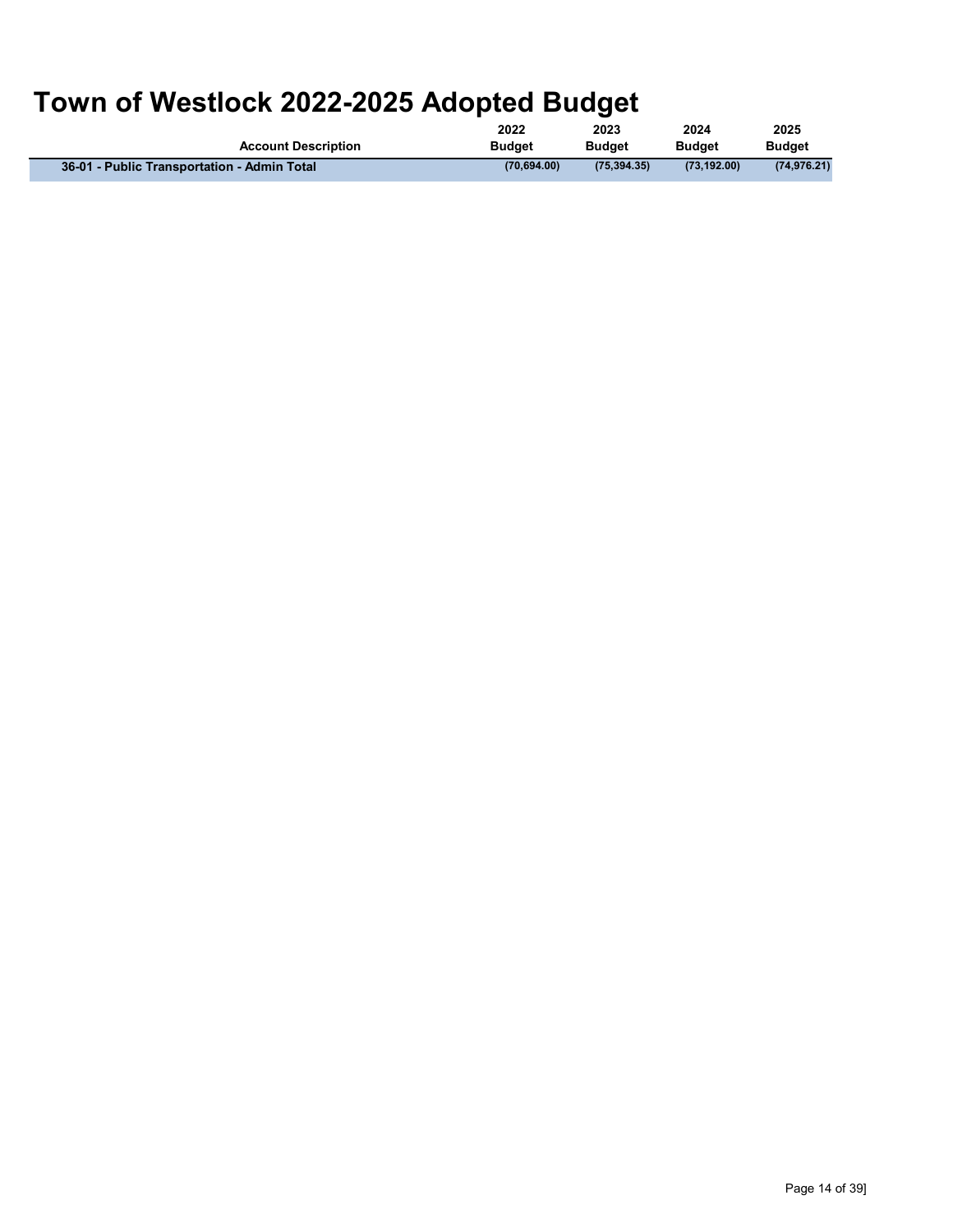| <b>Account Description</b>                  | 2022          | 2023          | 2024          | 2025          |
|---------------------------------------------|---------------|---------------|---------------|---------------|
|                                             | <b>Budget</b> | <b>Budget</b> | <b>Budget</b> | <b>Budget</b> |
| 36-01 - Public Transportation - Admin Total | (70.694.00)   | (75.394.35)   | (73.192.00)   | (74.976.21)   |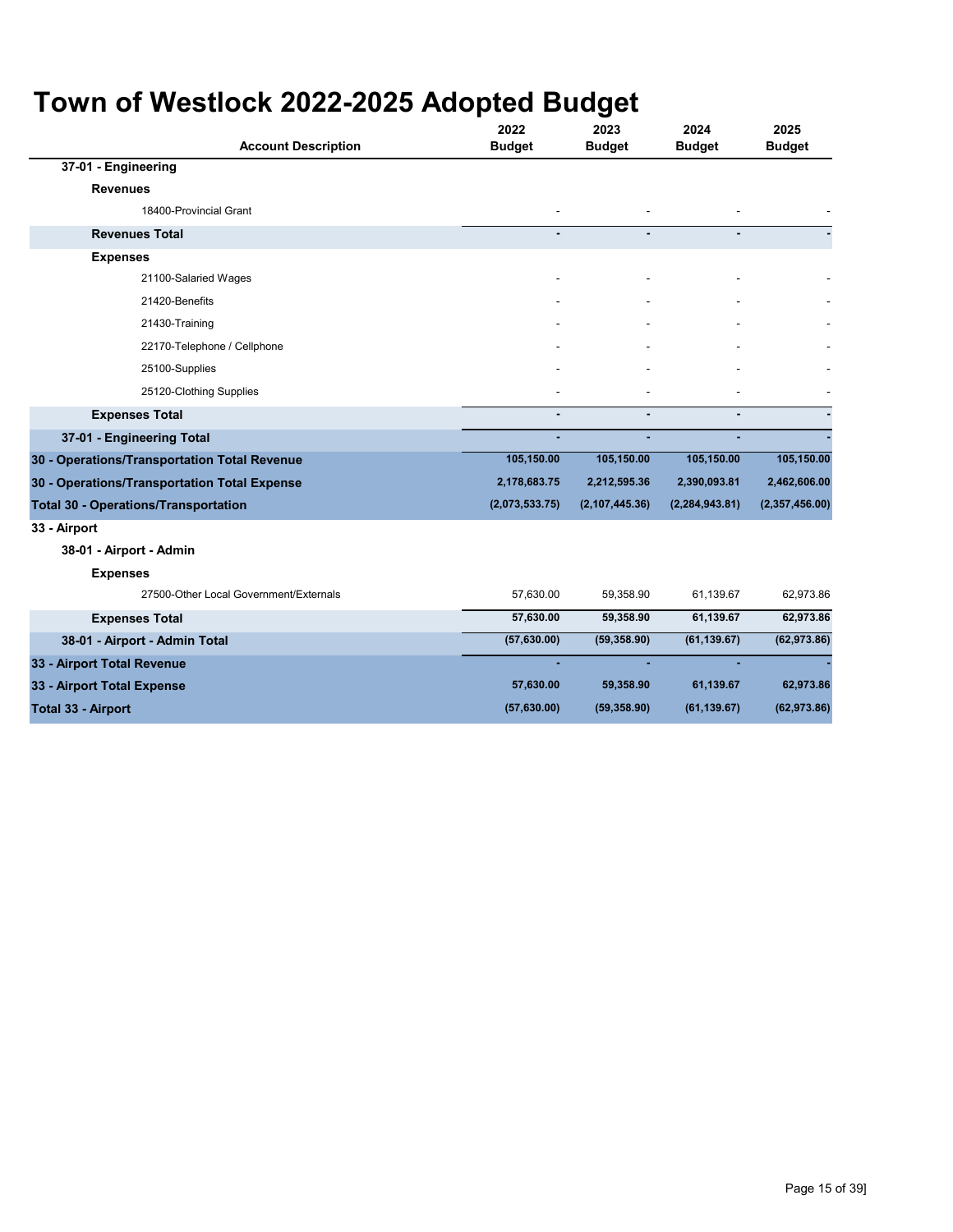| <b>Account Description</b>                   | 2022<br><b>Budget</b> | 2023<br><b>Budget</b> | 2024<br><b>Budget</b> | 2025<br><b>Budget</b> |
|----------------------------------------------|-----------------------|-----------------------|-----------------------|-----------------------|
| 37-01 - Engineering                          |                       |                       |                       |                       |
| <b>Revenues</b>                              |                       |                       |                       |                       |
| 18400-Provincial Grant                       | ٠                     |                       |                       |                       |
| <b>Revenues Total</b>                        |                       |                       |                       |                       |
| <b>Expenses</b>                              |                       |                       |                       |                       |
| 21100-Salaried Wages                         |                       |                       |                       |                       |
| 21420-Benefits                               |                       |                       |                       |                       |
| 21430-Training                               |                       |                       |                       |                       |
| 22170-Telephone / Cellphone                  |                       |                       |                       |                       |
| 25100-Supplies                               |                       |                       |                       |                       |
| 25120-Clothing Supplies                      |                       |                       |                       |                       |
| <b>Expenses Total</b>                        |                       |                       | ä,                    |                       |
| 37-01 - Engineering Total                    |                       |                       |                       |                       |
| 30 - Operations/Transportation Total Revenue | 105,150.00            | 105,150.00            | 105,150.00            | 105,150.00            |
| 30 - Operations/Transportation Total Expense | 2,178,683.75          | 2,212,595.36          | 2,390,093.81          | 2,462,606.00          |
| <b>Total 30 - Operations/Transportation</b>  | (2,073,533.75)        | (2, 107, 445.36)      | (2, 284, 943.81)      | (2,357,456.00)        |
| 33 - Airport                                 |                       |                       |                       |                       |
| 38-01 - Airport - Admin                      |                       |                       |                       |                       |
| <b>Expenses</b>                              |                       |                       |                       |                       |
| 27500-Other Local Government/Externals       | 57,630.00             | 59,358.90             | 61,139.67             | 62,973.86             |
| <b>Expenses Total</b>                        | 57,630.00             | 59,358.90             | 61,139.67             | 62,973.86             |
| 38-01 - Airport - Admin Total                | (57, 630.00)          | (59, 358.90)          | (61, 139.67)          | (62, 973.86)          |
| 33 - Airport Total Revenue                   |                       |                       |                       |                       |
| 33 - Airport Total Expense                   | 57,630.00             | 59,358.90             | 61,139.67             | 62,973.86             |
| <b>Total 33 - Airport</b>                    | (57, 630.00)          | (59, 358.90)          | (61, 139.67)          | (62, 973.86)          |
|                                              |                       |                       |                       |                       |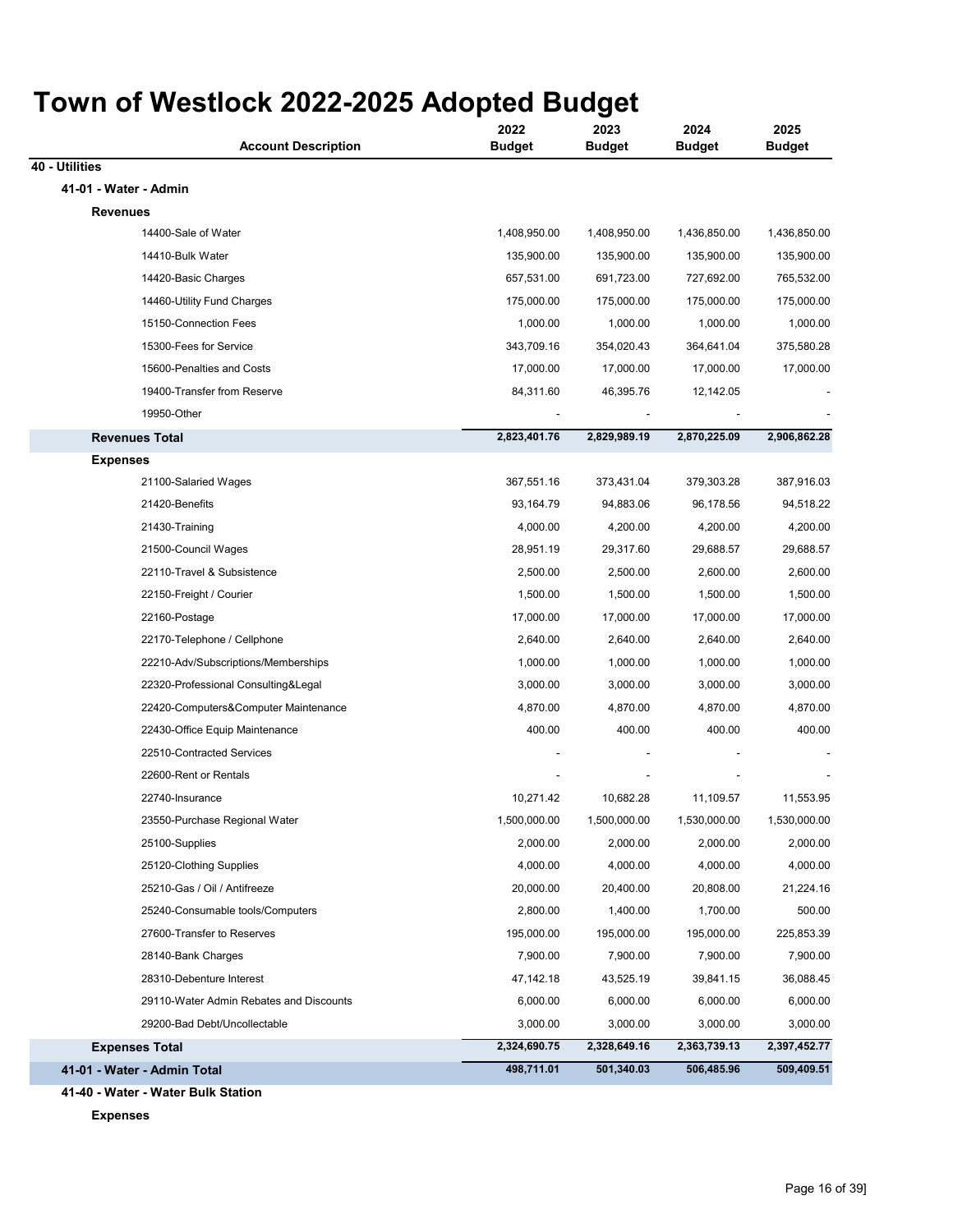|                | <b>Account Description</b>              | 2022<br><b>Budget</b> | 2023<br><b>Budget</b> | 2024<br><b>Budget</b> | 2025<br><b>Budget</b> |
|----------------|-----------------------------------------|-----------------------|-----------------------|-----------------------|-----------------------|
| 40 - Utilities |                                         |                       |                       |                       |                       |
|                | 41-01 - Water - Admin                   |                       |                       |                       |                       |
|                | <b>Revenues</b>                         |                       |                       |                       |                       |
|                | 14400-Sale of Water                     | 1,408,950.00          | 1,408,950.00          | 1,436,850.00          | 1,436,850.00          |
|                | 14410-Bulk Water                        | 135,900.00            | 135,900.00            | 135,900.00            | 135,900.00            |
|                | 14420-Basic Charges                     | 657,531.00            | 691,723.00            | 727,692.00            | 765,532.00            |
|                | 14460-Utility Fund Charges              | 175,000.00            | 175,000.00            | 175,000.00            | 175,000.00            |
|                | 15150-Connection Fees                   | 1,000.00              | 1,000.00              | 1,000.00              | 1,000.00              |
|                | 15300-Fees for Service                  | 343,709.16            | 354,020.43            | 364,641.04            | 375,580.28            |
|                | 15600-Penalties and Costs               | 17,000.00             | 17,000.00             | 17,000.00             | 17,000.00             |
|                | 19400-Transfer from Reserve             | 84,311.60             | 46,395.76             | 12,142.05             |                       |
|                | 19950-Other                             |                       |                       |                       |                       |
|                | <b>Revenues Total</b>                   | 2,823,401.76          | 2,829,989.19          | 2,870,225.09          | 2,906,862.28          |
|                | <b>Expenses</b>                         |                       |                       |                       |                       |
|                | 21100-Salaried Wages                    | 367,551.16            | 373,431.04            | 379,303.28            | 387,916.03            |
|                | 21420-Benefits                          | 93,164.79             | 94,883.06             | 96,178.56             | 94,518.22             |
|                | 21430-Training                          | 4,000.00              | 4,200.00              | 4,200.00              | 4,200.00              |
|                | 21500-Council Wages                     | 28,951.19             | 29,317.60             | 29,688.57             | 29,688.57             |
|                | 22110-Travel & Subsistence              | 2,500.00              | 2,500.00              | 2,600.00              | 2,600.00              |
|                | 22150-Freight / Courier                 | 1,500.00              | 1,500.00              | 1,500.00              | 1,500.00              |
|                | 22160-Postage                           | 17,000.00             | 17,000.00             | 17,000.00             | 17,000.00             |
|                | 22170-Telephone / Cellphone             | 2,640.00              | 2,640.00              | 2,640.00              | 2,640.00              |
|                | 22210-Adv/Subscriptions/Memberships     | 1,000.00              | 1,000.00              | 1,000.00              | 1,000.00              |
|                | 22320-Professional Consulting&Legal     | 3,000.00              | 3,000.00              | 3,000.00              | 3,000.00              |
|                | 22420-Computers&Computer Maintenance    | 4,870.00              | 4,870.00              | 4,870.00              | 4,870.00              |
|                | 22430-Office Equip Maintenance          | 400.00                | 400.00                | 400.00                | 400.00                |
|                | 22510-Contracted Services               |                       |                       |                       |                       |
|                | 22600-Rent or Rentals                   |                       |                       |                       |                       |
|                | 22740-Insurance                         | 10,271.42             | 10,682.28             | 11,109.57             | 11,553.95             |
|                | 23550-Purchase Regional Water           | 1,500,000.00          | 1,500,000.00          | 1,530,000.00          | 1,530,000.00          |
|                | 25100-Supplies                          | 2,000.00              | 2,000.00              | 2,000.00              | 2,000.00              |
|                | 25120-Clothing Supplies                 | 4,000.00              | 4,000.00              | 4,000.00              | 4,000.00              |
|                | 25210-Gas / Oil / Antifreeze            | 20,000.00             | 20,400.00             | 20,808.00             | 21,224.16             |
|                | 25240-Consumable tools/Computers        | 2,800.00              | 1,400.00              | 1,700.00              | 500.00                |
|                | 27600-Transfer to Reserves              | 195,000.00            | 195,000.00            | 195,000.00            | 225,853.39            |
|                | 28140-Bank Charges                      | 7,900.00              | 7,900.00              | 7,900.00              | 7,900.00              |
|                | 28310-Debenture Interest                | 47,142.18             | 43,525.19             | 39,841.15             | 36,088.45             |
|                | 29110-Water Admin Rebates and Discounts | 6,000.00              | 6,000.00              | 6,000.00              | 6,000.00              |
|                | 29200-Bad Debt/Uncollectable            | 3,000.00              | 3,000.00              | 3,000.00              | 3,000.00              |
|                | <b>Expenses Total</b>                   | 2,324,690.75          | 2,328,649.16          | 2,363,739.13          | 2,397,452.77          |
|                | 41-01 - Water - Admin Total             | 498,711.01            | 501,340.03            | 506,485.96            | 509,409.51            |

**41-40 - Water - Water Bulk Station Expenses**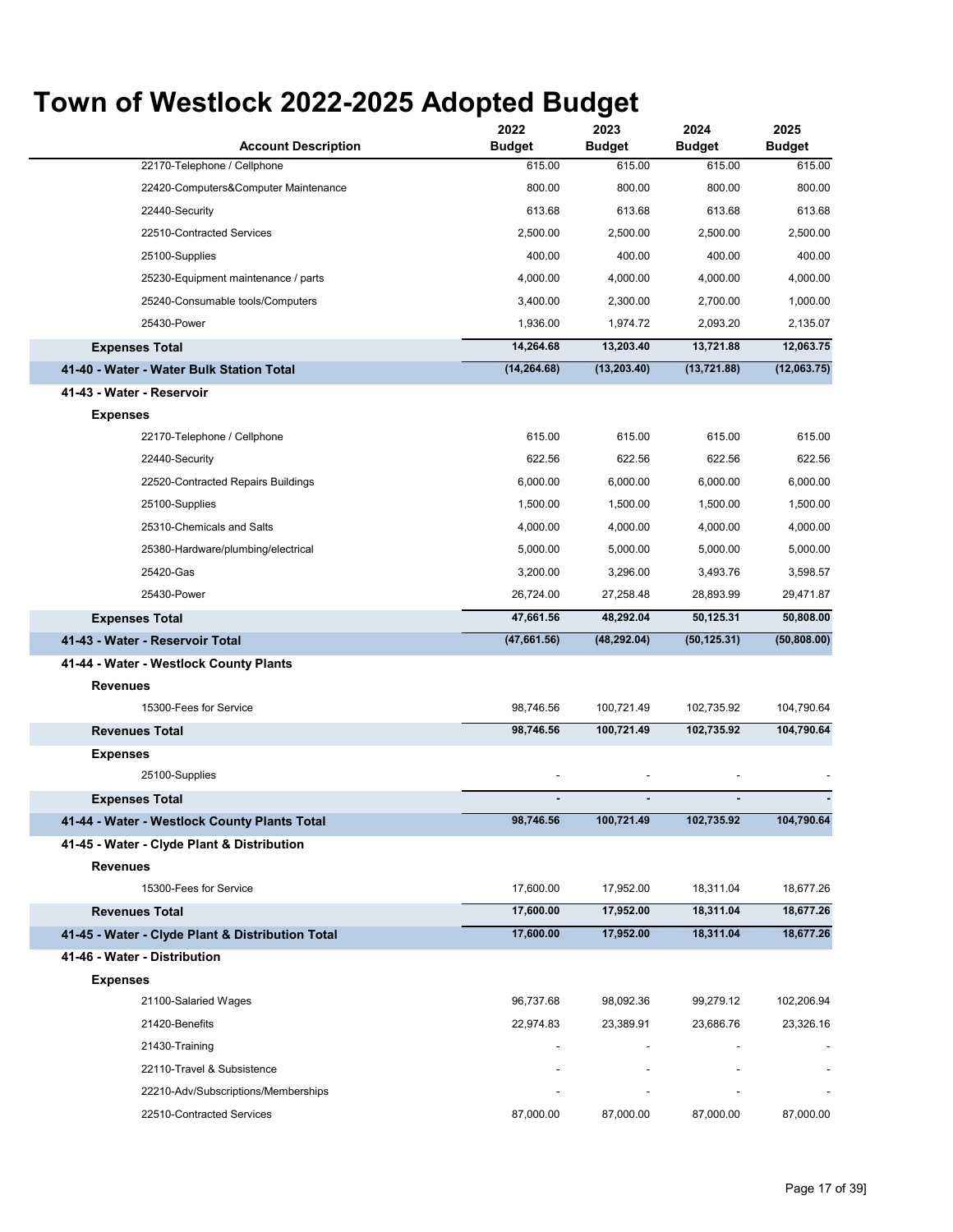| <b>Account Description</b>                       | 2022<br><b>Budget</b> | 2023<br><b>Budget</b> | 2024<br><b>Budget</b> | 2025<br><b>Budget</b> |
|--------------------------------------------------|-----------------------|-----------------------|-----------------------|-----------------------|
| 22170-Telephone / Cellphone                      | 615.00                | 615.00                | 615.00                | 615.00                |
| 22420-Computers&Computer Maintenance             | 800.00                | 800.00                | 800.00                | 800.00                |
| 22440-Security                                   | 613.68                | 613.68                | 613.68                | 613.68                |
| 22510-Contracted Services                        | 2,500.00              | 2,500.00              | 2,500.00              | 2,500.00              |
| 25100-Supplies                                   | 400.00                | 400.00                | 400.00                | 400.00                |
| 25230-Equipment maintenance / parts              | 4,000.00              | 4,000.00              | 4,000.00              | 4,000.00              |
| 25240-Consumable tools/Computers                 | 3,400.00              | 2,300.00              | 2,700.00              | 1,000.00              |
| 25430-Power                                      | 1,936.00              | 1,974.72              | 2,093.20              | 2,135.07              |
| <b>Expenses Total</b>                            | 14,264.68             | 13,203.40             | 13,721.88             | 12,063.75             |
| 41-40 - Water - Water Bulk Station Total         | (14, 264.68)          | (13, 203.40)          | (13, 721.88)          | (12,063.75)           |
| 41-43 - Water - Reservoir                        |                       |                       |                       |                       |
| <b>Expenses</b>                                  |                       |                       |                       |                       |
| 22170-Telephone / Cellphone                      | 615.00                | 615.00                | 615.00                | 615.00                |
| 22440-Security                                   | 622.56                | 622.56                | 622.56                | 622.56                |
| 22520-Contracted Repairs Buildings               | 6,000.00              | 6,000.00              | 6,000.00              | 6,000.00              |
| 25100-Supplies                                   | 1,500.00              | 1,500.00              | 1,500.00              | 1,500.00              |
| 25310-Chemicals and Salts                        | 4,000.00              | 4,000.00              | 4,000.00              | 4,000.00              |
| 25380-Hardware/plumbing/electrical               | 5,000.00              | 5,000.00              | 5,000.00              | 5,000.00              |
| 25420-Gas                                        | 3,200.00              | 3,296.00              | 3,493.76              | 3,598.57              |
| 25430-Power                                      | 26,724.00             | 27,258.48             | 28,893.99             | 29,471.87             |
| <b>Expenses Total</b>                            | 47,661.56             | 48,292.04             | 50,125.31             | 50,808.00             |
| 41-43 - Water - Reservoir Total                  | (47,661.56)           | (48, 292.04)          | (50, 125.31)          | (50, 808.00)          |
| 41-44 - Water - Westlock County Plants           |                       |                       |                       |                       |
| <b>Revenues</b>                                  |                       |                       |                       |                       |
| 15300-Fees for Service                           | 98,746.56             | 100,721.49            | 102,735.92            | 104,790.64            |
| <b>Revenues Total</b>                            | 98,746.56             | 100,721.49            | 102,735.92            | 104,790.64            |
| <b>Expenses</b>                                  |                       |                       |                       |                       |
| 25100-Supplies                                   |                       |                       |                       |                       |
| <b>Expenses Total</b>                            | $\blacksquare$        | ٠                     | ٠                     |                       |
| 41-44 - Water - Westlock County Plants Total     | 98,746.56             | 100,721.49            | 102,735.92            | 104,790.64            |
| 41-45 - Water - Clyde Plant & Distribution       |                       |                       |                       |                       |
| <b>Revenues</b>                                  |                       |                       |                       |                       |
| 15300-Fees for Service                           | 17,600.00             | 17,952.00             | 18,311.04             | 18,677.26             |
| <b>Revenues Total</b>                            | 17,600.00             | 17,952.00             | 18,311.04             | 18,677.26             |
| 41-45 - Water - Clyde Plant & Distribution Total | 17,600.00             | 17,952.00             | 18,311.04             | 18,677.26             |
| 41-46 - Water - Distribution                     |                       |                       |                       |                       |
| <b>Expenses</b>                                  |                       |                       |                       |                       |
| 21100-Salaried Wages                             | 96,737.68             | 98,092.36             | 99,279.12             | 102,206.94            |
| 21420-Benefits                                   | 22,974.83             | 23,389.91             | 23,686.76             | 23,326.16             |
| 21430-Training                                   |                       |                       |                       |                       |
| 22110-Travel & Subsistence                       |                       |                       |                       |                       |
| 22210-Adv/Subscriptions/Memberships              |                       |                       |                       |                       |
| 22510-Contracted Services                        | 87,000.00             | 87,000.00             | 87,000.00             | 87,000.00             |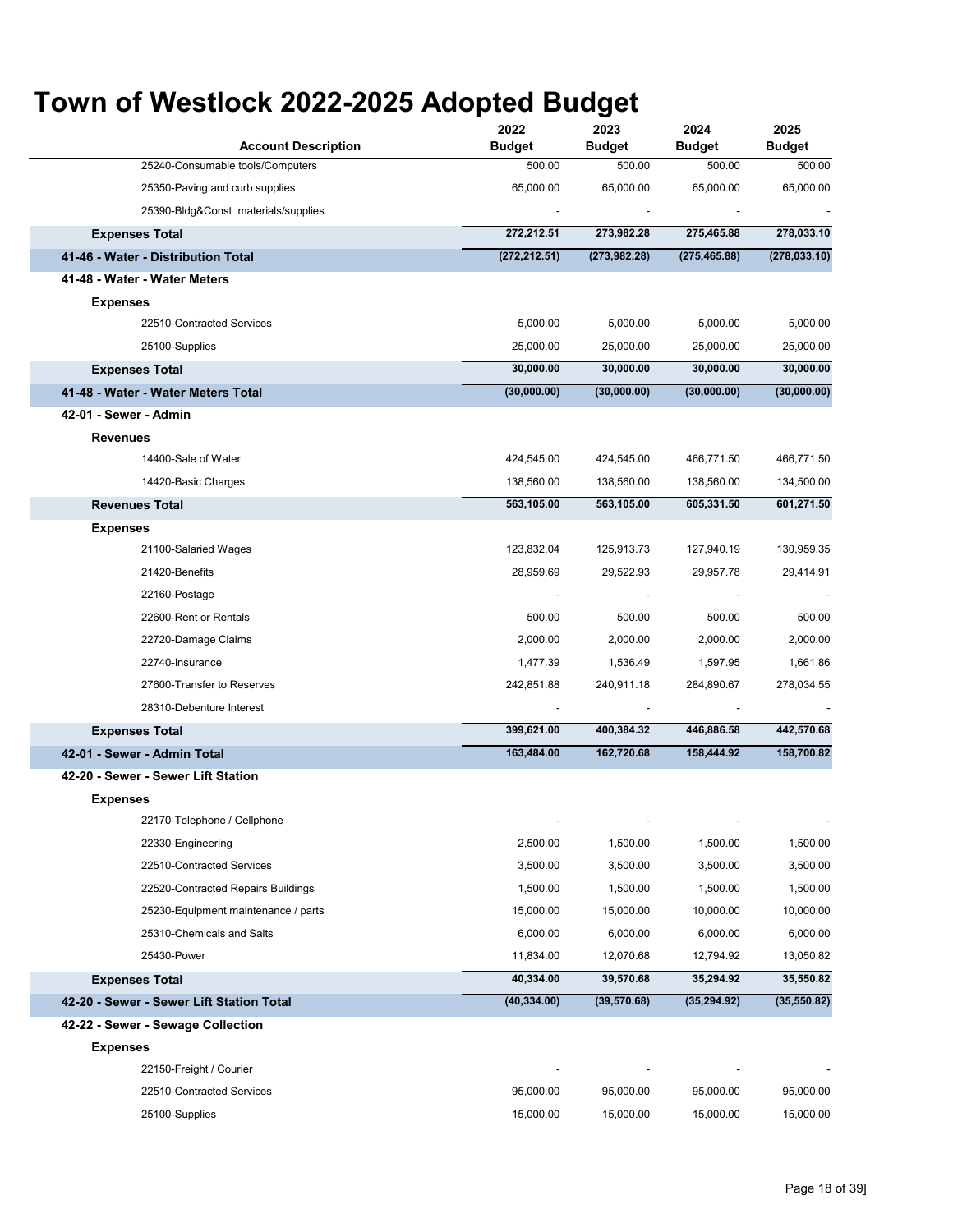| <b>Account Description</b>               | 2022<br><b>Budget</b> | 2023<br><b>Budget</b> | 2024<br><b>Budget</b> | 2025<br><b>Budget</b> |
|------------------------------------------|-----------------------|-----------------------|-----------------------|-----------------------|
| 25240-Consumable tools/Computers         | 500.00                | 500.00                | 500.00                | 500.00                |
| 25350-Paving and curb supplies           | 65,000.00             | 65,000.00             | 65,000.00             | 65,000.00             |
| 25390-Bldg&Const materials/supplies      |                       |                       |                       |                       |
| <b>Expenses Total</b>                    | 272,212.51            | 273,982.28            | 275,465.88            | 278,033.10            |
| 41-46 - Water - Distribution Total       | (272, 212.51)         | (273, 982.28)         | (275, 465.88)         | (278, 033.10)         |
| 41-48 - Water - Water Meters             |                       |                       |                       |                       |
| <b>Expenses</b>                          |                       |                       |                       |                       |
| 22510-Contracted Services                | 5,000.00              | 5,000.00              | 5,000.00              | 5,000.00              |
| 25100-Supplies                           | 25,000.00             | 25,000.00             | 25,000.00             | 25,000.00             |
| <b>Expenses Total</b>                    | 30,000.00             | 30,000.00             | 30,000.00             | 30,000.00             |
| 41-48 - Water - Water Meters Total       | (30,000.00)           | (30,000.00)           | (30,000.00)           | (30,000.00)           |
| 42-01 - Sewer - Admin                    |                       |                       |                       |                       |
| <b>Revenues</b>                          |                       |                       |                       |                       |
| 14400-Sale of Water                      | 424,545.00            | 424,545.00            | 466,771.50            | 466,771.50            |
| 14420-Basic Charges                      | 138,560.00            | 138,560.00            | 138,560.00            | 134,500.00            |
| <b>Revenues Total</b>                    | 563,105.00            | 563,105.00            | 605,331.50            | 601,271.50            |
| <b>Expenses</b>                          |                       |                       |                       |                       |
| 21100-Salaried Wages                     | 123,832.04            | 125,913.73            | 127,940.19            | 130,959.35            |
| 21420-Benefits                           | 28,959.69             | 29,522.93             | 29,957.78             | 29,414.91             |
| 22160-Postage                            |                       |                       |                       |                       |
| 22600-Rent or Rentals                    | 500.00                | 500.00                | 500.00                | 500.00                |
| 22720-Damage Claims                      | 2,000.00              | 2,000.00              | 2,000.00              | 2,000.00              |
| 22740-Insurance                          | 1,477.39              | 1,536.49              | 1,597.95              | 1,661.86              |
| 27600-Transfer to Reserves               | 242,851.88            | 240,911.18            | 284,890.67            | 278,034.55            |
| 28310-Debenture Interest                 |                       |                       |                       |                       |
| <b>Expenses Total</b>                    | 399,621.00            | 400,384.32            | 446,886.58            | 442,570.68            |
| 42-01 - Sewer - Admin Total              | 163,484.00            | 162,720.68            | 158,444.92            | 158,700.82            |
| 42-20 - Sewer - Sewer Lift Station       |                       |                       |                       |                       |
| <b>Expenses</b>                          |                       |                       |                       |                       |
| 22170-Telephone / Cellphone              |                       |                       |                       |                       |
| 22330-Engineering                        | 2,500.00              | 1,500.00              | 1,500.00              | 1,500.00              |
| 22510-Contracted Services                | 3,500.00              | 3,500.00              | 3,500.00              | 3,500.00              |
| 22520-Contracted Repairs Buildings       | 1,500.00              | 1,500.00              | 1,500.00              | 1,500.00              |
| 25230-Equipment maintenance / parts      | 15,000.00             | 15,000.00             | 10,000.00             | 10,000.00             |
| 25310-Chemicals and Salts                | 6,000.00              | 6,000.00              | 6,000.00              | 6,000.00              |
| 25430-Power                              | 11,834.00             | 12,070.68             | 12,794.92             | 13,050.82             |
| <b>Expenses Total</b>                    | 40,334.00             | 39,570.68             | 35,294.92             | 35,550.82             |
| 42-20 - Sewer - Sewer Lift Station Total | (40, 334.00)          | (39, 570.68)          | (35, 294.92)          | (35, 550.82)          |
| 42-22 - Sewer - Sewage Collection        |                       |                       |                       |                       |
| <b>Expenses</b>                          |                       |                       |                       |                       |
| 22150-Freight / Courier                  |                       |                       |                       |                       |
| 22510-Contracted Services                | 95,000.00             | 95,000.00             | 95,000.00             | 95,000.00             |
| 25100-Supplies                           | 15,000.00             | 15,000.00             | 15,000.00             | 15,000.00             |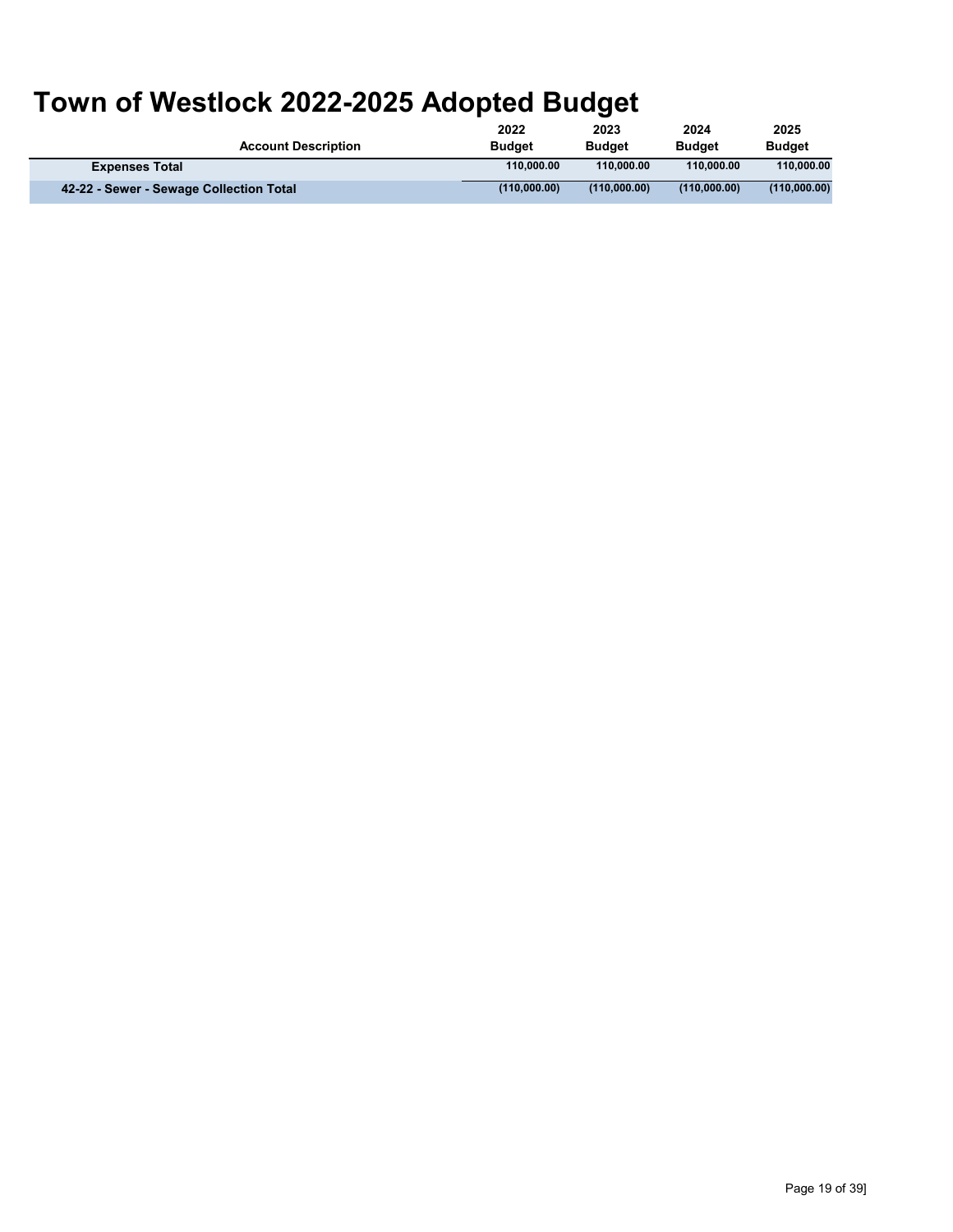|                                         | 2022          | 2023          | 2024          | 2025          |
|-----------------------------------------|---------------|---------------|---------------|---------------|
| <b>Account Description</b>              | <b>Budget</b> | <b>Budget</b> | <b>Budget</b> | <b>Budget</b> |
| <b>Expenses Total</b>                   | 110.000.00    | 110.000.00    | 110.000.00    | 110.000.00    |
| 42-22 - Sewer - Sewage Collection Total | (110.000.00)  | (110.000.00)  | (110.000.00)  | (110,000.00)  |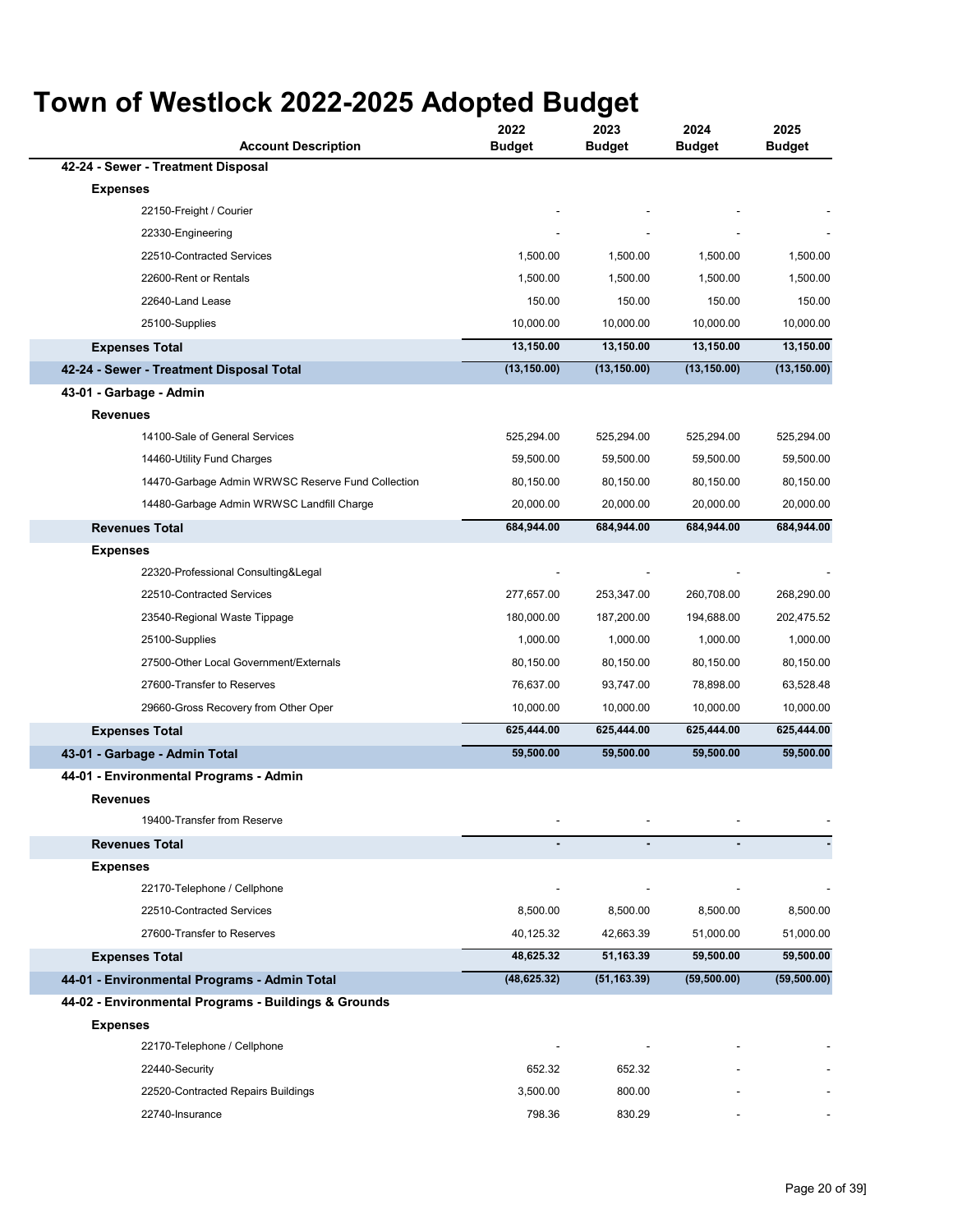| <b>Account Description</b>                           | 2022<br><b>Budget</b> | 2023<br><b>Budget</b> | 2024<br><b>Budget</b> | 2025<br><b>Budget</b> |
|------------------------------------------------------|-----------------------|-----------------------|-----------------------|-----------------------|
| 42-24 - Sewer - Treatment Disposal                   |                       |                       |                       |                       |
| <b>Expenses</b>                                      |                       |                       |                       |                       |
| 22150-Freight / Courier                              |                       |                       |                       |                       |
| 22330-Engineering                                    |                       |                       |                       |                       |
| 22510-Contracted Services                            | 1,500.00              | 1,500.00              | 1,500.00              | 1,500.00              |
| 22600-Rent or Rentals                                | 1,500.00              | 1,500.00              | 1,500.00              | 1,500.00              |
| 22640-Land Lease                                     | 150.00                | 150.00                | 150.00                | 150.00                |
| 25100-Supplies                                       | 10,000.00             | 10,000.00             | 10,000.00             | 10,000.00             |
| <b>Expenses Total</b>                                | 13,150.00             | 13,150.00             | 13,150.00             | 13,150.00             |
| 42-24 - Sewer - Treatment Disposal Total             | (13, 150.00)          | (13, 150.00)          | (13, 150.00)          | (13, 150.00)          |
| 43-01 - Garbage - Admin                              |                       |                       |                       |                       |
| <b>Revenues</b>                                      |                       |                       |                       |                       |
| 14100-Sale of General Services                       | 525,294.00            | 525,294.00            | 525,294.00            | 525,294.00            |
| 14460-Utility Fund Charges                           | 59,500.00             | 59,500.00             | 59,500.00             | 59,500.00             |
| 14470-Garbage Admin WRWSC Reserve Fund Collection    | 80,150.00             | 80,150.00             | 80,150.00             | 80,150.00             |
| 14480-Garbage Admin WRWSC Landfill Charge            | 20,000.00             | 20,000.00             | 20,000.00             | 20,000.00             |
| <b>Revenues Total</b>                                | 684,944.00            | 684,944.00            | 684,944.00            | 684,944.00            |
| <b>Expenses</b>                                      |                       |                       |                       |                       |
| 22320-Professional Consulting&Legal                  |                       |                       |                       |                       |
| 22510-Contracted Services                            | 277,657.00            | 253,347.00            | 260,708.00            | 268,290.00            |
| 23540-Regional Waste Tippage                         | 180,000.00            | 187,200.00            | 194,688.00            | 202,475.52            |
| 25100-Supplies                                       | 1,000.00              | 1,000.00              | 1,000.00              | 1,000.00              |
| 27500-Other Local Government/Externals               | 80,150.00             | 80,150.00             | 80,150.00             | 80,150.00             |
| 27600-Transfer to Reserves                           | 76,637.00             | 93,747.00             | 78,898.00             | 63,528.48             |
| 29660-Gross Recovery from Other Oper                 | 10,000.00             | 10,000.00             | 10,000.00             | 10,000.00             |
| <b>Expenses Total</b>                                | 625,444.00            | 625,444.00            | 625,444.00            | 625,444.00            |
| 43-01 - Garbage - Admin Total                        | 59,500.00             | 59,500.00             | 59,500.00             | 59,500.00             |
| 44-01 - Environmental Programs - Admin               |                       |                       |                       |                       |
| <b>Revenues</b>                                      |                       |                       |                       |                       |
| 19400-Transfer from Reserve                          |                       |                       |                       |                       |
| <b>Revenues Total</b>                                |                       |                       |                       |                       |
| <b>Expenses</b>                                      |                       |                       |                       |                       |
| 22170-Telephone / Cellphone                          |                       |                       |                       |                       |
| 22510-Contracted Services                            | 8,500.00              | 8,500.00              | 8,500.00              | 8,500.00              |
| 27600-Transfer to Reserves                           | 40,125.32             | 42,663.39             | 51,000.00             | 51,000.00             |
| <b>Expenses Total</b>                                | 48,625.32             | 51,163.39             | 59,500.00             | 59,500.00             |
| 44-01 - Environmental Programs - Admin Total         | (48, 625.32)          | (51, 163.39)          | (59,500.00)           | (59,500.00)           |
| 44-02 - Environmental Programs - Buildings & Grounds |                       |                       |                       |                       |
| <b>Expenses</b>                                      |                       |                       |                       |                       |
| 22170-Telephone / Cellphone                          |                       |                       |                       |                       |
| 22440-Security                                       | 652.32                | 652.32                |                       |                       |
| 22520-Contracted Repairs Buildings                   | 3,500.00              | 800.00                |                       |                       |
| 22740-Insurance                                      | 798.36                | 830.29                |                       |                       |
|                                                      |                       |                       |                       |                       |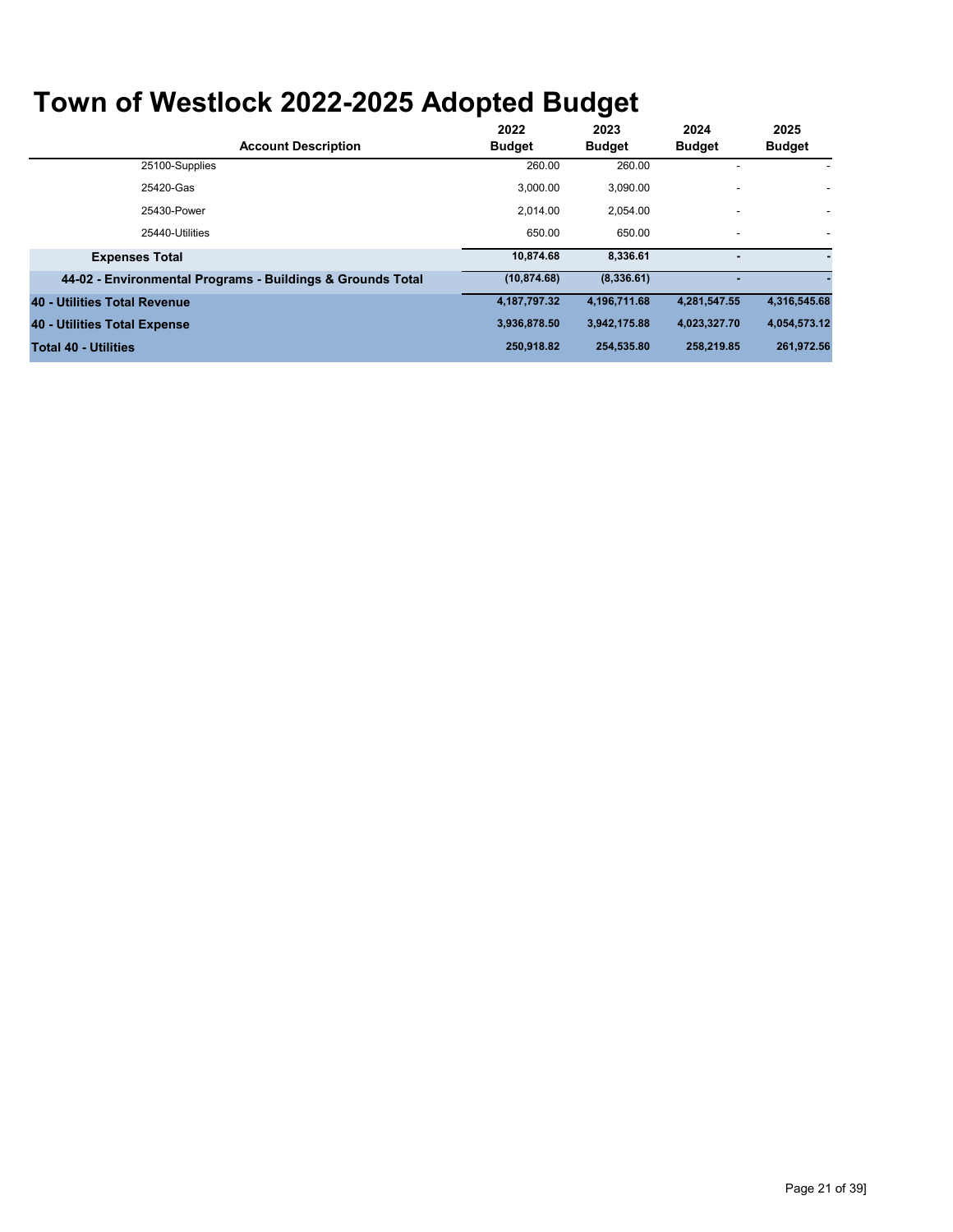| <b>Account Description</b>                                 | 2022<br><b>Budget</b> | 2023<br><b>Budget</b> | 2024<br><b>Budget</b>    | 2025<br><b>Budget</b> |
|------------------------------------------------------------|-----------------------|-----------------------|--------------------------|-----------------------|
| 25100-Supplies                                             | 260.00                | 260.00                |                          |                       |
| 25420-Gas                                                  | 3.000.00              | 3.090.00              |                          |                       |
| 25430-Power                                                | 2.014.00              | 2,054.00              | $\overline{\phantom{a}}$ |                       |
| 25440-Utilities                                            | 650.00                | 650.00                | $\blacksquare$           | ٠                     |
| <b>Expenses Total</b>                                      | 10.874.68             | 8,336.61              |                          |                       |
| 44-02 - Environmental Programs - Buildings & Grounds Total | (10, 874.68)          | (8,336.61)            |                          |                       |
| 40 - Utilities Total Revenue                               | 4,187,797.32          | 4,196,711.68          | 4,281,547.55             | 4,316,545.68          |
| 40 - Utilities Total Expense                               | 3.936.878.50          | 3,942,175.88          | 4,023,327.70             | 4,054,573.12          |
| <b>Total 40 - Utilities</b>                                | 250,918.82            | 254,535.80            | 258,219.85               | 261,972.56            |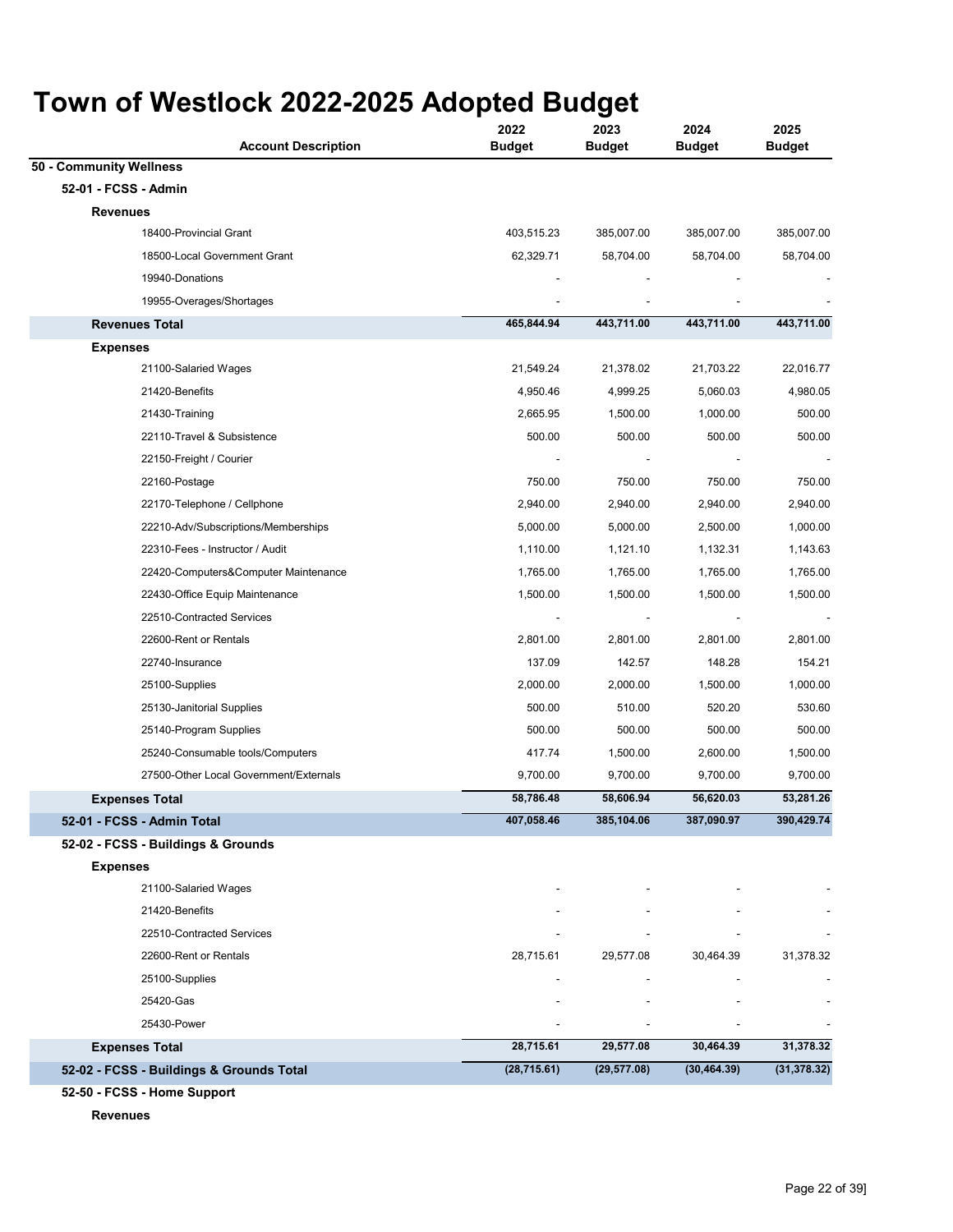| <b>Account Description</b>               | 2022<br><b>Budget</b>        | 2023<br><b>Budget</b> | 2024<br><b>Budget</b> | 2025<br><b>Budget</b> |
|------------------------------------------|------------------------------|-----------------------|-----------------------|-----------------------|
| 50 - Community Wellness                  |                              |                       |                       |                       |
| 52-01 - FCSS - Admin                     |                              |                       |                       |                       |
| <b>Revenues</b>                          |                              |                       |                       |                       |
| 18400-Provincial Grant                   | 403,515.23                   | 385,007.00            | 385,007.00            | 385,007.00            |
| 18500-Local Government Grant             | 62,329.71                    | 58,704.00             | 58,704.00             | 58,704.00             |
| 19940-Donations                          |                              |                       |                       |                       |
| 19955-Overages/Shortages                 |                              |                       |                       |                       |
| <b>Revenues Total</b>                    | 465,844.94                   | 443,711.00            | 443,711.00            | 443,711.00            |
| <b>Expenses</b>                          |                              |                       |                       |                       |
| 21100-Salaried Wages                     | 21,549.24                    | 21,378.02             | 21,703.22             | 22,016.77             |
| 21420-Benefits                           | 4,950.46                     | 4,999.25              | 5,060.03              | 4,980.05              |
| 21430-Training                           | 2,665.95                     | 1,500.00              | 1,000.00              | 500.00                |
| 22110-Travel & Subsistence               | 500.00                       | 500.00                | 500.00                | 500.00                |
| 22150-Freight / Courier                  |                              |                       |                       |                       |
| 22160-Postage                            | 750.00                       | 750.00                | 750.00                | 750.00                |
| 22170-Telephone / Cellphone              | 2,940.00                     | 2,940.00              | 2,940.00              | 2,940.00              |
| 22210-Adv/Subscriptions/Memberships      | 5,000.00                     | 5,000.00              | 2,500.00              | 1,000.00              |
| 22310-Fees - Instructor / Audit          | 1,110.00                     | 1,121.10              | 1,132.31              | 1,143.63              |
| 22420-Computers&Computer Maintenance     | 1,765.00                     | 1,765.00              | 1,765.00              | 1,765.00              |
| 22430-Office Equip Maintenance           | 1,500.00                     | 1,500.00              | 1,500.00              | 1,500.00              |
| 22510-Contracted Services                |                              |                       |                       |                       |
| 22600-Rent or Rentals                    | 2,801.00                     | 2,801.00              | 2,801.00              | 2,801.00              |
| 22740-Insurance                          | 137.09                       | 142.57                | 148.28                | 154.21                |
| 25100-Supplies                           | 2,000.00                     | 2,000.00              | 1,500.00              | 1,000.00              |
| 25130-Janitorial Supplies                | 500.00                       | 510.00                | 520.20                | 530.60                |
| 25140-Program Supplies                   | 500.00                       | 500.00                | 500.00                | 500.00                |
| 25240-Consumable tools/Computers         | 417.74                       | 1,500.00              | 2,600.00              | 1,500.00              |
| 27500-Other Local Government/Externals   | 9,700.00                     | 9,700.00              | 9,700.00              | 9,700.00              |
| <b>Expenses Total</b>                    | 58,786.48                    | 58,606.94             | 56,620.03             | 53,281.26             |
| 52-01 - FCSS - Admin Total               | 407,058.46                   | 385,104.06            | 387,090.97            | 390,429.74            |
| 52-02 - FCSS - Buildings & Grounds       |                              |                       |                       |                       |
| <b>Expenses</b>                          |                              |                       |                       |                       |
| 21100-Salaried Wages                     |                              |                       |                       |                       |
| 21420-Benefits                           |                              |                       |                       |                       |
| 22510-Contracted Services                |                              |                       |                       |                       |
| 22600-Rent or Rentals                    | 28,715.61                    | 29,577.08             | 30,464.39             | 31,378.32             |
| 25100-Supplies                           | $\qquad \qquad \blacksquare$ |                       |                       |                       |
| 25420-Gas                                |                              |                       |                       |                       |
| 25430-Power                              |                              |                       |                       |                       |
| <b>Expenses Total</b>                    | 28,715.61                    | 29,577.08             | 30,464.39             | 31,378.32             |
| 52-02 - FCSS - Buildings & Grounds Total | (28, 715.61)                 | (29, 577.08)          | (30, 464.39)          | (31, 378.32)          |
|                                          |                              |                       |                       |                       |

**52-50 - FCSS - Home Support**

**Revenues**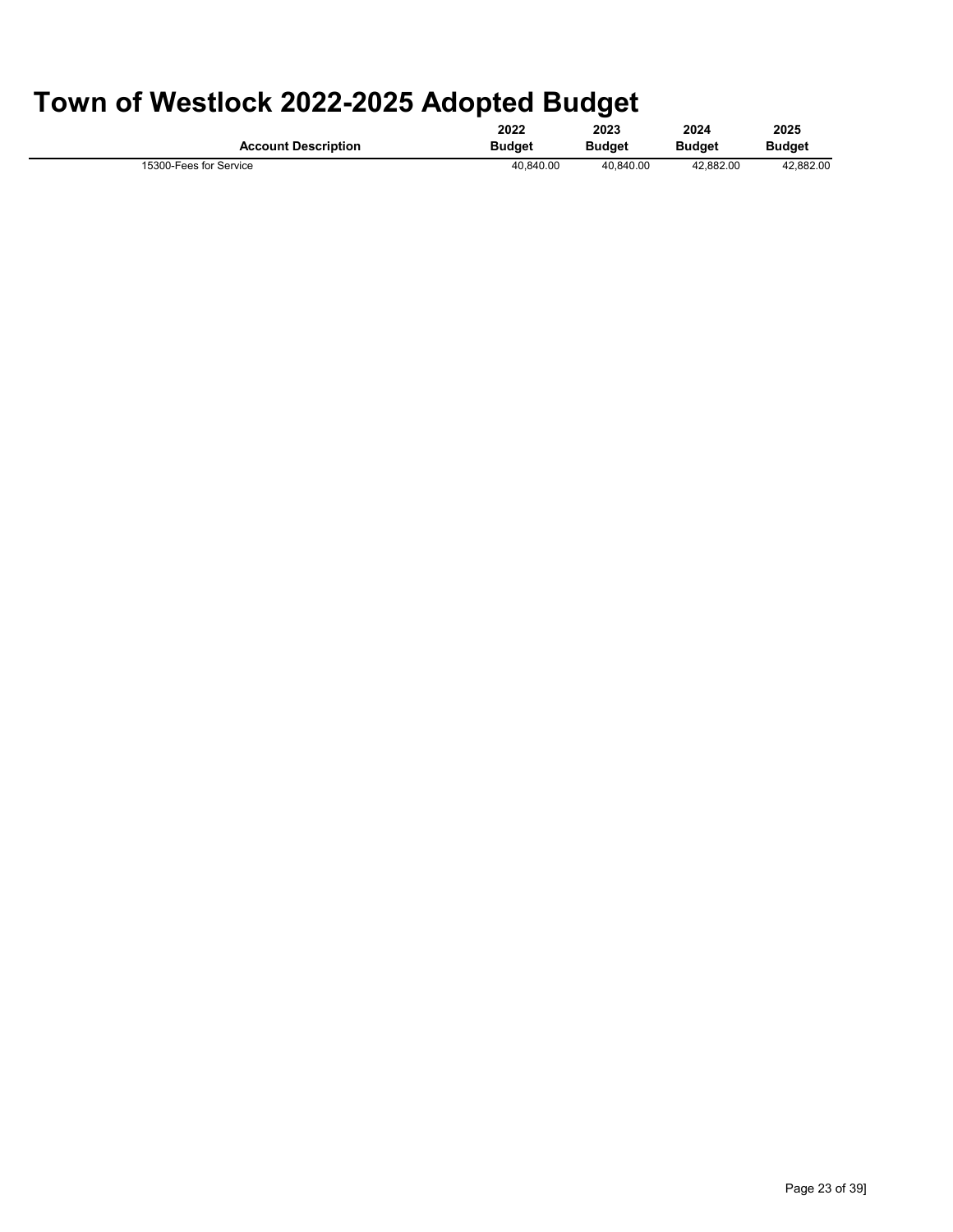|                            | 2022          | 2023          | 2024          | 2025          |
|----------------------------|---------------|---------------|---------------|---------------|
| <b>Account Description</b> | <b>Budget</b> | <b>Budget</b> | <b>Budget</b> | <b>Budget</b> |
| 15300-Fees for Service     | 40.840.00     | 40.840.00     | 42.882.00     | 42.882.00     |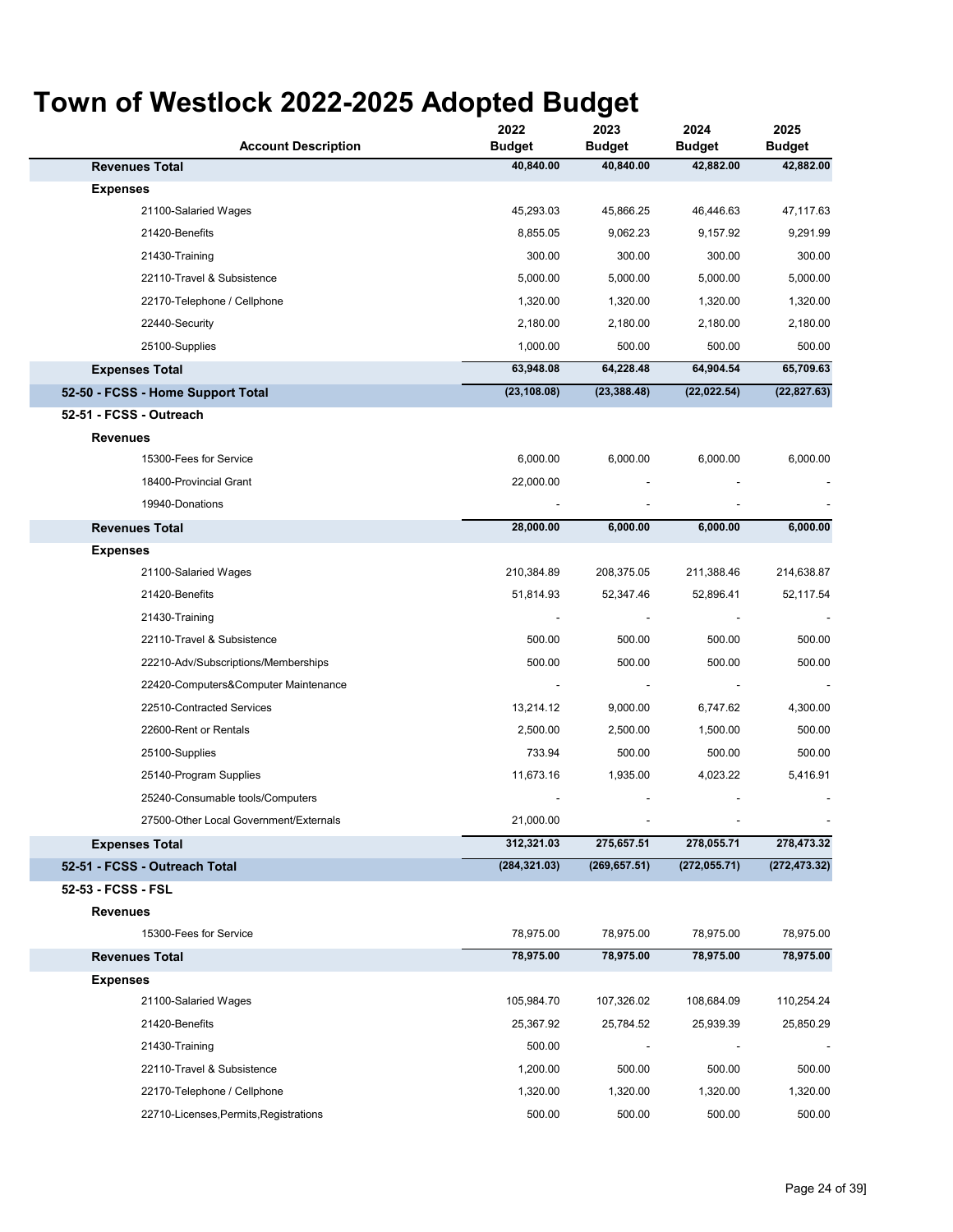| <b>Account Description</b>             | 2022<br><b>Budget</b> | 2023<br><b>Budget</b> | 2024<br><b>Budget</b> | 2025<br><b>Budget</b> |
|----------------------------------------|-----------------------|-----------------------|-----------------------|-----------------------|
| <b>Revenues Total</b>                  | 40,840.00             | 40,840.00             | 42,882.00             | 42,882.00             |
| <b>Expenses</b>                        |                       |                       |                       |                       |
| 21100-Salaried Wages                   | 45,293.03             | 45,866.25             | 46,446.63             | 47,117.63             |
| 21420-Benefits                         | 8,855.05              | 9,062.23              | 9,157.92              | 9,291.99              |
| 21430-Training                         | 300.00                | 300.00                | 300.00                | 300.00                |
| 22110-Travel & Subsistence             | 5,000.00              | 5,000.00              | 5,000.00              | 5,000.00              |
| 22170-Telephone / Cellphone            | 1,320.00              | 1,320.00              | 1,320.00              | 1,320.00              |
| 22440-Security                         | 2,180.00              | 2,180.00              | 2,180.00              | 2,180.00              |
| 25100-Supplies                         | 1,000.00              | 500.00                | 500.00                | 500.00                |
| <b>Expenses Total</b>                  | 63,948.08             | 64,228.48             | 64,904.54             | 65,709.63             |
| 52-50 - FCSS - Home Support Total      | (23, 108.08)          | (23, 388.48)          | (22, 022.54)          | (22, 827.63)          |
| 52-51 - FCSS - Outreach                |                       |                       |                       |                       |
| <b>Revenues</b>                        |                       |                       |                       |                       |
| 15300-Fees for Service                 | 6,000.00              | 6,000.00              | 6,000.00              | 6,000.00              |
| 18400-Provincial Grant                 | 22,000.00             |                       |                       |                       |
| 19940-Donations                        |                       |                       |                       |                       |
| <b>Revenues Total</b>                  | 28,000.00             | 6,000.00              | 6,000.00              | 6,000.00              |
| <b>Expenses</b>                        |                       |                       |                       |                       |
| 21100-Salaried Wages                   | 210,384.89            | 208,375.05            | 211,388.46            | 214,638.87            |
| 21420-Benefits                         | 51,814.93             | 52,347.46             | 52,896.41             | 52,117.54             |
| 21430-Training                         |                       |                       |                       |                       |
| 22110-Travel & Subsistence             | 500.00                | 500.00                | 500.00                | 500.00                |
| 22210-Adv/Subscriptions/Memberships    | 500.00                | 500.00                | 500.00                | 500.00                |
| 22420-Computers&Computer Maintenance   |                       |                       |                       |                       |
| 22510-Contracted Services              | 13,214.12             | 9,000.00              | 6,747.62              | 4,300.00              |
| 22600-Rent or Rentals                  | 2,500.00              | 2,500.00              | 1,500.00              | 500.00                |
| 25100-Supplies                         | 733.94                | 500.00                | 500.00                | 500.00                |
| 25140-Program Supplies                 | 11,673.16             | 1,935.00              | 4,023.22              | 5,416.91              |
| 25240-Consumable tools/Computers       |                       |                       |                       |                       |
| 27500-Other Local Government/Externals | 21,000.00             |                       |                       |                       |
| <b>Expenses Total</b>                  | 312,321.03            | 275,657.51            | 278,055.71            | 278,473.32            |
| 52-51 - FCSS - Outreach Total          | (284, 321.03)         | (269, 657.51)         | (272, 055.71)         | (272, 473.32)         |
| 52-53 - FCSS - FSL                     |                       |                       |                       |                       |
| <b>Revenues</b>                        |                       |                       |                       |                       |
| 15300-Fees for Service                 | 78,975.00             | 78,975.00             | 78,975.00             | 78,975.00             |
| <b>Revenues Total</b>                  | 78,975.00             | 78,975.00             | 78,975.00             | 78,975.00             |
| <b>Expenses</b>                        |                       |                       |                       |                       |
| 21100-Salaried Wages                   | 105,984.70            | 107,326.02            | 108,684.09            | 110,254.24            |
| 21420-Benefits                         | 25,367.92             | 25,784.52             | 25,939.39             | 25,850.29             |
| 21430-Training                         | 500.00                |                       |                       |                       |
| 22110-Travel & Subsistence             | 1,200.00              | 500.00                | 500.00                | 500.00                |
| 22170-Telephone / Cellphone            | 1,320.00              | 1,320.00              | 1,320.00              | 1,320.00              |
| 22710-Licenses, Permits, Registrations | 500.00                | 500.00                | 500.00                | 500.00                |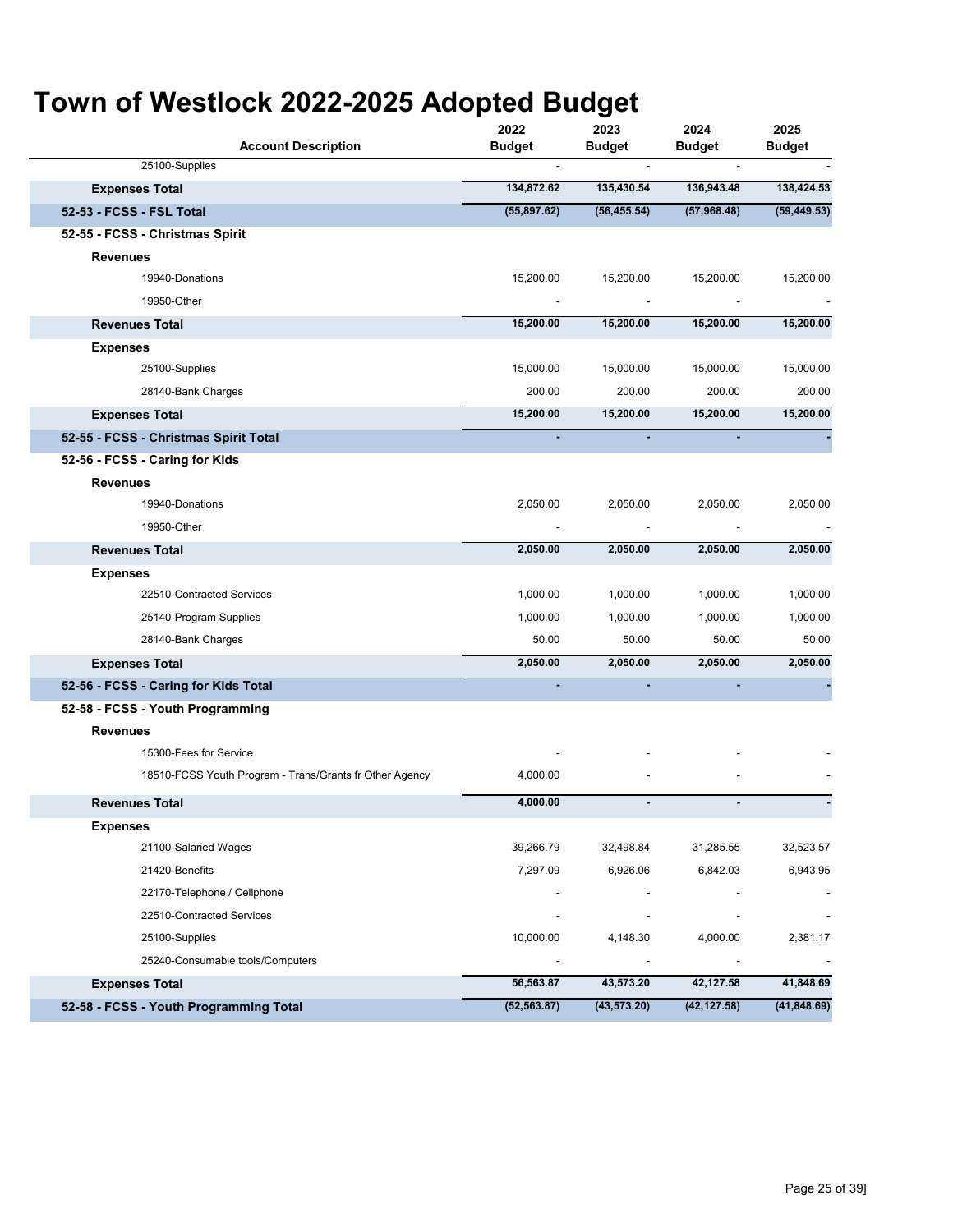| <b>Account Description</b>                              | 2022<br>Budget           | 2023<br><b>Budget</b>    | 2024<br><b>Budget</b> | 2025<br><b>Budget</b>    |
|---------------------------------------------------------|--------------------------|--------------------------|-----------------------|--------------------------|
| 25100-Supplies                                          |                          |                          |                       |                          |
| <b>Expenses Total</b>                                   | 134,872.62               | 135,430.54               | 136,943.48            | 138,424.53               |
| 52-53 - FCSS - FSL Total                                | (55,897.62)              | (56, 455.54)             | (57,968.48)           | (59, 449.53)             |
| 52-55 - FCSS - Christmas Spirit                         |                          |                          |                       |                          |
| <b>Revenues</b>                                         |                          |                          |                       |                          |
| 19940-Donations                                         | 15,200.00                | 15,200.00                | 15,200.00             | 15,200.00                |
| 19950-Other                                             | $\overline{\phantom{a}}$ |                          |                       |                          |
| <b>Revenues Total</b>                                   | 15,200.00                | 15,200.00                | 15,200.00             | 15,200.00                |
| <b>Expenses</b>                                         |                          |                          |                       |                          |
| 25100-Supplies                                          | 15,000.00                | 15,000.00                | 15,000.00             | 15,000.00                |
| 28140-Bank Charges                                      | 200.00                   | 200.00                   | 200.00                | 200.00                   |
| <b>Expenses Total</b>                                   | 15,200.00                | 15,200.00                | 15,200.00             | 15,200.00                |
| 52-55 - FCSS - Christmas Spirit Total                   |                          |                          |                       |                          |
| 52-56 - FCSS - Caring for Kids                          |                          |                          |                       |                          |
| <b>Revenues</b>                                         |                          |                          |                       |                          |
| 19940-Donations                                         | 2,050.00                 | 2,050.00                 | 2,050.00              | 2,050.00                 |
| 19950-Other                                             | $\overline{a}$           |                          |                       |                          |
| <b>Revenues Total</b>                                   | 2,050.00                 | 2,050.00                 | 2,050.00              | 2,050.00                 |
| <b>Expenses</b>                                         |                          |                          |                       |                          |
| 22510-Contracted Services                               | 1,000.00                 | 1,000.00                 | 1,000.00              | 1,000.00                 |
| 25140-Program Supplies                                  | 1,000.00                 | 1,000.00                 | 1,000.00              | 1,000.00                 |
| 28140-Bank Charges                                      | 50.00                    | 50.00                    | 50.00                 | 50.00                    |
| <b>Expenses Total</b>                                   | 2,050.00                 | 2,050.00                 | 2,050.00              | 2,050.00                 |
| 52-56 - FCSS - Caring for Kids Total                    |                          |                          |                       |                          |
| 52-58 - FCSS - Youth Programming                        |                          |                          |                       |                          |
| <b>Revenues</b>                                         |                          |                          |                       |                          |
| 15300-Fees for Service                                  |                          |                          |                       |                          |
| 18510-FCSS Youth Program - Trans/Grants fr Other Agency | 4,000.00                 |                          |                       |                          |
| <b>Revenues Total</b>                                   | 4,000.00                 |                          |                       |                          |
| <b>Expenses</b>                                         |                          |                          |                       |                          |
| 21100-Salaried Wages                                    | 39,266.79                | 32,498.84                | 31,285.55             | 32,523.57                |
| 21420-Benefits                                          | 7,297.09                 | 6,926.06                 | 6,842.03              | 6,943.95                 |
| 22170-Telephone / Cellphone                             |                          |                          |                       |                          |
| 22510-Contracted Services                               | $\overline{\phantom{a}}$ | $\overline{\phantom{a}}$ |                       | $\overline{\phantom{a}}$ |
| 25100-Supplies                                          | 10,000.00                | 4,148.30                 | 4,000.00              | 2,381.17                 |
| 25240-Consumable tools/Computers                        | $\overline{\phantom{a}}$ | $\overline{\phantom{a}}$ |                       | $\overline{\phantom{a}}$ |
| <b>Expenses Total</b>                                   | 56,563.87                | 43,573.20                | 42,127.58             | 41,848.69                |
| 52-58 - FCSS - Youth Programming Total                  | (52, 563.87)             | (43, 573.20)             | (42, 127.58)          | (41, 848.69)             |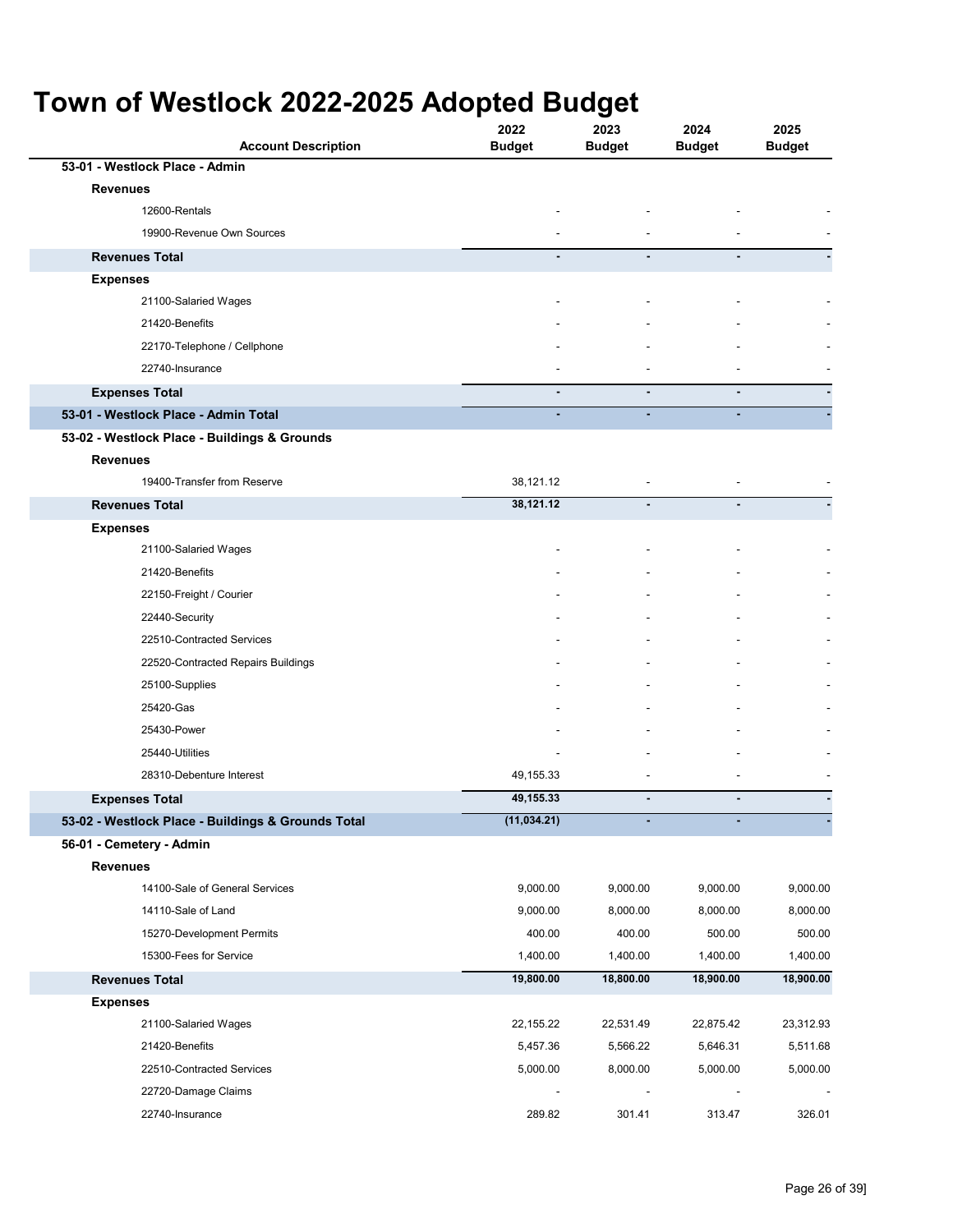| <b>Account Description</b>                         | 2022<br><b>Budget</b> | 2023<br><b>Budget</b> | 2024<br><b>Budget</b> | 2025<br><b>Budget</b> |
|----------------------------------------------------|-----------------------|-----------------------|-----------------------|-----------------------|
| 53-01 - Westlock Place - Admin                     |                       |                       |                       |                       |
| <b>Revenues</b>                                    |                       |                       |                       |                       |
| 12600-Rentals                                      |                       |                       |                       |                       |
| 19900-Revenue Own Sources                          |                       |                       |                       |                       |
| <b>Revenues Total</b>                              |                       |                       | ä,                    |                       |
| <b>Expenses</b>                                    |                       |                       |                       |                       |
| 21100-Salaried Wages                               |                       |                       |                       |                       |
| 21420-Benefits                                     |                       |                       |                       |                       |
| 22170-Telephone / Cellphone                        |                       |                       |                       |                       |
| 22740-Insurance                                    |                       |                       |                       |                       |
| <b>Expenses Total</b>                              |                       | $\blacksquare$        |                       |                       |
| 53-01 - Westlock Place - Admin Total               | ÷.                    | ٠                     | ÷.                    |                       |
| 53-02 - Westlock Place - Buildings & Grounds       |                       |                       |                       |                       |
| <b>Revenues</b>                                    |                       |                       |                       |                       |
| 19400-Transfer from Reserve                        | 38,121.12             |                       |                       |                       |
| <b>Revenues Total</b>                              | 38,121.12             |                       |                       |                       |
| <b>Expenses</b>                                    |                       |                       |                       |                       |
| 21100-Salaried Wages                               |                       |                       |                       |                       |
| 21420-Benefits                                     |                       |                       |                       |                       |
| 22150-Freight / Courier                            |                       |                       |                       |                       |
| 22440-Security                                     |                       |                       |                       |                       |
| 22510-Contracted Services                          |                       |                       |                       |                       |
| 22520-Contracted Repairs Buildings                 |                       |                       |                       |                       |
| 25100-Supplies                                     |                       |                       |                       |                       |
| 25420-Gas                                          |                       |                       |                       |                       |
| 25430-Power                                        |                       |                       |                       |                       |
| 25440-Utilities                                    |                       |                       |                       |                       |
| 28310-Debenture Interest                           | 49,155.33             |                       |                       |                       |
| <b>Expenses Total</b>                              | 49,155.33             | $\blacksquare$        | ٠                     |                       |
| 53-02 - Westlock Place - Buildings & Grounds Total | (11, 034.21)          |                       |                       |                       |
| 56-01 - Cemetery - Admin                           |                       |                       |                       |                       |
| <b>Revenues</b>                                    |                       |                       |                       |                       |
| 14100-Sale of General Services                     | 9,000.00              | 9,000.00              | 9,000.00              | 9,000.00              |
| 14110-Sale of Land                                 | 9,000.00              | 8,000.00              | 8,000.00              | 8,000.00              |
| 15270-Development Permits                          | 400.00                | 400.00                | 500.00                | 500.00                |
| 15300-Fees for Service                             | 1,400.00              | 1,400.00              | 1,400.00              | 1,400.00              |
| <b>Revenues Total</b>                              | 19,800.00             | 18,800.00             | 18,900.00             | 18,900.00             |
| <b>Expenses</b>                                    |                       |                       |                       |                       |
| 21100-Salaried Wages                               | 22, 155.22            | 22,531.49             | 22,875.42             | 23,312.93             |
| 21420-Benefits                                     | 5,457.36              | 5,566.22              | 5,646.31              | 5,511.68              |
| 22510-Contracted Services                          | 5,000.00              | 8,000.00              | 5,000.00              | 5,000.00              |
| 22720-Damage Claims                                |                       |                       |                       |                       |
| 22740-Insurance                                    | 289.82                | 301.41                | 313.47                | 326.01                |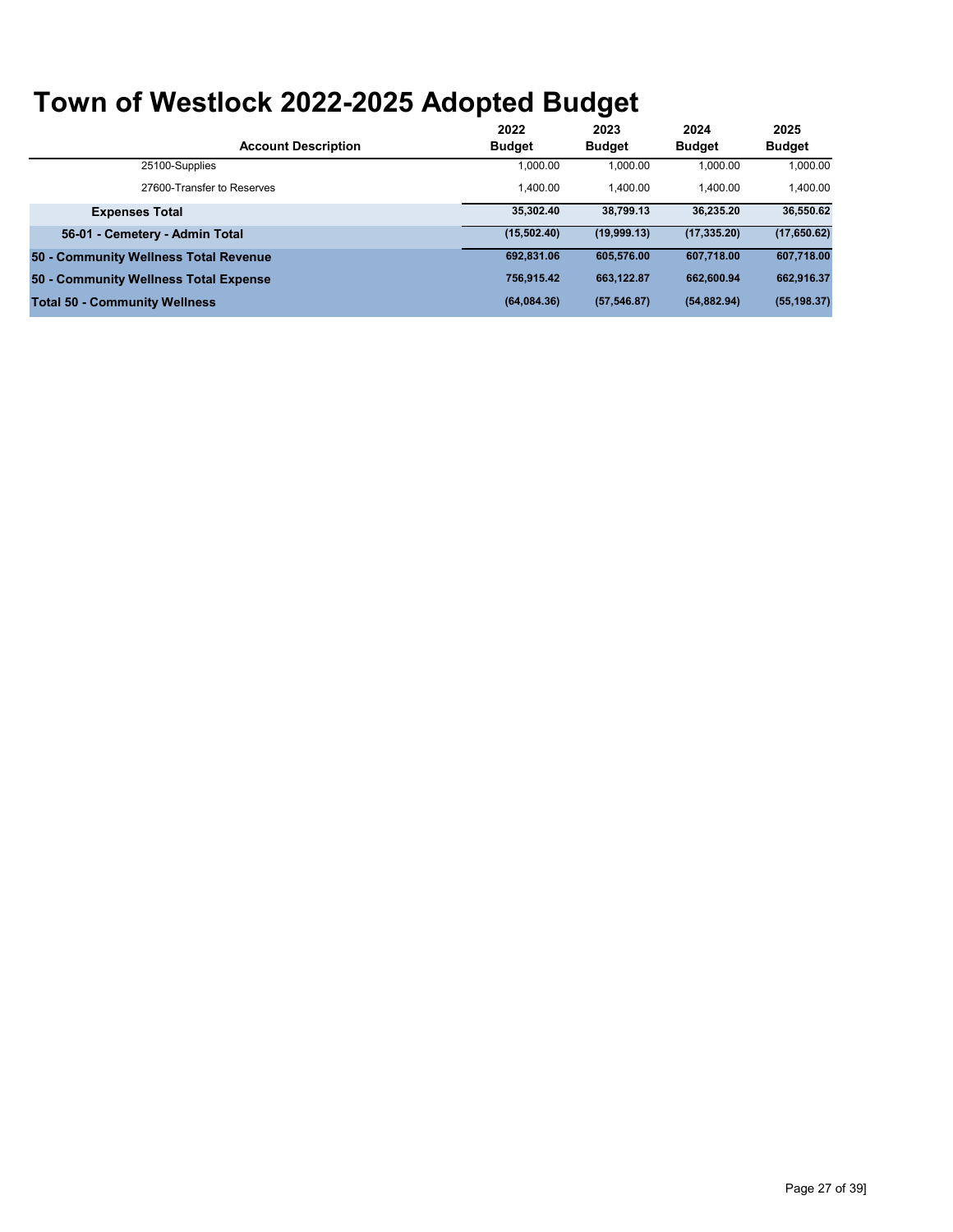|                                       | 2022          | 2023          | 2024          | 2025          |
|---------------------------------------|---------------|---------------|---------------|---------------|
| <b>Account Description</b>            | <b>Budget</b> | <b>Budget</b> | <b>Budget</b> | <b>Budget</b> |
| 25100-Supplies                        | 1,000.00      | 1,000.00      | 1.000.00      | 1,000.00      |
| 27600-Transfer to Reserves            | 1.400.00      | 1.400.00      | 1.400.00      | 1.400.00      |
| <b>Expenses Total</b>                 | 35.302.40     | 38.799.13     | 36.235.20     | 36,550.62     |
| 56-01 - Cemetery - Admin Total        | (15,502.40)   | (19,999.13)   | (17, 335.20)  | (17,650.62)   |
| 50 - Community Wellness Total Revenue | 692,831.06    | 605.576.00    | 607.718.00    | 607,718.00    |
| 50 - Community Wellness Total Expense | 756.915.42    | 663.122.87    | 662.600.94    | 662,916.37    |
| <b>Total 50 - Community Wellness</b>  | (64,084.36)   | (57, 546.87)  | (54, 882.94)  | (55, 198.37)  |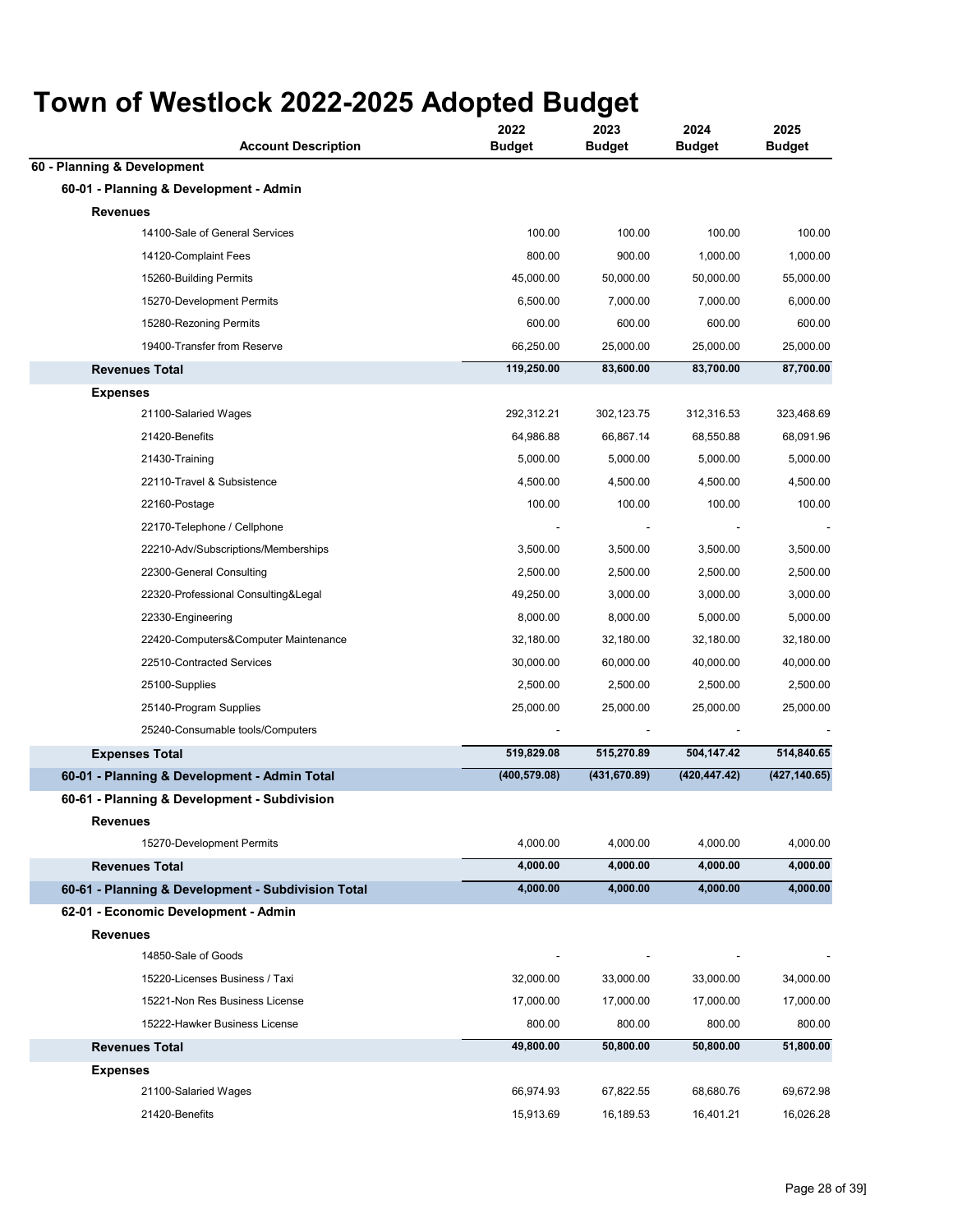| <u>WII UI WESHUUN ZUZZ-ZUZU AUUPIGU DUUYGI</u><br><b>Account Description</b> | 2022<br><b>Budget</b> | 2023<br><b>Budget</b> | 2024<br><b>Budget</b> | 2025<br><b>Budget</b> |
|------------------------------------------------------------------------------|-----------------------|-----------------------|-----------------------|-----------------------|
| 60 - Planning & Development                                                  |                       |                       |                       |                       |
| 60-01 - Planning & Development - Admin                                       |                       |                       |                       |                       |
| <b>Revenues</b>                                                              |                       |                       |                       |                       |
| 14100-Sale of General Services                                               | 100.00                | 100.00                | 100.00                | 100.00                |
| 14120-Complaint Fees                                                         | 800.00                | 900.00                | 1,000.00              | 1,000.00              |
| 15260-Building Permits                                                       | 45,000.00             | 50,000.00             | 50,000.00             | 55,000.00             |
| 15270-Development Permits                                                    | 6,500.00              | 7,000.00              | 7,000.00              | 6,000.00              |
| 15280-Rezoning Permits                                                       | 600.00                | 600.00                | 600.00                | 600.00                |
| 19400-Transfer from Reserve                                                  | 66,250.00             | 25,000.00             | 25,000.00             | 25,000.00             |
| <b>Revenues Total</b>                                                        | 119,250.00            | 83,600.00             | 83,700.00             | 87,700.00             |
| <b>Expenses</b>                                                              |                       |                       |                       |                       |
| 21100-Salaried Wages                                                         | 292,312.21            | 302,123.75            | 312,316.53            | 323,468.69            |
| 21420-Benefits                                                               | 64,986.88             | 66,867.14             | 68,550.88             | 68,091.96             |
| 21430-Training                                                               | 5,000.00              | 5,000.00              | 5,000.00              | 5,000.00              |
| 22110-Travel & Subsistence                                                   | 4,500.00              | 4,500.00              | 4,500.00              | 4,500.00              |
| 22160-Postage                                                                | 100.00                | 100.00                | 100.00                | 100.00                |
| 22170-Telephone / Cellphone                                                  |                       |                       |                       |                       |
| 22210-Adv/Subscriptions/Memberships                                          | 3,500.00              | 3,500.00              | 3,500.00              | 3,500.00              |
| 22300-General Consulting                                                     | 2,500.00              | 2,500.00              | 2,500.00              | 2,500.00              |
| 22320-Professional Consulting&Legal                                          | 49,250.00             | 3,000.00              | 3,000.00              | 3,000.00              |
| 22330-Engineering                                                            | 8,000.00              | 8,000.00              | 5,000.00              | 5,000.00              |
| 22420-Computers&Computer Maintenance                                         | 32,180.00             | 32,180.00             | 32,180.00             | 32,180.00             |
| 22510-Contracted Services                                                    | 30,000.00             | 60,000.00             | 40,000.00             | 40,000.00             |
| 25100-Supplies                                                               | 2,500.00              | 2,500.00              | 2,500.00              | 2,500.00              |
| 25140-Program Supplies                                                       | 25,000.00             | 25,000.00             | 25,000.00             | 25,000.00             |
| 25240-Consumable tools/Computers                                             |                       |                       |                       |                       |
| <b>Expenses Total</b>                                                        | 519,829.08            | 515,270.89            | 504,147.42            | 514,840.65            |
| 60-01 - Planning & Development - Admin Total                                 | (400, 579.08)         | (431, 670.89)         | (420, 447.42)         | (427, 140.65)         |
| 60-61 - Planning & Development - Subdivision                                 |                       |                       |                       |                       |
| <b>Revenues</b>                                                              |                       |                       |                       |                       |
| 15270-Development Permits                                                    | 4,000.00              | 4,000.00              | 4,000.00              | 4,000.00              |
| <b>Revenues Total</b>                                                        | 4,000.00              | 4,000.00              | 4,000.00              | 4,000.00              |
| 60-61 - Planning & Development - Subdivision Total                           | 4,000.00              | 4,000.00              | 4,000.00              | 4,000.00              |
| 62-01 - Economic Development - Admin                                         |                       |                       |                       |                       |
| <b>Revenues</b>                                                              |                       |                       |                       |                       |
| 14850-Sale of Goods                                                          |                       |                       |                       |                       |
| 15220-Licenses Business / Taxi                                               | 32,000.00             | 33,000.00             | 33,000.00             | 34,000.00             |
| 15221-Non Res Business License                                               | 17,000.00             | 17,000.00             | 17,000.00             | 17,000.00             |
| 15222-Hawker Business License                                                | 800.00                | 800.00                | 800.00                | 800.00                |
| <b>Revenues Total</b>                                                        | 49,800.00             | 50,800.00             | 50,800.00             | 51,800.00             |
| <b>Expenses</b>                                                              |                       |                       |                       |                       |
| 21100-Salaried Wages                                                         | 66,974.93             | 67,822.55             | 68,680.76             | 69,672.98             |
| 21420-Benefits                                                               | 15,913.69             | 16,189.53             | 16,401.21             | 16,026.28             |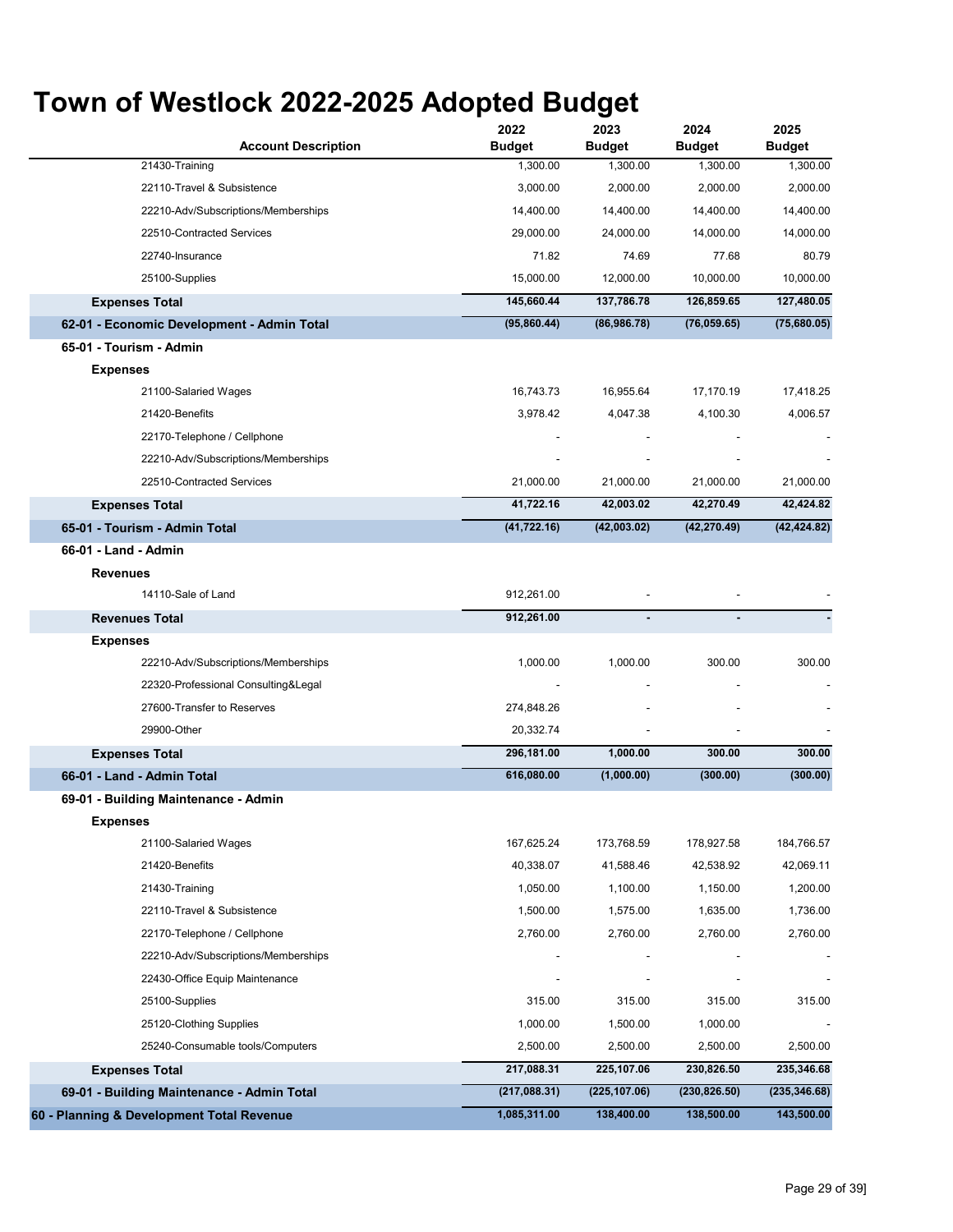| <b>Account Description</b>                 | 2022<br><b>Budget</b> | 2023<br><b>Budget</b> | 2024<br><b>Budget</b> | 2025<br><b>Budget</b> |
|--------------------------------------------|-----------------------|-----------------------|-----------------------|-----------------------|
| 21430-Training                             | 1,300.00              | 1,300.00              | 1,300.00              | 1,300.00              |
| 22110-Travel & Subsistence                 | 3,000.00              | 2,000.00              | 2,000.00              | 2,000.00              |
| 22210-Adv/Subscriptions/Memberships        | 14,400.00             | 14,400.00             | 14,400.00             | 14,400.00             |
| 22510-Contracted Services                  | 29,000.00             | 24,000.00             | 14,000.00             | 14,000.00             |
| 22740-Insurance                            | 71.82                 | 74.69                 | 77.68                 | 80.79                 |
| 25100-Supplies                             | 15,000.00             | 12,000.00             | 10,000.00             | 10,000.00             |
| <b>Expenses Total</b>                      | 145,660.44            | 137,786.78            | 126,859.65            | 127,480.05            |
| 62-01 - Economic Development - Admin Total | (95,860.44)           | (86,986.78)           | (76,059.65)           | (75,680.05)           |
| 65-01 - Tourism - Admin                    |                       |                       |                       |                       |
| <b>Expenses</b>                            |                       |                       |                       |                       |
| 21100-Salaried Wages                       | 16,743.73             | 16,955.64             | 17,170.19             | 17,418.25             |
| 21420-Benefits                             | 3,978.42              | 4,047.38              | 4,100.30              | 4,006.57              |
| 22170-Telephone / Cellphone                |                       |                       |                       |                       |
| 22210-Adv/Subscriptions/Memberships        |                       |                       |                       |                       |
| 22510-Contracted Services                  | 21,000.00             | 21,000.00             | 21,000.00             | 21,000.00             |
| <b>Expenses Total</b>                      | 41,722.16             | 42,003.02             | 42,270.49             | 42,424.82             |
| 65-01 - Tourism - Admin Total              | (41, 722.16)          | (42,003.02)           | (42, 270.49)          | (42, 424.82)          |
| 66-01 - Land - Admin                       |                       |                       |                       |                       |
| <b>Revenues</b>                            |                       |                       |                       |                       |
| 14110-Sale of Land                         | 912,261.00            | $\overline{a}$        |                       |                       |
| <b>Revenues Total</b>                      | 912,261.00            |                       |                       |                       |
| <b>Expenses</b>                            |                       |                       |                       |                       |
| 22210-Adv/Subscriptions/Memberships        | 1,000.00              | 1,000.00              | 300.00                | 300.00                |
| 22320-Professional Consulting&Legal        |                       |                       |                       |                       |
| 27600-Transfer to Reserves                 | 274,848.26            |                       |                       |                       |
| 29900-Other                                | 20,332.74             |                       |                       |                       |
| <b>Expenses Total</b>                      | 296,181.00            | 1,000.00              | 300.00                | 300.00                |
| 66-01 - Land - Admin Total                 | 616,080.00            | (1,000.00)            | (300.00)              | (300.00)              |
| 69-01 - Building Maintenance - Admin       |                       |                       |                       |                       |
| <b>Expenses</b>                            |                       |                       |                       |                       |
| 21100-Salaried Wages                       | 167,625.24            | 173,768.59            | 178,927.58            | 184,766.57            |
| 21420-Benefits                             | 40,338.07             | 41,588.46             | 42,538.92             | 42,069.11             |
| 21430-Training                             | 1,050.00              | 1,100.00              | 1,150.00              | 1,200.00              |
| 22110-Travel & Subsistence                 | 1,500.00              | 1,575.00              | 1,635.00              | 1,736.00              |
| 22170-Telephone / Cellphone                | 2,760.00              | 2,760.00              | 2,760.00              | 2,760.00              |
| 22210-Adv/Subscriptions/Memberships        |                       |                       |                       |                       |
| 22430-Office Equip Maintenance             |                       |                       |                       |                       |
| 25100-Supplies                             | 315.00                | 315.00                | 315.00                | 315.00                |
| 25120-Clothing Supplies                    | 1,000.00              | 1,500.00              | 1,000.00              |                       |
| 25240-Consumable tools/Computers           | 2,500.00              | 2,500.00              | 2,500.00              | 2,500.00              |
| <b>Expenses Total</b>                      | 217,088.31            | 225,107.06            | 230,826.50            | 235,346.68            |
| 69-01 - Building Maintenance - Admin Total | (217,088.31)          | (225, 107.06)         | (230, 826.50)         | (235, 346.68)         |
| 60 - Planning & Development Total Revenue  | 1,085,311.00          | 138,400.00            | 138,500.00            | 143,500.00            |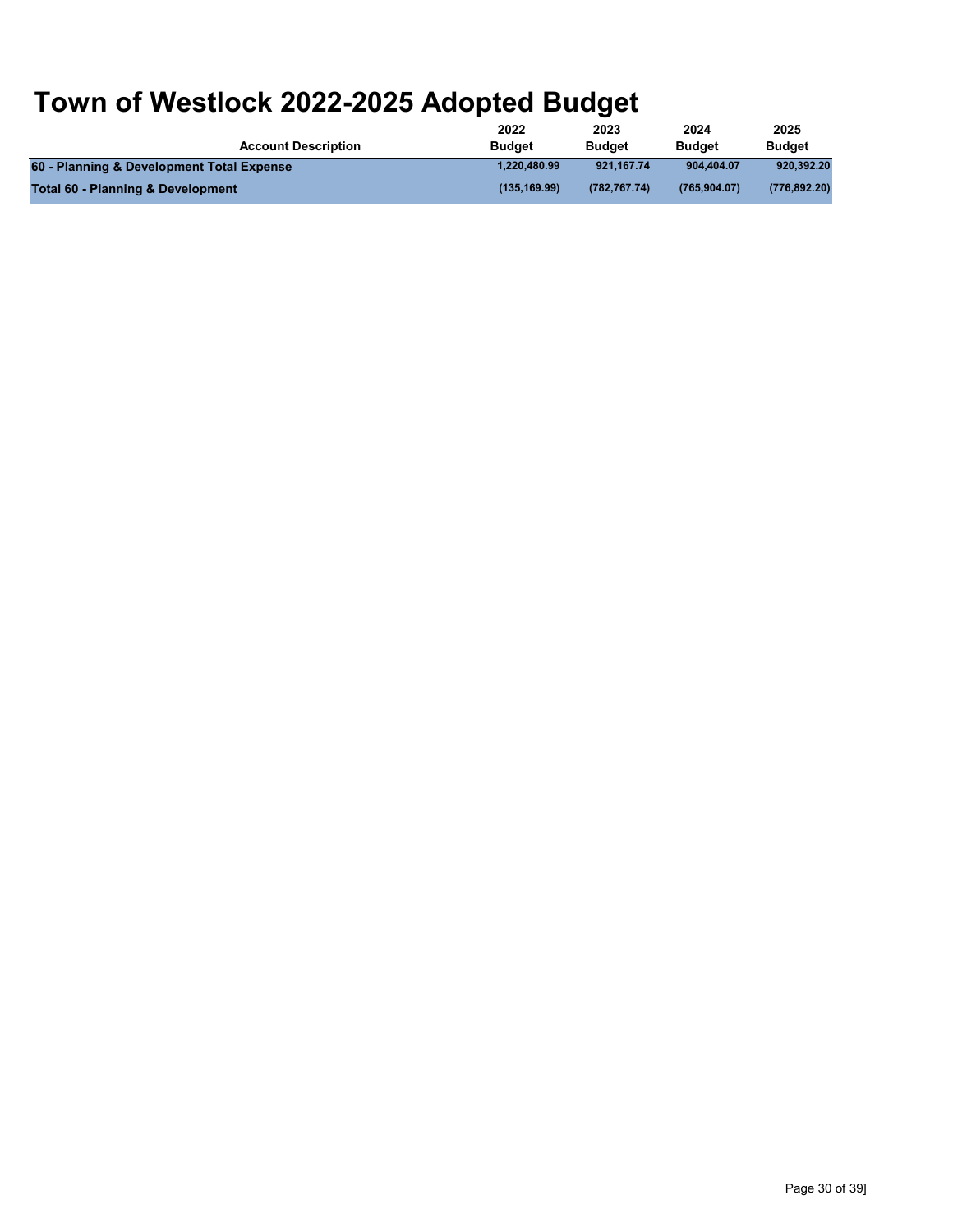|                                           | 2022          | 2023          | 2024          | 2025          |
|-------------------------------------------|---------------|---------------|---------------|---------------|
| <b>Account Description</b>                | <b>Budget</b> | <b>Budget</b> | <b>Budget</b> | <b>Budget</b> |
| 60 - Planning & Development Total Expense | 1.220.480.99  | 921.167.74    | 904.404.07    | 920.392.20    |
| Total 60 - Planning & Development         | (135.169.99)  | (782.767.74)  | (765.904.07)  | (776, 892.20) |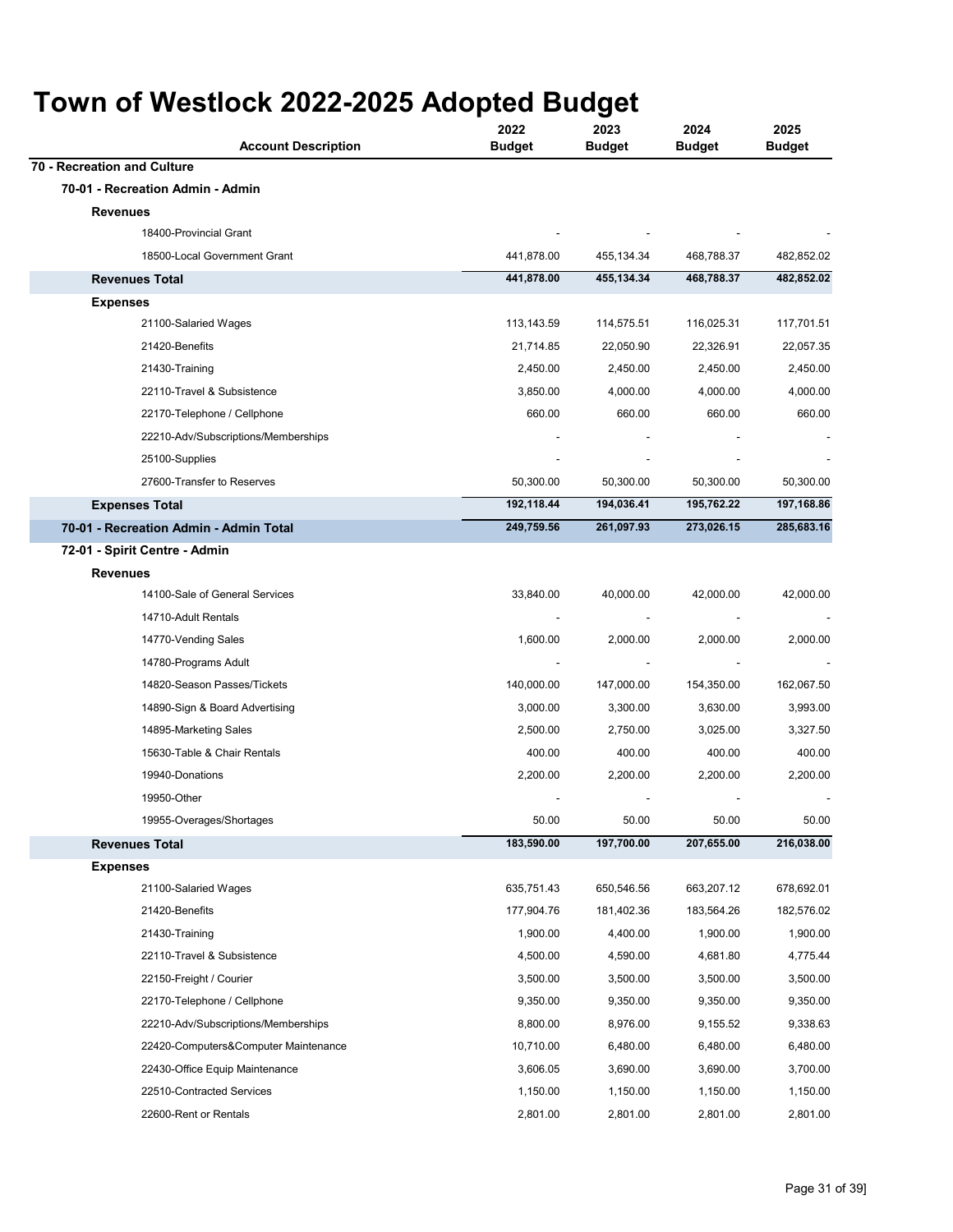#### **Account Description 2022 Budget 2023 Budget 2024 Budget Town of Westlock 2022-2025 Adopted Budget** 18400-Provincial Grant 18500-Local Government Grant 441,878.00 455,134.34 468,788.37 482,852.02 **441,878.00 455,134.34 468,788.37 482,852.02 70 - Recreation and Culture 70-01 - Recreation Admin - Admin Revenues Revenues Total Expenses**

| <b>Expenses</b>                        |            |            |            |            |
|----------------------------------------|------------|------------|------------|------------|
| 21100-Salaried Wages                   | 113,143.59 | 114,575.51 | 116,025.31 | 117,701.51 |
| 21420-Benefits                         | 21,714.85  | 22,050.90  | 22,326.91  | 22,057.35  |
| 21430-Training                         | 2,450.00   | 2,450.00   | 2,450.00   | 2,450.00   |
| 22110-Travel & Subsistence             | 3,850.00   | 4,000.00   | 4,000.00   | 4,000.00   |
| 22170-Telephone / Cellphone            | 660.00     | 660.00     | 660.00     | 660.00     |
| 22210-Adv/Subscriptions/Memberships    |            |            |            |            |
| 25100-Supplies                         |            |            |            |            |
| 27600-Transfer to Reserves             | 50,300.00  | 50,300.00  | 50,300.00  | 50,300.00  |
| <b>Expenses Total</b>                  | 192,118.44 | 194,036.41 | 195,762.22 | 197,168.86 |
| 70-01 - Recreation Admin - Admin Total | 249,759.56 | 261,097.93 | 273,026.15 | 285,683.16 |
| 72-01 - Spirit Centre - Admin          |            |            |            |            |
| <b>Revenues</b>                        |            |            |            |            |
| 14100-Sale of General Services         | 33,840.00  | 40,000.00  | 42,000.00  | 42,000.00  |
| 14710-Adult Rentals                    |            |            |            |            |
| 14770-Vending Sales                    | 1,600.00   | 2,000.00   | 2,000.00   | 2,000.00   |
| 14780-Programs Adult                   |            |            |            |            |
| 14820-Season Passes/Tickets            | 140,000.00 | 147,000.00 | 154,350.00 | 162,067.50 |
| 14890-Sign & Board Advertising         | 3,000.00   | 3,300.00   | 3,630.00   | 3,993.00   |
| 14895-Marketing Sales                  | 2,500.00   | 2,750.00   | 3,025.00   | 3,327.50   |
| 15630-Table & Chair Rentals            | 400.00     | 400.00     | 400.00     | 400.00     |
| 19940-Donations                        | 2,200.00   | 2,200.00   | 2,200.00   | 2,200.00   |
| 19950-Other                            |            |            |            |            |
| 19955-Overages/Shortages               | 50.00      | 50.00      | 50.00      | 50.00      |
| <b>Revenues Total</b>                  | 183,590.00 | 197,700.00 | 207,655.00 | 216,038.00 |
| <b>Expenses</b>                        |            |            |            |            |
| 21100-Salaried Wages                   | 635,751.43 | 650,546.56 | 663,207.12 | 678,692.01 |
| 21420-Benefits                         | 177,904.76 | 181,402.36 | 183,564.26 | 182,576.02 |
| 21430-Training                         | 1,900.00   | 4,400.00   | 1,900.00   | 1,900.00   |
| 22110-Travel & Subsistence             | 4,500.00   | 4,590.00   | 4,681.80   | 4,775.44   |
| 22150-Freight / Courier                | 3,500.00   | 3,500.00   | 3,500.00   | 3,500.00   |
| 22170-Telephone / Cellphone            | 9,350.00   | 9,350.00   | 9,350.00   | 9,350.00   |
| 22210-Adv/Subscriptions/Memberships    | 8,800.00   | 8,976.00   | 9,155.52   | 9,338.63   |
| 22420-Computers&Computer Maintenance   | 10,710.00  | 6,480.00   | 6,480.00   | 6,480.00   |
| 22430-Office Equip Maintenance         | 3,606.05   | 3,690.00   | 3,690.00   | 3,700.00   |
| 22510-Contracted Services              | 1,150.00   | 1,150.00   | 1,150.00   | 1,150.00   |
| 22600-Rent or Rentals                  | 2.801.00   | 2.801.00   | 2.801.00   | 2.801.00   |

**2025 Budget**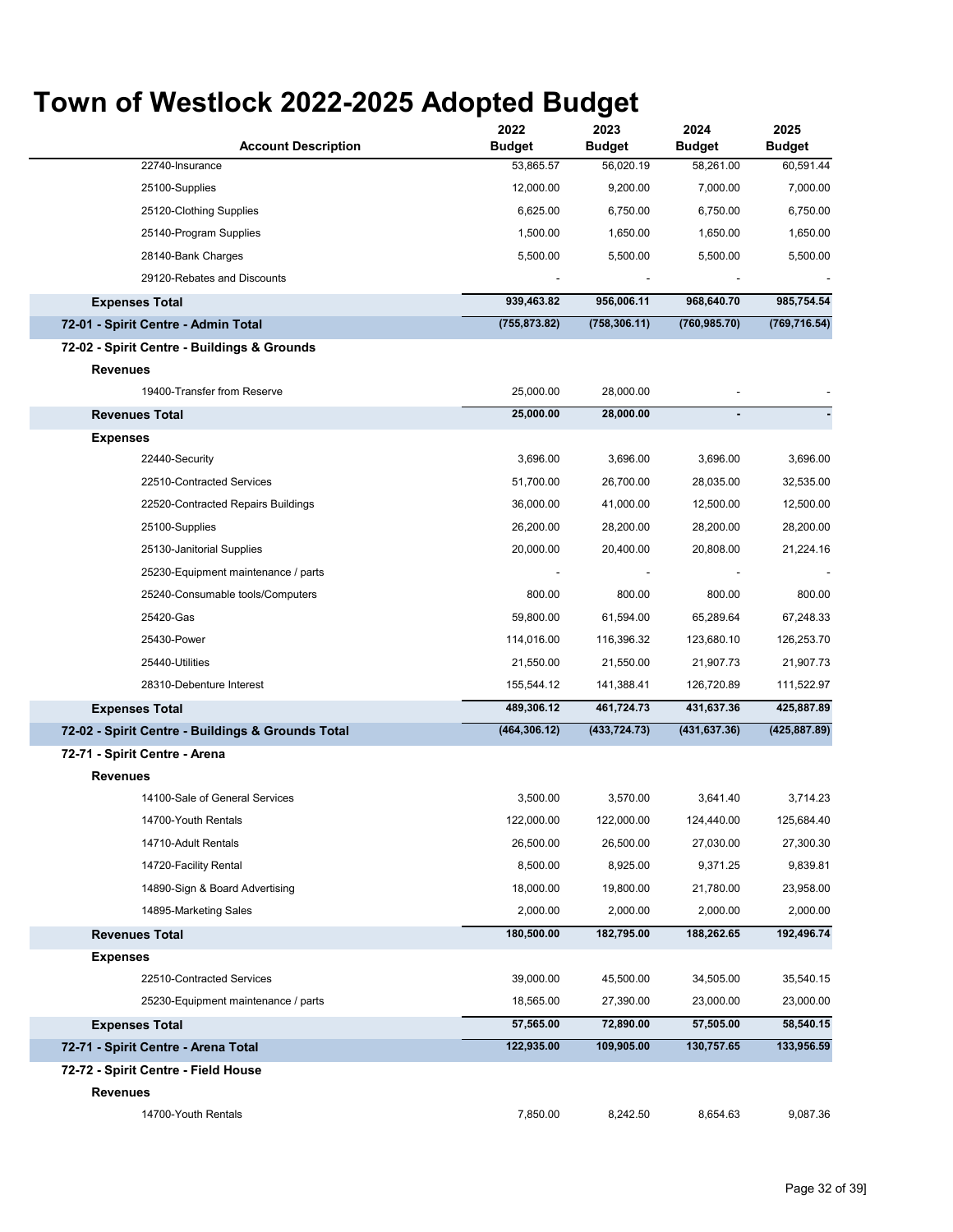$\ddot{\phantom{a}}$ 

| <b>Account Description</b>                        | 2022<br><b>Budget</b> | 2023<br><b>Budget</b> | 2024<br><b>Budget</b> | 2025<br><b>Budget</b> |
|---------------------------------------------------|-----------------------|-----------------------|-----------------------|-----------------------|
| 22740-Insurance                                   | 53,865.57             | 56,020.19             | 58,261.00             | 60,591.44             |
| 25100-Supplies                                    | 12,000.00             | 9,200.00              | 7,000.00              | 7,000.00              |
| 25120-Clothing Supplies                           | 6,625.00              | 6,750.00              | 6,750.00              | 6,750.00              |
| 25140-Program Supplies                            | 1,500.00              | 1,650.00              | 1,650.00              | 1,650.00              |
| 28140-Bank Charges                                | 5,500.00              | 5,500.00              | 5,500.00              | 5,500.00              |
| 29120-Rebates and Discounts                       |                       |                       |                       |                       |
| <b>Expenses Total</b>                             | 939,463.82            | 956,006.11            | 968,640.70            | 985,754.54            |
| 72-01 - Spirit Centre - Admin Total               | (755, 873.82)         | (758, 306.11)         | (760, 985.70)         | (769, 716.54)         |
| 72-02 - Spirit Centre - Buildings & Grounds       |                       |                       |                       |                       |
| <b>Revenues</b>                                   |                       |                       |                       |                       |
| 19400-Transfer from Reserve                       | 25,000.00             | 28,000.00             |                       |                       |
| <b>Revenues Total</b>                             | 25,000.00             | 28,000.00             |                       |                       |
| <b>Expenses</b>                                   |                       |                       |                       |                       |
| 22440-Security                                    | 3,696.00              | 3,696.00              | 3,696.00              | 3,696.00              |
| 22510-Contracted Services                         | 51,700.00             | 26,700.00             | 28,035.00             | 32,535.00             |
| 22520-Contracted Repairs Buildings                | 36,000.00             | 41,000.00             | 12,500.00             | 12,500.00             |
| 25100-Supplies                                    | 26,200.00             | 28,200.00             | 28,200.00             | 28,200.00             |
| 25130-Janitorial Supplies                         | 20,000.00             | 20,400.00             | 20,808.00             | 21,224.16             |
| 25230-Equipment maintenance / parts               |                       |                       |                       |                       |
| 25240-Consumable tools/Computers                  | 800.00                | 800.00                | 800.00                | 800.00                |
| 25420-Gas                                         | 59,800.00             | 61,594.00             | 65,289.64             | 67,248.33             |
| 25430-Power                                       | 114,016.00            | 116,396.32            | 123,680.10            | 126,253.70            |
| 25440-Utilities                                   | 21,550.00             | 21,550.00             | 21,907.73             | 21,907.73             |
| 28310-Debenture Interest                          | 155,544.12            | 141,388.41            | 126,720.89            | 111,522.97            |
| <b>Expenses Total</b>                             | 489,306.12            | 461,724.73            | 431,637.36            | 425,887.89            |
| 72-02 - Spirit Centre - Buildings & Grounds Total | (464, 306.12)         | (433, 724.73)         | (431, 637.36)         | (425, 887.89)         |
| 72-71 - Spirit Centre - Arena                     |                       |                       |                       |                       |
| <b>Revenues</b>                                   |                       |                       |                       |                       |
| 14100-Sale of General Services                    | 3,500.00              | 3,570.00              | 3,641.40              | 3,714.23              |
| 14700-Youth Rentals                               | 122,000.00            | 122,000.00            | 124,440.00            | 125,684.40            |
| 14710-Adult Rentals                               | 26,500.00             | 26,500.00             | 27,030.00             | 27,300.30             |
| 14720-Facility Rental                             | 8,500.00              | 8,925.00              | 9,371.25              | 9,839.81              |
| 14890-Sign & Board Advertising                    | 18,000.00             | 19,800.00             | 21,780.00             | 23,958.00             |
| 14895-Marketing Sales                             | 2,000.00              | 2,000.00              | 2,000.00              | 2,000.00              |
| <b>Revenues Total</b>                             | 180,500.00            | 182,795.00            | 188,262.65            | 192,496.74            |
| <b>Expenses</b>                                   |                       |                       |                       |                       |
| 22510-Contracted Services                         | 39,000.00             | 45,500.00             | 34,505.00             | 35,540.15             |
| 25230-Equipment maintenance / parts               | 18,565.00             | 27,390.00             | 23,000.00             | 23,000.00             |
| <b>Expenses Total</b>                             | 57,565.00             | 72,890.00             | 57,505.00             | 58,540.15             |
| 72-71 - Spirit Centre - Arena Total               | 122,935.00            | 109,905.00            | 130,757.65            | 133,956.59            |
| 72-72 - Spirit Centre - Field House               |                       |                       |                       |                       |
| <b>Revenues</b>                                   |                       |                       |                       |                       |
| 14700-Youth Rentals                               | 7,850.00              | 8,242.50              | 8,654.63              | 9,087.36              |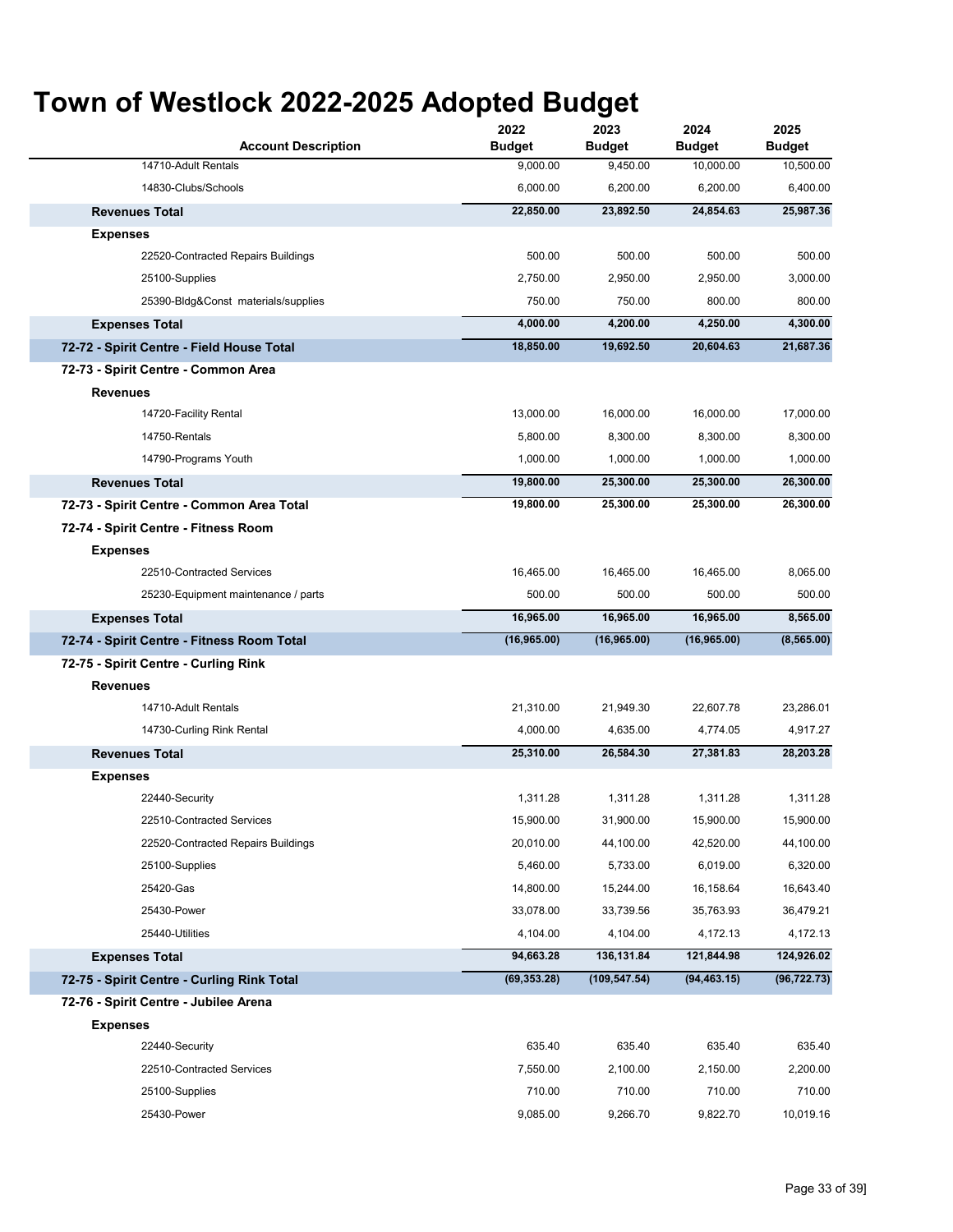| <b>Account Description</b>                 | 2022<br><b>Budget</b> | 2023<br><b>Budget</b> | 2024<br><b>Budget</b> | 2025<br><b>Budget</b> |
|--------------------------------------------|-----------------------|-----------------------|-----------------------|-----------------------|
| 14710-Adult Rentals                        | 9,000.00              | 9,450.00              | 10,000.00             | 10,500.00             |
| 14830-Clubs/Schools                        | 6,000.00              | 6,200.00              | 6,200.00              | 6,400.00              |
| <b>Revenues Total</b>                      | 22,850.00             | 23,892.50             | 24,854.63             | 25,987.36             |
| <b>Expenses</b>                            |                       |                       |                       |                       |
| 22520-Contracted Repairs Buildings         | 500.00                | 500.00                | 500.00                | 500.00                |
| 25100-Supplies                             | 2,750.00              | 2,950.00              | 2,950.00              | 3,000.00              |
| 25390-Bldg&Const materials/supplies        | 750.00                | 750.00                | 800.00                | 800.00                |
| <b>Expenses Total</b>                      | 4,000.00              | 4,200.00              | 4,250.00              | 4,300.00              |
| 72-72 - Spirit Centre - Field House Total  | 18,850.00             | 19,692.50             | 20,604.63             | 21,687.36             |
| 72-73 - Spirit Centre - Common Area        |                       |                       |                       |                       |
| Revenues                                   |                       |                       |                       |                       |
| 14720-Facility Rental                      | 13,000.00             | 16,000.00             | 16,000.00             | 17,000.00             |
| 14750-Rentals                              | 5.800.00              | 8,300.00              | 8,300.00              | 8,300.00              |
| 14790-Programs Youth                       | 1,000.00              | 1,000.00              | 1,000.00              | 1,000.00              |
| <b>Revenues Total</b>                      | 19,800.00             | 25,300.00             | 25,300.00             | 26,300.00             |
| 72-73 - Spirit Centre - Common Area Total  | 19,800.00             | 25,300.00             | 25,300.00             | 26,300.00             |
| 72-74 - Spirit Centre - Fitness Room       |                       |                       |                       |                       |
| <b>Expenses</b>                            |                       |                       |                       |                       |
| 22510-Contracted Services                  | 16,465.00             | 16,465.00             | 16,465.00             | 8,065.00              |
| 25230-Equipment maintenance / parts        | 500.00                | 500.00                | 500.00                | 500.00                |
| <b>Expenses Total</b>                      | 16,965.00             | 16,965.00             | 16,965.00             | 8,565.00              |
| 72-74 - Spirit Centre - Fitness Room Total | (16, 965.00)          | (16, 965.00)          | (16,965.00)           | (8, 565.00)           |
| 72-75 - Spirit Centre - Curling Rink       |                       |                       |                       |                       |
| <b>Revenues</b>                            |                       |                       |                       |                       |
| 14710-Adult Rentals                        | 21,310.00             | 21,949.30             | 22,607.78             | 23,286.01             |
| 14730-Curling Rink Rental                  | 4,000.00              | 4,635.00              | 4,774.05              | 4,917.27              |
| <b>Revenues Total</b>                      | 25,310.00             | 26,584.30             | 27,381.83             | 28,203.28             |
| <b>Expenses</b>                            |                       |                       |                       |                       |
| 22440-Security                             | 1,311.28              | 1,311.28              | 1,311.28              | 1,311.28              |
| 22510-Contracted Services                  | 15,900.00             | 31,900.00             | 15,900.00             | 15,900.00             |
| 22520-Contracted Repairs Buildings         | 20,010.00             | 44,100.00             | 42,520.00             | 44,100.00             |
| 25100-Supplies                             | 5,460.00              | 5,733.00              | 6,019.00              | 6,320.00              |
| 25420-Gas                                  | 14,800.00             | 15,244.00             | 16,158.64             | 16,643.40             |
| 25430-Power                                | 33,078.00             | 33,739.56             | 35,763.93             | 36,479.21             |
| 25440-Utilities                            | 4,104.00              | 4,104.00              | 4,172.13              | 4,172.13              |
| <b>Expenses Total</b>                      | 94,663.28             | 136,131.84            | 121,844.98            | 124,926.02            |
| 72-75 - Spirit Centre - Curling Rink Total | (69, 353.28)          | (109, 547.54)         | (94, 463.15)          | (96, 722.73)          |
| 72-76 - Spirit Centre - Jubilee Arena      |                       |                       |                       |                       |
| <b>Expenses</b>                            |                       |                       |                       |                       |
| 22440-Security                             | 635.40                | 635.40                | 635.40                | 635.40                |
| 22510-Contracted Services                  | 7,550.00              | 2,100.00              | 2,150.00              | 2,200.00              |
| 25100-Supplies                             | 710.00                | 710.00                | 710.00                | 710.00                |
| 25430-Power                                | 9,085.00              | 9,266.70              | 9,822.70              | 10,019.16             |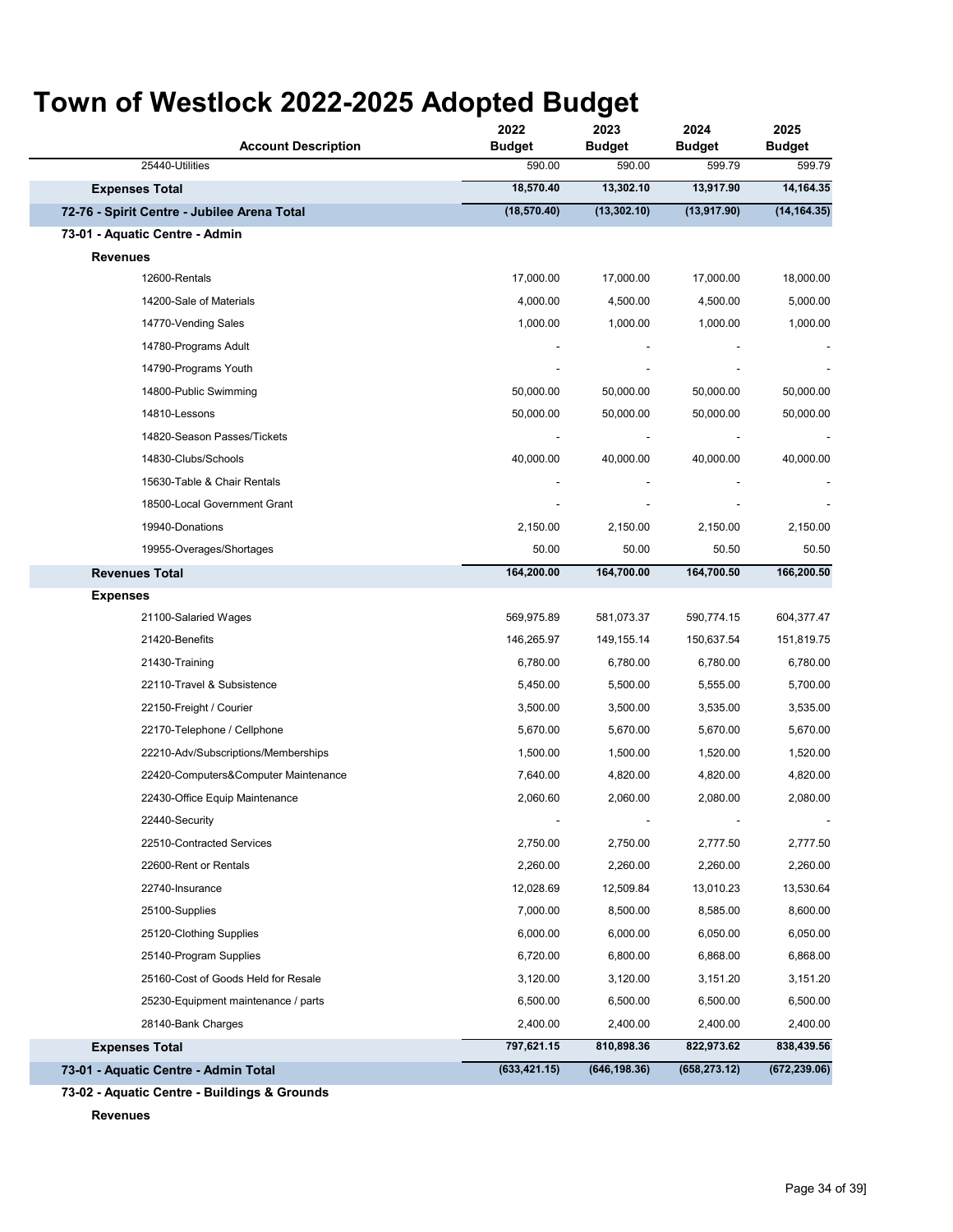| <b>Account Description</b>                  | 2022<br><b>Budget</b> | 2023<br><b>Budget</b> | 2024<br><b>Budget</b> | 2025<br><b>Budget</b> |
|---------------------------------------------|-----------------------|-----------------------|-----------------------|-----------------------|
| 25440-Utilities                             | 590.00                | 590.00                | 599.79                | 599.79                |
| <b>Expenses Total</b>                       | 18,570.40             | 13,302.10             | 13,917.90             | 14,164.35             |
| 72-76 - Spirit Centre - Jubilee Arena Total | (18, 570.40)          | (13, 302.10)          | (13, 917.90)          | (14, 164.35)          |
| 73-01 - Aquatic Centre - Admin              |                       |                       |                       |                       |
| Revenues                                    |                       |                       |                       |                       |
| 12600-Rentals                               | 17,000.00             | 17,000.00             | 17,000.00             | 18,000.00             |
| 14200-Sale of Materials                     | 4,000.00              | 4,500.00              | 4,500.00              | 5,000.00              |
| 14770-Vending Sales                         | 1,000.00              | 1,000.00              | 1,000.00              | 1,000.00              |
| 14780-Programs Adult                        |                       |                       |                       |                       |
| 14790-Programs Youth                        |                       |                       |                       |                       |
| 14800-Public Swimming                       | 50,000.00             | 50,000.00             | 50,000.00             | 50,000.00             |
| 14810-Lessons                               | 50,000.00             | 50,000.00             | 50,000.00             | 50,000.00             |
| 14820-Season Passes/Tickets                 |                       |                       |                       |                       |
| 14830-Clubs/Schools                         | 40,000.00             | 40,000.00             | 40,000.00             | 40,000.00             |
| 15630-Table & Chair Rentals                 |                       |                       |                       |                       |
| 18500-Local Government Grant                |                       |                       |                       |                       |
| 19940-Donations                             | 2,150.00              | 2,150.00              | 2,150.00              | 2,150.00              |
| 19955-Overages/Shortages                    | 50.00                 | 50.00                 | 50.50                 | 50.50                 |
| <b>Revenues Total</b>                       | 164,200.00            | 164,700.00            | 164,700.50            | 166,200.50            |
| <b>Expenses</b>                             |                       |                       |                       |                       |
| 21100-Salaried Wages                        | 569,975.89            | 581,073.37            | 590,774.15            | 604,377.47            |
| 21420-Benefits                              | 146,265.97            | 149,155.14            | 150,637.54            | 151,819.75            |
| 21430-Training                              | 6,780.00              | 6,780.00              | 6,780.00              | 6,780.00              |
| 22110-Travel & Subsistence                  | 5,450.00              | 5,500.00              | 5,555.00              | 5,700.00              |
| 22150-Freight / Courier                     | 3,500.00              | 3,500.00              | 3,535.00              | 3,535.00              |
| 22170-Telephone / Cellphone                 | 5,670.00              | 5,670.00              | 5,670.00              | 5,670.00              |
| 22210-Adv/Subscriptions/Memberships         | 1,500.00              | 1,500.00              | 1,520.00              | 1,520.00              |
| 22420-Computers&Computer Maintenance        | 7,640.00              | 4,820.00              | 4,820.00              | 4,820.00              |
| 22430-Office Equip Maintenance              | 2,060.60              | 2,060.00              | 2,080.00              | 2,080.00              |
| 22440-Security                              |                       |                       |                       |                       |
| 22510-Contracted Services                   | 2,750.00              | 2,750.00              | 2,777.50              | 2,777.50              |
| 22600-Rent or Rentals                       | 2,260.00              | 2,260.00              | 2,260.00              | 2,260.00              |
| 22740-Insurance                             | 12,028.69             | 12,509.84             | 13,010.23             | 13,530.64             |
| 25100-Supplies                              | 7,000.00              | 8,500.00              | 8,585.00              | 8,600.00              |
| 25120-Clothing Supplies                     | 6,000.00              | 6,000.00              | 6,050.00              | 6,050.00              |
| 25140-Program Supplies                      | 6,720.00              | 6,800.00              | 6,868.00              | 6,868.00              |
| 25160-Cost of Goods Held for Resale         | 3,120.00              | 3,120.00              | 3,151.20              | 3,151.20              |
| 25230-Equipment maintenance / parts         | 6,500.00              | 6,500.00              | 6,500.00              | 6,500.00              |
| 28140-Bank Charges                          | 2,400.00              | 2,400.00              | 2,400.00              | 2,400.00              |
| <b>Expenses Total</b>                       | 797,621.15            | 810,898.36            | 822,973.62            | 838,439.56            |
| 73-01 - Aquatic Centre - Admin Total        | (633, 421.15)         | (646, 198.36)         | (658, 273.12)         | (672, 239.06)         |

**73-02 - Aquatic Centre - Buildings & Grounds**

**Revenues**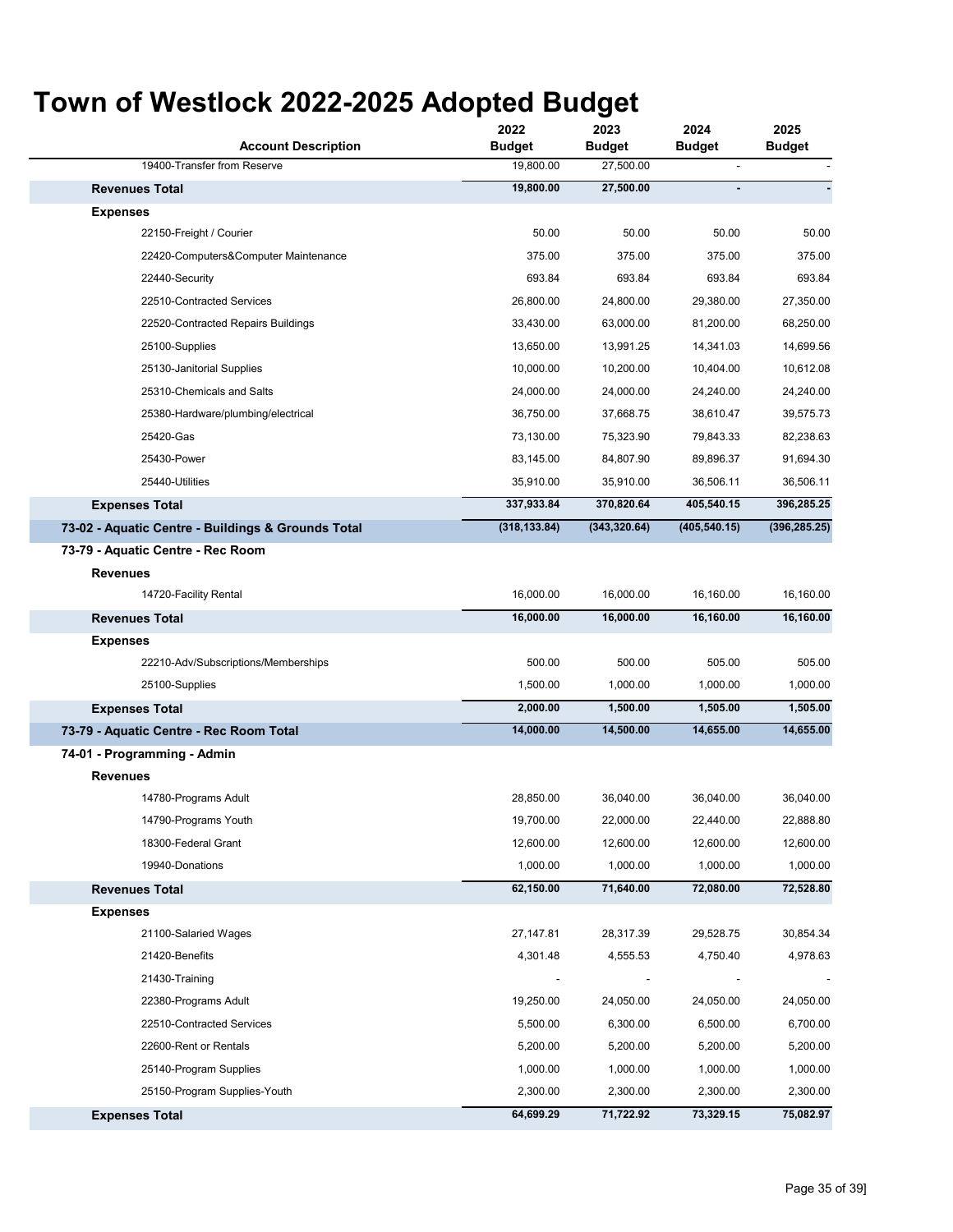#### **Account Description 2022 Budget 2023 Budget 2024 Budget 2025 Budget** 19400-Transfer from Reserve 19,800.00 27,500.00 27,500.00 **19,800.00 27,500.00 - -** 22150-Freight / Courier 50.00 50.00 50.00 50.00 22420-Computers&Computer Maintenance 375.00 375.00 375.00 375.00 22440-Security 693.84 693.84 693.84 693.84 22510-Contracted Services 26,800.00 24,800.00 29,380.00 27,350.00 22520-Contracted Repairs Buildings 33,430.00 63,000.00 81,200.00 68,250.00 25100-Supplies 13,650.00 13,991.25 14,341.03 14,699.56 25130-Janitorial Supplies 10,000.00 10,200.00 10,404.00 10,612.08 25310-Chemicals and Salts 24,000.00 24,000.00 24,240.00 24,240.00 25380-Hardware/plumbing/electrical 36,750.00 37,668.75 38,610.47 39,575.73 25420-Gas 73,130.00 75,323.90 79,843.33 82,238.63 25430-Power 83,145.00 84,807.90 89,896.37 91,694.30 25440-Utilities 35,910.00 35,910.00 36,506.11 36,506.11 **337,933.84 370,820.64 405,540.15 396,285.25 (318,133.84) (343,320.64) (405,540.15) (396,285.25)** 14720-Facility Rental 16,000.00 16,000.00 16,160.00 16,160.00 **16,000.00 16,000.00 16,160.00 16,160.00** 22210-Adv/Subscriptions/Memberships 500.00 500.00 505.00 505.00 25100-Supplies 1,500.00 1,000.00 1,000.00 1,000.00 **2,000.00 1,500.00 1,505.00 1,505.00 14,000.00 14,500.00 14,655.00 14,655.00** 14780-Programs Adult 28,850.00 36,040.00 36,040.00 36,040.00 14790-Programs Youth 19,700.00 22,000.00 22,440.00 22,888.80 18300-Federal Grant 12,600.00 12,600.00 12,600.00 12,600.00 19940-Donations 1,000.00 1,000.00 1,000.00 1,000.00 **62,150.00 71,640.00 72,080.00 72,528.80** 21100-Salaried Wages 27,147.81 28,317.39 29,528.75 30,854.34 21420-Benefits 4,301.48 4,555.53 4,750.40 4,978.63 21430-Training - - - - 22380-Programs Adult 19,250.00 24,050.00 24,050.00 24,050.00 22510-Contracted Services 5,500.00 6,300.00 6,500.00 6,700.00 22600-Rent or Rentals 5,200.00 5,200.00 5,200.00 5,200.00 25140-Program Supplies 1,000.00 1,000.00 1,000.00 1,000.00 25150-Program Supplies-Youth 2,300.00 2,300.00 2,300.00 2,300.00 **64,699.29 71,722.92 73,329.15 75,082.97 Expenses Total 73-02 - Aquatic Centre - Buildings & Grounds Total 73-79 - Aquatic Centre - Rec Room Revenues Revenues Total Expenses Revenues Total Expenses Expenses Total Expenses Total 73-79 - Aquatic Centre - Rec Room Total 74-01 - Programming - Admin Revenues Revenues Total Expenses**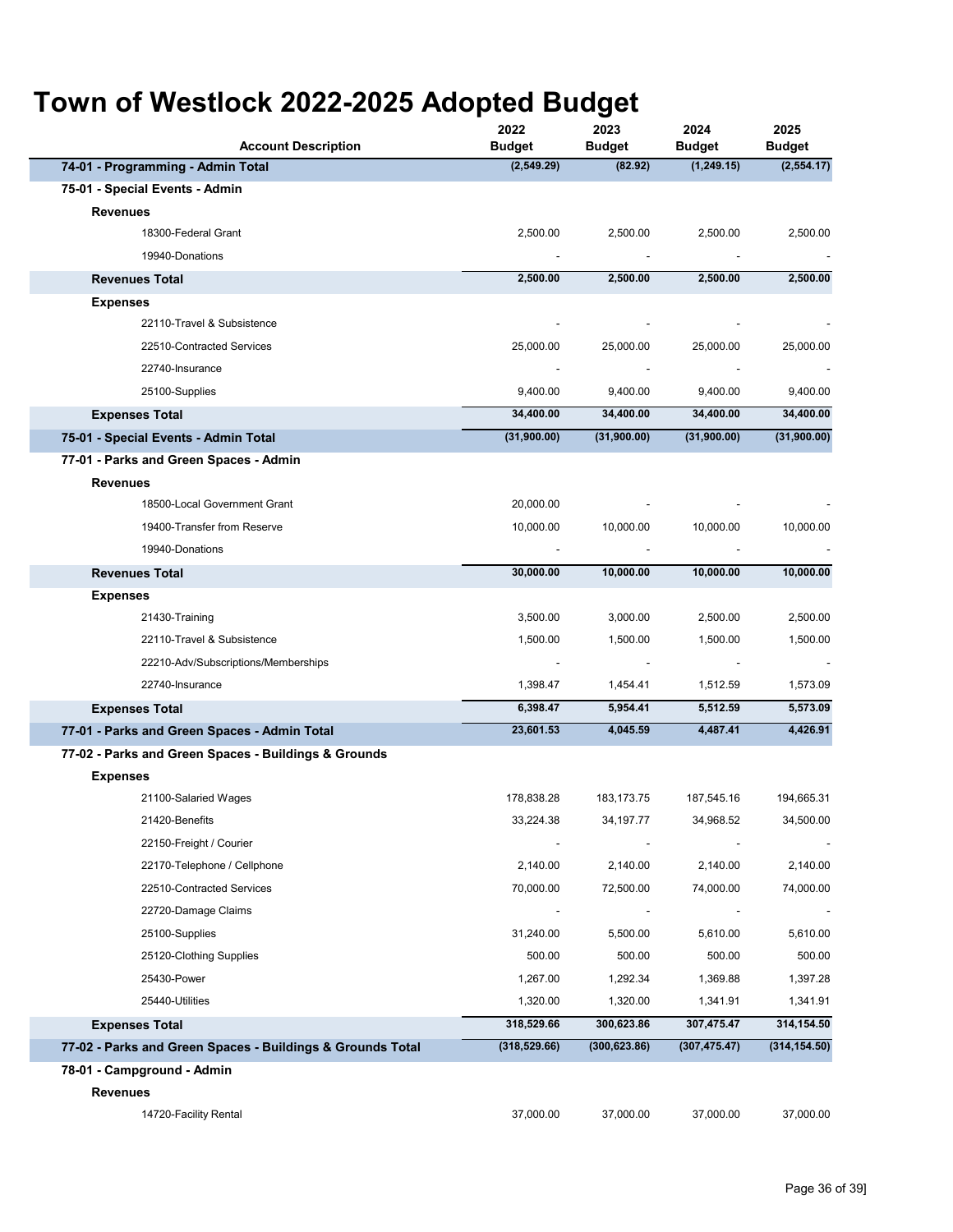| <b>Account Description</b>                                 | 2022<br><b>Budget</b>    | 2023<br><b>Budget</b>    | 2024<br><b>Budget</b> | 2025<br><b>Budget</b>    |
|------------------------------------------------------------|--------------------------|--------------------------|-----------------------|--------------------------|
| 74-01 - Programming - Admin Total                          | (2,549.29)               | (82.92)                  | (1,249.15)            | (2, 554.17)              |
| 75-01 - Special Events - Admin                             |                          |                          |                       |                          |
| <b>Revenues</b>                                            |                          |                          |                       |                          |
| 18300-Federal Grant                                        | 2,500.00                 | 2,500.00                 | 2,500.00              | 2,500.00                 |
| 19940-Donations                                            |                          |                          |                       | $\overline{\phantom{a}}$ |
| <b>Revenues Total</b>                                      | 2,500.00                 | 2,500.00                 | 2,500.00              | 2,500.00                 |
| <b>Expenses</b>                                            |                          |                          |                       |                          |
| 22110-Travel & Subsistence                                 |                          |                          |                       |                          |
| 22510-Contracted Services                                  | 25,000.00                | 25,000.00                | 25,000.00             | 25,000.00                |
| 22740-Insurance                                            |                          |                          |                       |                          |
| 25100-Supplies                                             | 9,400.00                 | 9,400.00                 | 9,400.00              | 9,400.00                 |
| <b>Expenses Total</b>                                      | 34,400.00                | 34,400.00                | 34,400.00             | 34,400.00                |
| 75-01 - Special Events - Admin Total                       | (31,900.00)              | (31,900.00)              | (31,900.00)           | (31,900.00)              |
| 77-01 - Parks and Green Spaces - Admin                     |                          |                          |                       |                          |
| <b>Revenues</b>                                            |                          |                          |                       |                          |
| 18500-Local Government Grant                               | 20,000.00                |                          |                       |                          |
| 19400-Transfer from Reserve                                | 10,000.00                | 10,000.00                | 10,000.00             | 10,000.00                |
| 19940-Donations                                            |                          |                          |                       |                          |
| <b>Revenues Total</b>                                      | 30,000.00                | 10,000.00                | 10,000.00             | 10,000.00                |
| <b>Expenses</b>                                            |                          |                          |                       |                          |
| 21430-Training                                             | 3,500.00                 | 3,000.00                 | 2,500.00              | 2,500.00                 |
| 22110-Travel & Subsistence                                 | 1,500.00                 | 1,500.00                 | 1,500.00              | 1,500.00                 |
| 22210-Adv/Subscriptions/Memberships                        | $\overline{\phantom{a}}$ | $\overline{\phantom{a}}$ |                       |                          |
| 22740-Insurance                                            | 1,398.47                 | 1,454.41                 | 1,512.59              | 1,573.09                 |
| <b>Expenses Total</b>                                      | 6,398.47                 | 5,954.41                 | 5,512.59              | 5,573.09                 |
| 77-01 - Parks and Green Spaces - Admin Total               | 23,601.53                | 4,045.59                 | 4,487.41              | 4,426.91                 |
| 77-02 - Parks and Green Spaces - Buildings & Grounds       |                          |                          |                       |                          |
| <b>Expenses</b>                                            |                          |                          |                       |                          |
| 21100-Salaried Wages                                       | 178,838.28               | 183, 173. 75             | 187,545.16            | 194,665.31               |
| 21420-Benefits                                             | 33,224.38                | 34,197.77                | 34,968.52             | 34,500.00                |
| 22150-Freight / Courier                                    |                          |                          |                       |                          |
| 22170-Telephone / Cellphone                                | 2,140.00                 | 2,140.00                 | 2,140.00              | 2,140.00                 |
| 22510-Contracted Services                                  | 70,000.00                | 72,500.00                | 74,000.00             | 74,000.00                |
| 22720-Damage Claims                                        |                          |                          |                       |                          |
| 25100-Supplies                                             | 31,240.00                | 5,500.00                 | 5,610.00              | 5,610.00                 |
| 25120-Clothing Supplies                                    | 500.00                   | 500.00                   | 500.00                | 500.00                   |
| 25430-Power                                                | 1,267.00                 | 1,292.34                 | 1,369.88              | 1,397.28                 |
| 25440-Utilities                                            | 1,320.00                 | 1,320.00                 | 1,341.91              | 1,341.91                 |
| <b>Expenses Total</b>                                      | 318,529.66               | 300,623.86               | 307,475.47            | 314,154.50               |
| 77-02 - Parks and Green Spaces - Buildings & Grounds Total | (318, 529.66)            | (300, 623.86)            | (307, 475.47)         | (314, 154.50)            |
| 78-01 - Campground - Admin                                 |                          |                          |                       |                          |
| <b>Revenues</b>                                            |                          |                          |                       |                          |
| 14720-Facility Rental                                      | 37,000.00                | 37,000.00                | 37,000.00             | 37,000.00                |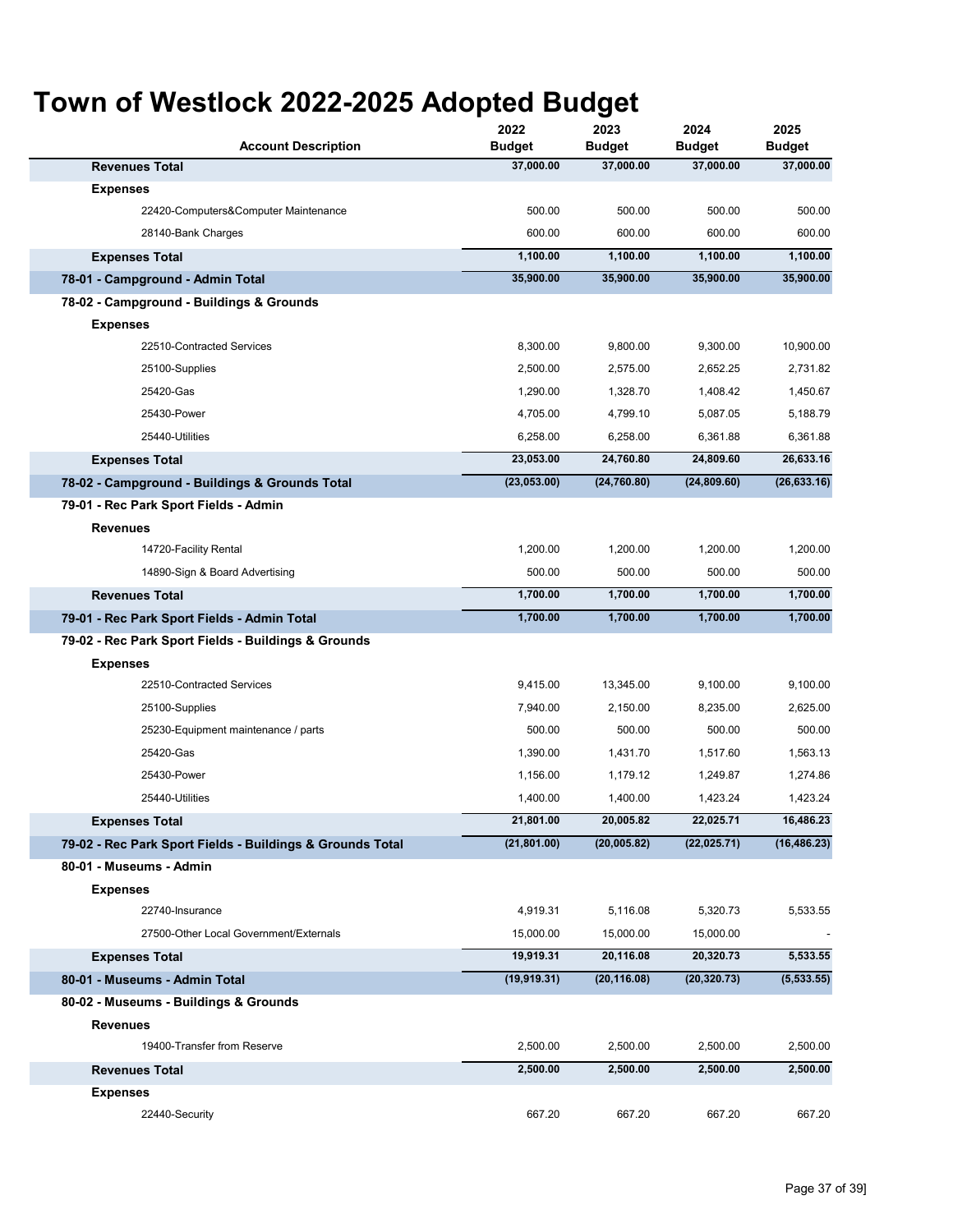| <b>Account Description</b>                                | 2022<br><b>Budget</b> | 2023<br><b>Budget</b> | 2024<br><b>Budget</b> | 2025<br><b>Budget</b> |
|-----------------------------------------------------------|-----------------------|-----------------------|-----------------------|-----------------------|
| <b>Revenues Total</b>                                     | 37,000.00             | 37,000.00             | 37,000.00             | 37,000.00             |
| <b>Expenses</b>                                           |                       |                       |                       |                       |
| 22420-Computers&Computer Maintenance                      | 500.00                | 500.00                | 500.00                | 500.00                |
| 28140-Bank Charges                                        | 600.00                | 600.00                | 600.00                | 600.00                |
| <b>Expenses Total</b>                                     | 1,100.00              | 1,100.00              | 1,100.00              | 1,100.00              |
| 78-01 - Campground - Admin Total                          | 35,900.00             | 35,900.00             | 35,900.00             | 35,900.00             |
| 78-02 - Campground - Buildings & Grounds                  |                       |                       |                       |                       |
| <b>Expenses</b>                                           |                       |                       |                       |                       |
| 22510-Contracted Services                                 | 8,300.00              | 9,800.00              | 9,300.00              | 10,900.00             |
| 25100-Supplies                                            | 2,500.00              | 2,575.00              | 2,652.25              | 2,731.82              |
| 25420-Gas                                                 | 1,290.00              | 1,328.70              | 1,408.42              | 1,450.67              |
| 25430-Power                                               | 4,705.00              | 4,799.10              | 5,087.05              | 5,188.79              |
| 25440-Utilities                                           | 6,258.00              | 6,258.00              | 6,361.88              | 6,361.88              |
| <b>Expenses Total</b>                                     | 23,053.00             | 24,760.80             | 24,809.60             | 26,633.16             |
| 78-02 - Campground - Buildings & Grounds Total            | (23,053.00)           | (24, 760.80)          | (24, 809.60)          | (26, 633.16)          |
| 79-01 - Rec Park Sport Fields - Admin                     |                       |                       |                       |                       |
| <b>Revenues</b>                                           |                       |                       |                       |                       |
| 14720-Facility Rental                                     | 1,200.00              | 1,200.00              | 1,200.00              | 1,200.00              |
| 14890-Sign & Board Advertising                            | 500.00                | 500.00                | 500.00                | 500.00                |
| <b>Revenues Total</b>                                     | 1,700.00              | 1,700.00              | 1,700.00              | 1,700.00              |
| 79-01 - Rec Park Sport Fields - Admin Total               | 1,700.00              | 1,700.00              | 1,700.00              | 1,700.00              |
| 79-02 - Rec Park Sport Fields - Buildings & Grounds       |                       |                       |                       |                       |
| <b>Expenses</b>                                           |                       |                       |                       |                       |
| 22510-Contracted Services                                 | 9,415.00              | 13,345.00             | 9,100.00              | 9,100.00              |
| 25100-Supplies                                            | 7,940.00              | 2,150.00              | 8,235.00              | 2,625.00              |
| 25230-Equipment maintenance / parts                       | 500.00                | 500.00                | 500.00                | 500.00                |
| 25420-Gas                                                 | 1,390.00              | 1,431.70              | 1,517.60              | 1,563.13              |
| 25430-Power                                               | 1,156.00              | 1,179.12              | 1,249.87              | 1,274.86              |
| 25440-Utilities                                           | 1,400.00              | 1,400.00              | 1,423.24              | 1,423.24              |
| <b>Expenses Total</b>                                     | 21,801.00             | 20,005.82             | 22,025.71             | 16,486.23             |
| 79-02 - Rec Park Sport Fields - Buildings & Grounds Total | (21, 801.00)          | (20,005.82)           | (22,025.71)           | (16, 486.23)          |
| 80-01 - Museums - Admin                                   |                       |                       |                       |                       |
| <b>Expenses</b>                                           |                       |                       |                       |                       |
| 22740-Insurance                                           | 4,919.31              | 5,116.08              | 5,320.73              | 5,533.55              |
| 27500-Other Local Government/Externals                    | 15,000.00             | 15,000.00             | 15,000.00             |                       |
| <b>Expenses Total</b>                                     | 19,919.31             | 20,116.08             | 20,320.73             | 5,533.55              |
| 80-01 - Museums - Admin Total                             | (19, 919.31)          | (20, 116.08)          | (20, 320.73)          | (5,533.55)            |
| 80-02 - Museums - Buildings & Grounds                     |                       |                       |                       |                       |
| Revenues                                                  |                       |                       |                       |                       |
| 19400-Transfer from Reserve                               | 2,500.00              | 2,500.00              | 2,500.00              | 2,500.00              |
| <b>Revenues Total</b>                                     | 2,500.00              | 2,500.00              | 2,500.00              | 2,500.00              |
| <b>Expenses</b>                                           |                       |                       |                       |                       |
| 22440-Security                                            | 667.20                | 667.20                | 667.20                | 667.20                |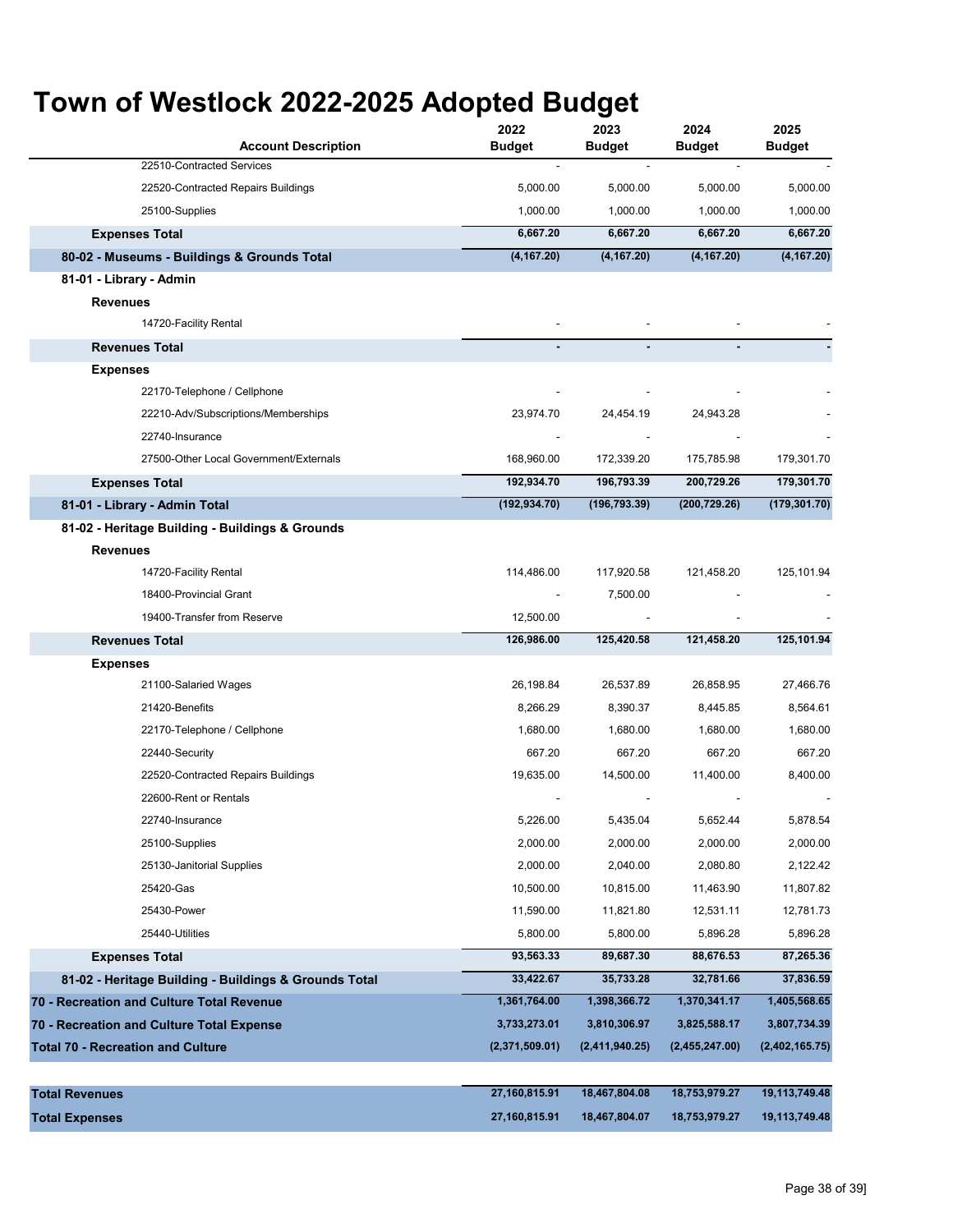| <b>Account Description</b>                            | 2022<br><b>Budget</b>    | 2023<br><b>Budget</b> | 2024<br><b>Budget</b> | 2025<br>Budget |
|-------------------------------------------------------|--------------------------|-----------------------|-----------------------|----------------|
| 22510-Contracted Services                             | $\overline{\phantom{a}}$ |                       |                       |                |
| 22520-Contracted Repairs Buildings                    | 5,000.00                 | 5,000.00              | 5,000.00              | 5,000.00       |
| 25100-Supplies                                        | 1,000.00                 | 1,000.00              | 1,000.00              | 1,000.00       |
| <b>Expenses Total</b>                                 | 6,667.20                 | 6,667.20              | 6,667.20              | 6,667.20       |
| 80-02 - Museums - Buildings & Grounds Total           | (4, 167.20)              | (4, 167.20)           | (4, 167.20)           | (4, 167.20)    |
| 81-01 - Library - Admin                               |                          |                       |                       |                |
| <b>Revenues</b>                                       |                          |                       |                       |                |
| 14720-Facility Rental                                 |                          |                       |                       |                |
| <b>Revenues Total</b>                                 | ٠                        |                       |                       |                |
| <b>Expenses</b>                                       |                          |                       |                       |                |
| 22170-Telephone / Cellphone                           |                          |                       |                       |                |
| 22210-Adv/Subscriptions/Memberships                   | 23,974.70                | 24,454.19             | 24,943.28             |                |
| 22740-Insurance                                       |                          |                       |                       |                |
| 27500-Other Local Government/Externals                | 168,960.00               | 172,339.20            | 175,785.98            | 179,301.70     |
| <b>Expenses Total</b>                                 | 192,934.70               | 196,793.39            | 200,729.26            | 179,301.70     |
| 81-01 - Library - Admin Total                         | (192, 934.70)            | (196, 793.39)         | (200,729.26)          | (179, 301.70)  |
| 81-02 - Heritage Building - Buildings & Grounds       |                          |                       |                       |                |
| <b>Revenues</b>                                       |                          |                       |                       |                |
| 14720-Facility Rental                                 | 114,486.00               | 117,920.58            | 121,458.20            | 125,101.94     |
| 18400-Provincial Grant                                | $\overline{\phantom{a}}$ | 7,500.00              |                       |                |
| 19400-Transfer from Reserve                           | 12,500.00                |                       |                       |                |
| <b>Revenues Total</b>                                 | 126,986.00               | 125,420.58            | 121,458.20            | 125,101.94     |
| <b>Expenses</b>                                       |                          |                       |                       |                |
| 21100-Salaried Wages                                  | 26,198.84                | 26,537.89             | 26,858.95             | 27,466.76      |
| 21420-Benefits                                        | 8,266.29                 | 8,390.37              | 8,445.85              | 8,564.61       |
| 22170-Telephone / Cellphone                           | 1,680.00                 | 1,680.00              | 1,680.00              | 1,680.00       |
| 22440-Security                                        | 667.20                   | 667.20                | 667.20                | 667.20         |
| 22520-Contracted Repairs Buildings                    | 19,635.00                | 14,500.00             | 11,400.00             | 8,400.00       |
| 22600-Rent or Rentals                                 |                          |                       |                       |                |
| 22740-Insurance                                       | 5,226.00                 | 5,435.04              | 5,652.44              | 5,878.54       |
| 25100-Supplies                                        | 2,000.00                 | 2,000.00              | 2,000.00              | 2,000.00       |
| 25130-Janitorial Supplies                             | 2,000.00                 | 2,040.00              | 2,080.80              | 2,122.42       |
| 25420-Gas                                             | 10,500.00                | 10,815.00             | 11,463.90             | 11,807.82      |
| 25430-Power                                           | 11,590.00                | 11,821.80             | 12,531.11             | 12,781.73      |
| 25440-Utilities                                       | 5,800.00                 | 5,800.00              | 5,896.28              | 5,896.28       |
| <b>Expenses Total</b>                                 | 93,563.33                | 89,687.30             | 88,676.53             | 87,265.36      |
| 81-02 - Heritage Building - Buildings & Grounds Total | 33,422.67                | 35,733.28             | 32,781.66             | 37,836.59      |
| 70 - Recreation and Culture Total Revenue             | 1,361,764.00             | 1,398,366.72          | 1,370,341.17          | 1,405,568.65   |
| 70 - Recreation and Culture Total Expense             | 3,733,273.01             | 3,810,306.97          | 3,825,588.17          | 3,807,734.39   |
| <b>Total 70 - Recreation and Culture</b>              | (2,371,509.01)           | (2,411,940.25)        | (2,455,247.00)        | (2,402,165.75) |
|                                                       |                          |                       |                       |                |
| <b>Total Revenues</b>                                 | 27,160,815.91            | 18,467,804.08         | 18,753,979.27         | 19,113,749.48  |
| <b>Total Expenses</b>                                 | 27,160,815.91            | 18,467,804.07         | 18,753,979.27         | 19,113,749.48  |